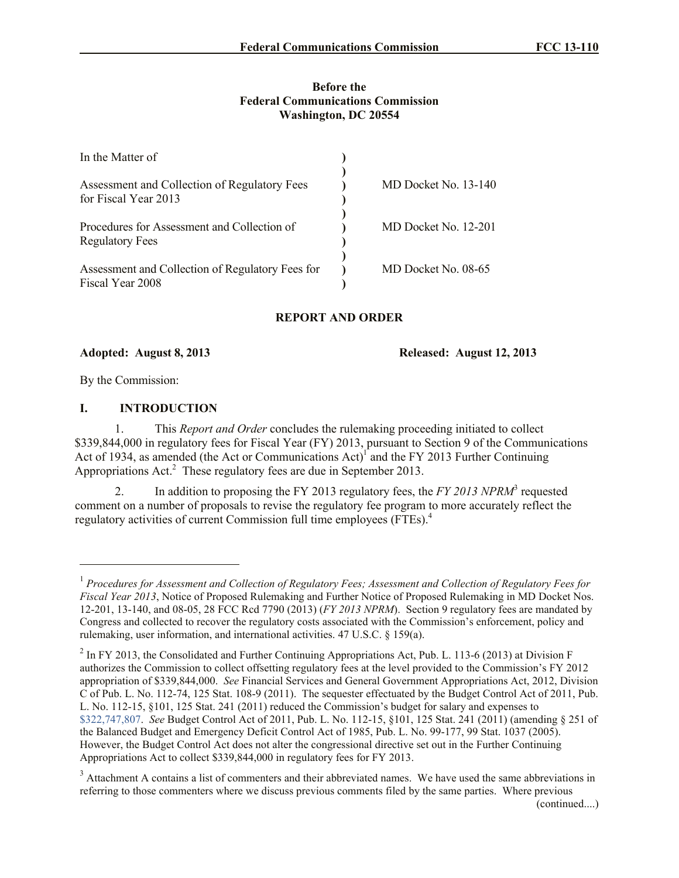#### **Before the Federal Communications Commission Washington, DC 20554**

| In the Matter of                                                      |                      |
|-----------------------------------------------------------------------|----------------------|
| Assessment and Collection of Regulatory Fees<br>for Fiscal Year 2013  | MD Docket No. 13-140 |
| Procedures for Assessment and Collection of<br><b>Regulatory Fees</b> | MD Docket No. 12-201 |
| Assessment and Collection of Regulatory Fees for<br>Fiscal Year 2008  | MD Docket No. 08-65  |

# **REPORT AND ORDER**

**Adopted: August 8, 2013 Released: August 12, 2013**

By the Commission:

 $\overline{a}$ 

## **I. INTRODUCTION**

1. This *Report and Order* concludes the rulemaking proceeding initiated to collect \$339,844,000 in regulatory fees for Fiscal Year (FY) 2013, pursuant to Section 9 of the Communications Act of 1934, as amended (the Act or Communications  $Act)$ <sup>1</sup> and the FY 2013 Further Continuing Appropriations Act.<sup>2</sup> These regulatory fees are due in September 2013.

2. In addition to proposing the FY 2013 regulatory fees, the *FY 2013 NPRM*<sup>3</sup> requested comment on a number of proposals to revise the regulatory fee program to more accurately reflect the regulatory activities of current Commission full time employees (FTEs).<sup>4</sup>

<sup>&</sup>lt;sup>1</sup> Procedures for Assessment and Collection of Regulatory Fees; Assessment and Collection of Regulatory Fees for *Fiscal Year 2013*, Notice of Proposed Rulemaking and Further Notice of Proposed Rulemaking in MD Docket Nos. 12-201, 13-140, and 08-05, 28 FCC Rcd 7790 (2013) (*FY 2013 NPRM*). Section 9 regulatory fees are mandated by Congress and collected to recover the regulatory costs associated with the Commission's enforcement, policy and rulemaking, user information, and international activities. 47 U.S.C. § 159(a).

 $^2$  In FY 2013, the Consolidated and Further Continuing Appropriations Act, Pub. L. 113-6 (2013) at Division F authorizes the Commission to collect offsetting regulatory fees at the level provided to the Commission's FY 2012 appropriation of \$339,844,000. *See* Financial Services and General Government Appropriations Act, 2012, Division C of Pub. L. No. 112-74, 125 Stat. 108-9 (2011). The sequester effectuated by the Budget Control Act of 2011, Pub. L. No. 112-15, §101, 125 Stat. 241 (2011) reduced the Commission's budget for salary and expenses to \$322,747,807. *See* Budget Control Act of 2011, Pub. L. No. 112-15, §101, 125 Stat. 241 (2011) (amending § 251 of the Balanced Budget and Emergency Deficit Control Act of 1985, Pub. L. No. 99-177, 99 Stat. 1037 (2005). However, the Budget Control Act does not alter the congressional directive set out in the Further Continuing Appropriations Act to collect \$339,844,000 in regulatory fees for FY 2013.

<sup>&</sup>lt;sup>3</sup> Attachment A contains a list of commenters and their abbreviated names. We have used the same abbreviations in referring to those commenters where we discuss previous comments filed by the same parties. Where previous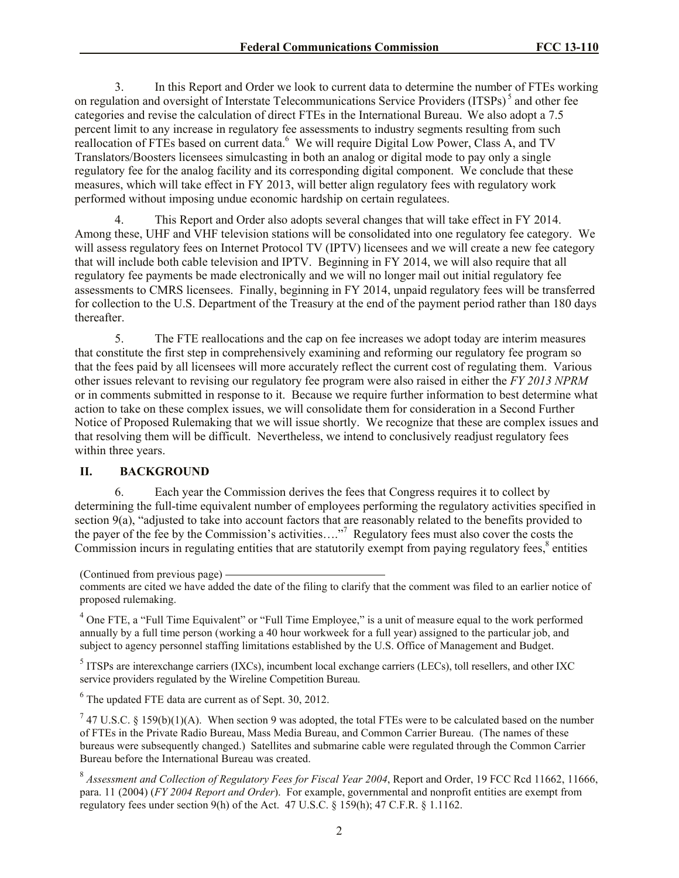3. In this Report and Order we look to current data to determine the number of FTEs working on regulation and oversight of Interstate Telecommunications Service Providers (ITSPs)<sup>5</sup> and other fee categories and revise the calculation of direct FTEs in the International Bureau. We also adopt a 7.5 percent limit to any increase in regulatory fee assessments to industry segments resulting from such reallocation of FTEs based on current data.<sup>6</sup> We will require Digital Low Power, Class A, and TV Translators/Boosters licensees simulcasting in both an analog or digital mode to pay only a single regulatory fee for the analog facility and its corresponding digital component. We conclude that these measures, which will take effect in FY 2013, will better align regulatory fees with regulatory work performed without imposing undue economic hardship on certain regulatees.

4. This Report and Order also adopts several changes that will take effect in FY 2014. Among these, UHF and VHF television stations will be consolidated into one regulatory fee category. We will assess regulatory fees on Internet Protocol TV (IPTV) licensees and we will create a new fee category that will include both cable television and IPTV. Beginning in FY 2014, we will also require that all regulatory fee payments be made electronically and we will no longer mail out initial regulatory fee assessments to CMRS licensees. Finally, beginning in FY 2014, unpaid regulatory fees will be transferred for collection to the U.S. Department of the Treasury at the end of the payment period rather than 180 days thereafter.

5. The FTE reallocations and the cap on fee increases we adopt today are interim measures that constitute the first step in comprehensively examining and reforming our regulatory fee program so that the fees paid by all licensees will more accurately reflect the current cost of regulating them. Various other issues relevant to revising our regulatory fee program were also raised in either the *FY 2013 NPRM* or in comments submitted in response to it. Because we require further information to best determine what action to take on these complex issues, we will consolidate them for consideration in a Second Further Notice of Proposed Rulemaking that we will issue shortly. We recognize that these are complex issues and that resolving them will be difficult. Nevertheless, we intend to conclusively readjust regulatory fees within three years.

#### **II. BACKGROUND**

6. Each year the Commission derives the fees that Congress requires it to collect by determining the full-time equivalent number of employees performing the regulatory activities specified in section 9(a), "adjusted to take into account factors that are reasonably related to the benefits provided to the payer of the fee by the Commission's activities…."<sup>7</sup> Regulatory fees must also cover the costs the Commission incurs in regulating entities that are statutorily exempt from paying regulatory fees,<sup>8</sup> entities

<sup>4</sup> One FTE, a "Full Time Equivalent" or "Full Time Employee," is a unit of measure equal to the work performed annually by a full time person (working a 40 hour workweek for a full year) assigned to the particular job, and subject to agency personnel staffing limitations established by the U.S. Office of Management and Budget.

<sup>5</sup> ITSPs are interexchange carriers (IXCs), incumbent local exchange carriers (LECs), toll resellers, and other IXC service providers regulated by the Wireline Competition Bureau.

 $6$  The updated FTE data are current as of Sept. 30, 2012.

<sup>7</sup> 47 U.S.C. § 159(b)(1)(A). When section 9 was adopted, the total FTEs were to be calculated based on the number of FTEs in the Private Radio Bureau, Mass Media Bureau, and Common Carrier Bureau. (The names of these bureaus were subsequently changed.) Satellites and submarine cable were regulated through the Common Carrier Bureau before the International Bureau was created.

<sup>8</sup> Assessment and Collection of Regulatory Fees for Fiscal Year 2004, Report and Order, 19 FCC Rcd 11662, 11666, para. 11 (2004) (*FY 2004 Report and Order*). For example, governmental and nonprofit entities are exempt from regulatory fees under section 9(h) of the Act. 47 U.S.C. § 159(h); 47 C.F.R. § 1.1162.

<sup>(</sup>Continued from previous page)

comments are cited we have added the date of the filing to clarify that the comment was filed to an earlier notice of proposed rulemaking.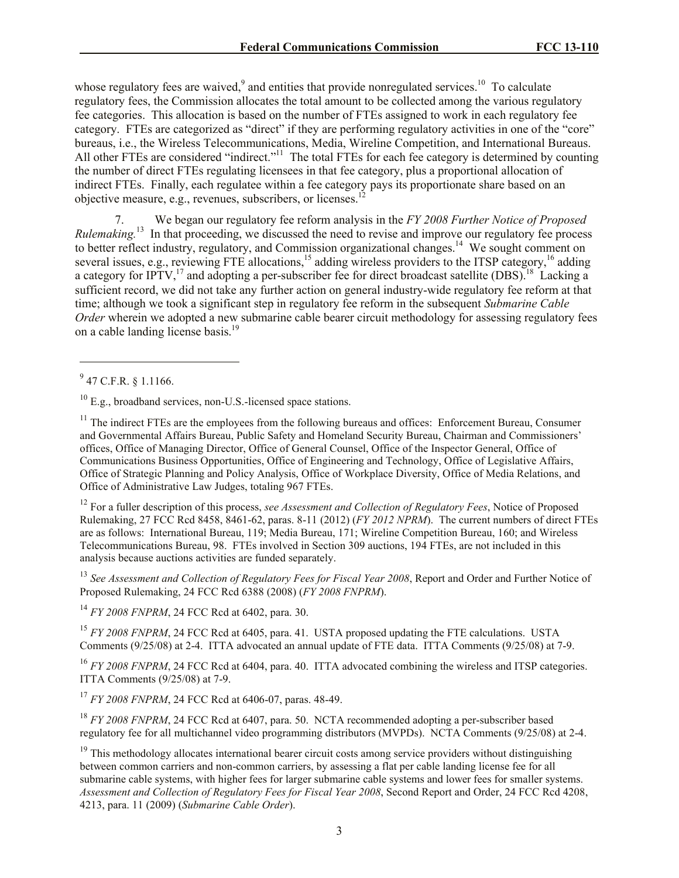whose regulatory fees are waived,  $9$  and entities that provide nonregulated services.<sup>10</sup> To calculate regulatory fees, the Commission allocates the total amount to be collected among the various regulatory fee categories. This allocation is based on the number of FTEs assigned to work in each regulatory fee category. FTEs are categorized as "direct" if they are performing regulatory activities in one of the "core" bureaus, i.e., the Wireless Telecommunications, Media, Wireline Competition, and International Bureaus. All other FTEs are considered "indirect."<sup>11</sup> The total FTEs for each fee category is determined by counting the number of direct FTEs regulating licensees in that fee category, plus a proportional allocation of indirect FTEs. Finally, each regulatee within a fee category pays its proportionate share based on an objective measure, e.g., revenues, subscribers, or licenses.<sup>1</sup>

7. We began our regulatory fee reform analysis in the *FY 2008 Further Notice of Proposed Rulemaking.*<sup>13</sup> In that proceeding, we discussed the need to revise and improve our regulatory fee process to better reflect industry, regulatory, and Commission organizational changes.<sup>14</sup> We sought comment on several issues, e.g., reviewing FTE allocations,<sup>15</sup> adding wireless providers to the ITSP category,<sup>16</sup> adding a category for IPTV,<sup>17</sup> and adopting a per-subscriber fee for direct broadcast satellite (DBS).<sup>18</sup> Lacking a sufficient record, we did not take any further action on general industry-wide regulatory fee reform at that time; although we took a significant step in regulatory fee reform in the subsequent *Submarine Cable Order* wherein we adopted a new submarine cable bearer circuit methodology for assessing regulatory fees on a cable landing license basis. 19

 $\overline{a}$ 

<sup>10</sup> E.g., broadband services, non-U.S.-licensed space stations.

<sup>11</sup> The indirect FTEs are the employees from the following bureaus and offices: Enforcement Bureau, Consumer and Governmental Affairs Bureau, Public Safety and Homeland Security Bureau, Chairman and Commissioners' offices, Office of Managing Director, Office of General Counsel, Office of the Inspector General, Office of Communications Business Opportunities, Office of Engineering and Technology, Office of Legislative Affairs, Office of Strategic Planning and Policy Analysis, Office of Workplace Diversity, Office of Media Relations, and Office of Administrative Law Judges, totaling 967 FTEs.

<sup>12</sup> For a fuller description of this process, *see Assessment and Collection of Regulatory Fees*, Notice of Proposed Rulemaking, 27 FCC Rcd 8458, 8461-62, paras. 8-11 (2012) (*FY 2012 NPRM*). The current numbers of direct FTEs are as follows: International Bureau, 119; Media Bureau, 171; Wireline Competition Bureau, 160; and Wireless Telecommunications Bureau, 98. FTEs involved in Section 309 auctions, 194 FTEs, are not included in this analysis because auctions activities are funded separately.

<sup>13</sup> See Assessment and Collection of Regulatory Fees for Fiscal Year 2008, Report and Order and Further Notice of Proposed Rulemaking, 24 FCC Rcd 6388 (2008) (*FY 2008 FNPRM*).

<sup>14</sup> *FY 2008 FNPRM*, 24 FCC Rcd at 6402, para. 30.

<sup>15</sup> *FY 2008 FNPRM*, 24 FCC Rcd at 6405, para. 41. USTA proposed updating the FTE calculations. USTA Comments (9/25/08) at 2-4. ITTA advocated an annual update of FTE data. ITTA Comments (9/25/08) at 7-9.

<sup>16</sup> *FY 2008 FNPRM*, 24 FCC Rcd at 6404, para. 40. ITTA advocated combining the wireless and ITSP categories. ITTA Comments (9/25/08) at 7-9.

<sup>17</sup> *FY 2008 FNPRM*, 24 FCC Rcd at 6406-07, paras. 48-49.

<sup>18</sup> *FY 2008 FNPRM*, 24 FCC Rcd at 6407, para. 50. NCTA recommended adopting a per-subscriber based regulatory fee for all multichannel video programming distributors (MVPDs). NCTA Comments (9/25/08) at 2-4.

 $19$  This methodology allocates international bearer circuit costs among service providers without distinguishing between common carriers and non-common carriers, by assessing a flat per cable landing license fee for all submarine cable systems, with higher fees for larger submarine cable systems and lower fees for smaller systems. *Assessment and Collection of Regulatory Fees for Fiscal Year 2008*, Second Report and Order, 24 FCC Rcd 4208, 4213, para. 11 (2009) (*Submarine Cable Order*).

 $^{9}$  47 C.F.R. § 1.1166.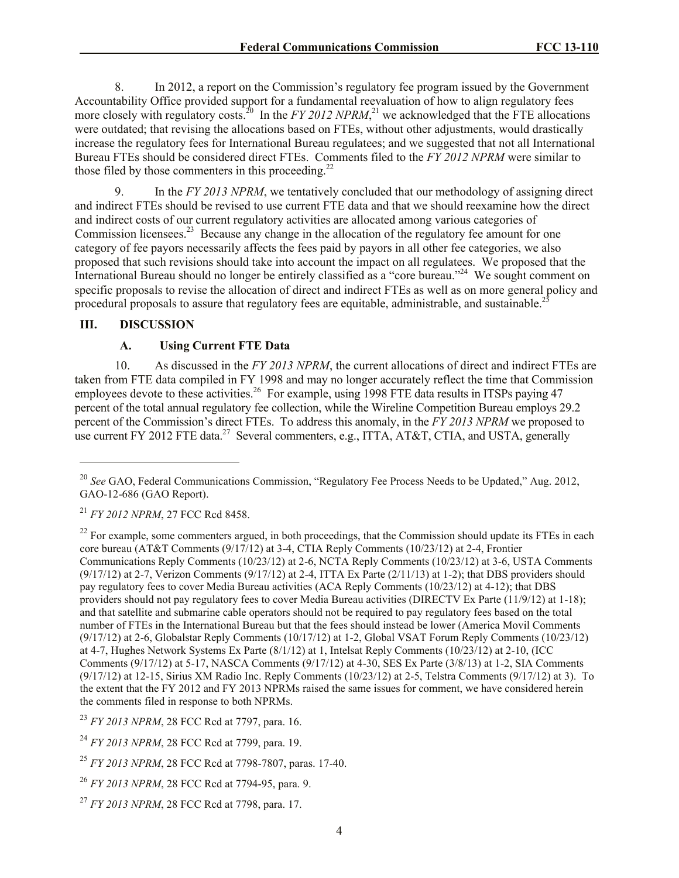8. In 2012, a report on the Commission's regulatory fee program issued by the Government Accountability Office provided support for a fundamental reevaluation of how to align regulatory fees more closely with regulatory costs.<sup>20</sup> In the *FY 2012 NPRM*,<sup>21</sup> we acknowledged that the FTE allocations were outdated; that revising the allocations based on FTEs, without other adjustments, would drastically increase the regulatory fees for International Bureau regulatees; and we suggested that not all International Bureau FTEs should be considered direct FTEs. Comments filed to the *FY 2012 NPRM* were similar to those filed by those commenters in this proceeding.<sup>22</sup>

9. In the *FY 2013 NPRM*, we tentatively concluded that our methodology of assigning direct and indirect FTEs should be revised to use current FTE data and that we should reexamine how the direct and indirect costs of our current regulatory activities are allocated among various categories of Commission licensees.<sup>23</sup> Because any change in the allocation of the regulatory fee amount for one category of fee payors necessarily affects the fees paid by payors in all other fee categories, we also proposed that such revisions should take into account the impact on all regulatees. We proposed that the International Bureau should no longer be entirely classified as a "core bureau."<sup>24</sup> We sought comment on specific proposals to revise the allocation of direct and indirect FTEs as well as on more general policy and procedural proposals to assure that regulatory fees are equitable, administrable, and sustainable.<sup>25</sup>

# **III. DISCUSSION**

l

# **A. Using Current FTE Data**

10. As discussed in the *FY 2013 NPRM*, the current allocations of direct and indirect FTEs are taken from FTE data compiled in FY 1998 and may no longer accurately reflect the time that Commission employees devote to these activities.<sup>26</sup> For example, using 1998 FTE data results in ITSPs paying 47 percent of the total annual regulatory fee collection, while the Wireline Competition Bureau employs 29.2 percent of the Commission's direct FTEs. To address this anomaly, in the *FY 2013 NPRM* we proposed to use current FY 2012 FTE data.<sup>27</sup> Several commenters, e.g., ITTA, AT&T, CTIA, and USTA, generally

<sup>&</sup>lt;sup>20</sup> See GAO, Federal Communications Commission, "Regulatory Fee Process Needs to be Updated," Aug. 2012, GAO-12-686 (GAO Report).

<sup>21</sup> *FY 2012 NPRM*, 27 FCC Rcd 8458.

 $22$  For example, some commenters argued, in both proceedings, that the Commission should update its FTEs in each core bureau (AT&T Comments (9/17/12) at 3-4, CTIA Reply Comments (10/23/12) at 2-4, Frontier Communications Reply Comments (10/23/12) at 2-6, NCTA Reply Comments (10/23/12) at 3-6, USTA Comments  $(9/17/12)$  at 2-7, Verizon Comments  $(9/17/12)$  at 2-4, ITTA Ex Parte  $(2/11/13)$  at 1-2); that DBS providers should pay regulatory fees to cover Media Bureau activities (ACA Reply Comments (10/23/12) at 4-12); that DBS providers should not pay regulatory fees to cover Media Bureau activities (DIRECTV Ex Parte (11/9/12) at 1-18); and that satellite and submarine cable operators should not be required to pay regulatory fees based on the total number of FTEs in the International Bureau but that the fees should instead be lower (America Movil Comments (9/17/12) at 2-6, Globalstar Reply Comments (10/17/12) at 1-2, Global VSAT Forum Reply Comments (10/23/12) at 4-7, Hughes Network Systems Ex Parte (8/1/12) at 1, Intelsat Reply Comments (10/23/12) at 2-10, (ICC Comments (9/17/12) at 5-17, NASCA Comments (9/17/12) at 4-30, SES Ex Parte (3/8/13) at 1-2, SIA Comments (9/17/12) at 12-15, Sirius XM Radio Inc. Reply Comments (10/23/12) at 2-5, Telstra Comments (9/17/12) at 3). To the extent that the FY 2012 and FY 2013 NPRMs raised the same issues for comment, we have considered herein the comments filed in response to both NPRMs.

<sup>23</sup> *FY 2013 NPRM*, 28 FCC Rcd at 7797, para. 16.

<sup>24</sup> *FY 2013 NPRM*, 28 FCC Rcd at 7799, para. 19.

<sup>25</sup> *FY 2013 NPRM*, 28 FCC Rcd at 7798-7807, paras. 17-40.

<sup>26</sup> *FY 2013 NPRM*, 28 FCC Rcd at 7794-95, para. 9.

<sup>27</sup> *FY 2013 NPRM*, 28 FCC Rcd at 7798, para. 17.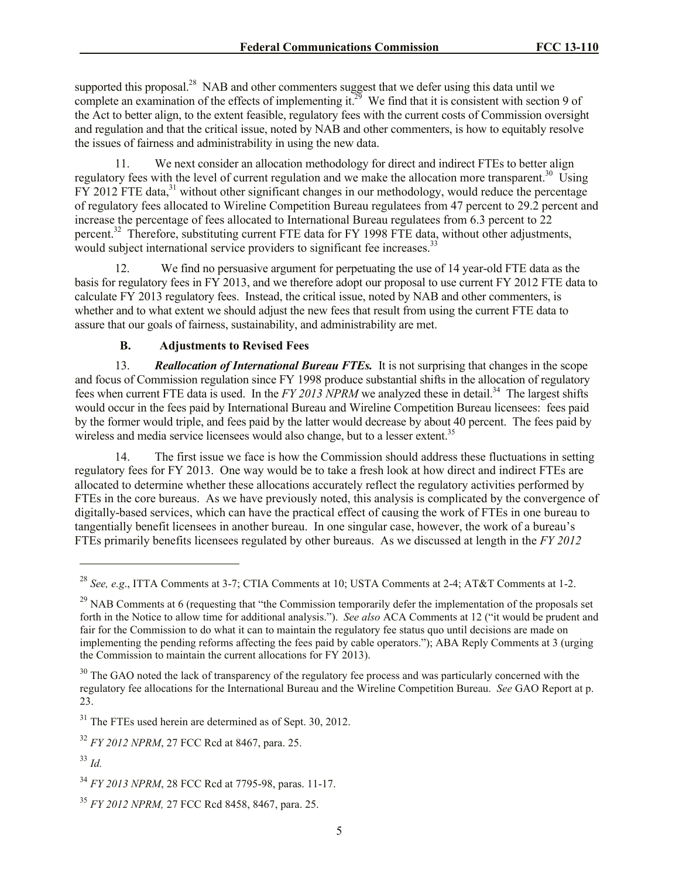supported this proposal.<sup>28</sup> NAB and other commenters suggest that we defer using this data until we complete an examination of the effects of implementing it.<sup>29</sup> We find that it is consistent with section 9 of the Act to better align, to the extent feasible, regulatory fees with the current costs of Commission oversight and regulation and that the critical issue, noted by NAB and other commenters, is how to equitably resolve the issues of fairness and administrability in using the new data.

11. We next consider an allocation methodology for direct and indirect FTEs to better align regulatory fees with the level of current regulation and we make the allocation more transparent.<sup>30</sup> Using FY 2012 FTE data,<sup>31</sup> without other significant changes in our methodology, would reduce the percentage of regulatory fees allocated to Wireline Competition Bureau regulatees from 47 percent to 29.2 percent and increase the percentage of fees allocated to International Bureau regulatees from 6.3 percent to 22 percent.<sup>32</sup> Therefore, substituting current FTE data for FY 1998 FTE data, without other adjustments, would subject international service providers to significant fee increases.<sup>33</sup>

12. We find no persuasive argument for perpetuating the use of 14 year-old FTE data as the basis for regulatory fees in FY 2013, and we therefore adopt our proposal to use current FY 2012 FTE data to calculate FY 2013 regulatory fees. Instead, the critical issue, noted by NAB and other commenters, is whether and to what extent we should adjust the new fees that result from using the current FTE data to assure that our goals of fairness, sustainability, and administrability are met.

# **B. Adjustments to Revised Fees**

13. *Reallocation of International Bureau FTEs.* It is not surprising that changes in the scope and focus of Commission regulation since FY 1998 produce substantial shifts in the allocation of regulatory fees when current FTE data is used. In the *FY 2013 NPRM* we analyzed these in detail.<sup>34</sup> The largest shifts would occur in the fees paid by International Bureau and Wireline Competition Bureau licensees: fees paid by the former would triple, and fees paid by the latter would decrease by about 40 percent. The fees paid by wireless and media service licensees would also change, but to a lesser extent.<sup>35</sup>

14. The first issue we face is how the Commission should address these fluctuations in setting regulatory fees for FY 2013. One way would be to take a fresh look at how direct and indirect FTEs are allocated to determine whether these allocations accurately reflect the regulatory activities performed by FTEs in the core bureaus. As we have previously noted, this analysis is complicated by the convergence of digitally-based services, which can have the practical effect of causing the work of FTEs in one bureau to tangentially benefit licensees in another bureau. In one singular case, however, the work of a bureau's FTEs primarily benefits licensees regulated by other bureaus. As we discussed at length in the *FY 2012* 

<sup>28</sup> *See, e.g*., ITTA Comments at 3-7; CTIA Comments at 10; USTA Comments at 2-4; AT&T Comments at 1-2.

<sup>&</sup>lt;sup>29</sup> NAB Comments at 6 (requesting that "the Commission temporarily defer the implementation of the proposals set forth in the Notice to allow time for additional analysis."). *See also* ACA Comments at 12 ("it would be prudent and fair for the Commission to do what it can to maintain the regulatory fee status quo until decisions are made on implementing the pending reforms affecting the fees paid by cable operators."); ABA Reply Comments at 3 (urging the Commission to maintain the current allocations for FY 2013).

<sup>&</sup>lt;sup>30</sup> The GAO noted the lack of transparency of the regulatory fee process and was particularly concerned with the regulatory fee allocations for the International Bureau and the Wireline Competition Bureau. *See* GAO Report at p. 23.

 $31$  The FTEs used herein are determined as of Sept. 30, 2012.

<sup>32</sup> *FY 2012 NPRM*, 27 FCC Rcd at 8467, para. 25.

<sup>33</sup> *Id.*

<sup>34</sup> *FY 2013 NPRM*, 28 FCC Rcd at 7795-98, paras. 11-17.

<sup>35</sup> *FY 2012 NPRM,* 27 FCC Rcd 8458, 8467, para. 25.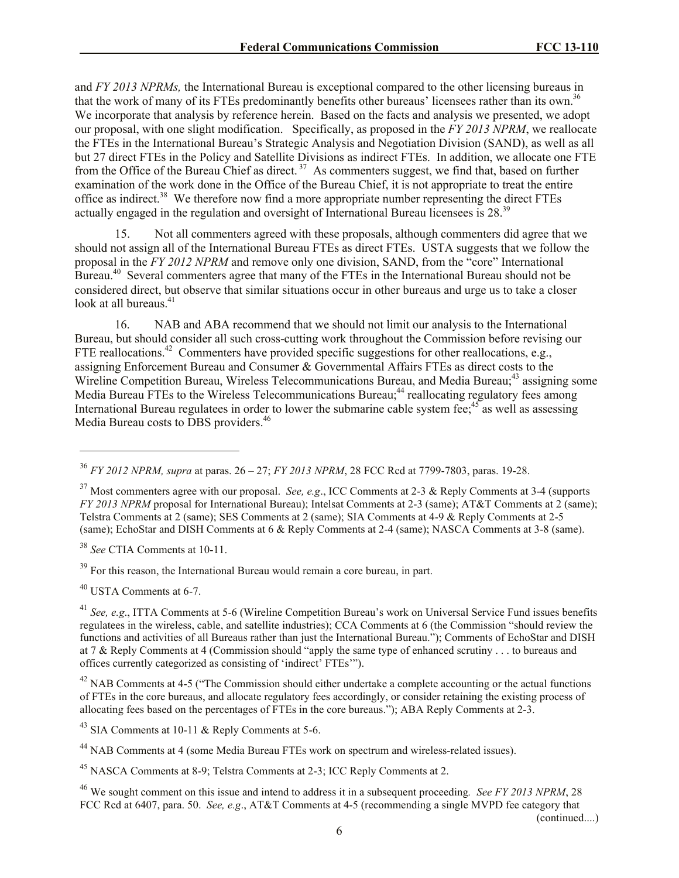and *FY 2013 NPRMs,* the International Bureau is exceptional compared to the other licensing bureaus in that the work of many of its FTEs predominantly benefits other bureaus' licensees rather than its own.<sup>36</sup> We incorporate that analysis by reference herein. Based on the facts and analysis we presented, we adopt our proposal, with one slight modification. Specifically, as proposed in the *FY 2013 NPRM*, we reallocate the FTEs in the International Bureau's Strategic Analysis and Negotiation Division (SAND), as well as all but 27 direct FTEs in the Policy and Satellite Divisions as indirect FTEs. In addition, we allocate one FTE from the Office of the Bureau Chief as direct.<sup>37</sup> As commenters suggest, we find that, based on further examination of the work done in the Office of the Bureau Chief, it is not appropriate to treat the entire office as indirect.<sup>38</sup> We therefore now find a more appropriate number representing the direct FTEs actually engaged in the regulation and oversight of International Bureau licensees is 28.<sup>39</sup>

15. Not all commenters agreed with these proposals, although commenters did agree that we should not assign all of the International Bureau FTEs as direct FTEs. USTA suggests that we follow the proposal in the *FY 2012 NPRM* and remove only one division, SAND, from the "core" International Bureau.<sup>40</sup> Several commenters agree that many of the FTEs in the International Bureau should not be considered direct, but observe that similar situations occur in other bureaus and urge us to take a closer look at all bureaus.<sup>41</sup>

16. NAB and ABA recommend that we should not limit our analysis to the International Bureau, but should consider all such cross-cutting work throughout the Commission before revising our FTE reallocations.<sup>42</sup> Commenters have provided specific suggestions for other reallocations, e.g., assigning Enforcement Bureau and Consumer & Governmental Affairs FTEs as direct costs to the Wireline Competition Bureau, Wireless Telecommunications Bureau, and Media Bureau;<sup>43</sup> assigning some Media Bureau FTEs to the Wireless Telecommunications Bureau;<sup>44</sup> reallocating regulatory fees among International Bureau regulatees in order to lower the submarine cable system fee;  $45$  as well as assessing Media Bureau costs to DBS providers.<sup>46</sup>

<sup>38</sup> *See* CTIA Comments at 10-11.

 $39$  For this reason, the International Bureau would remain a core bureau, in part.

<sup>40</sup> USTA Comments at 6-7.

 $\overline{a}$ 

<sup>42</sup> NAB Comments at 4-5 ("The Commission should either undertake a complete accounting or the actual functions of FTEs in the core bureaus, and allocate regulatory fees accordingly, or consider retaining the existing process of allocating fees based on the percentages of FTEs in the core bureaus."); ABA Reply Comments at 2-3.

<sup>43</sup> SIA Comments at 10-11 & Reply Comments at 5-6.

<sup>44</sup> NAB Comments at 4 (some Media Bureau FTEs work on spectrum and wireless-related issues).

<sup>45</sup> NASCA Comments at 8-9; Telstra Comments at 2-3; ICC Reply Comments at 2.

<sup>46</sup> We sought comment on this issue and intend to address it in a subsequent proceeding*. See FY 2013 NPRM*, 28 FCC Rcd at 6407, para. 50. *See, e.g*., AT&T Comments at 4-5 (recommending a single MVPD fee category that

(continued....)

<sup>36</sup> *FY 2012 NPRM, supra* at paras. 26 – 27; *FY 2013 NPRM*, 28 FCC Rcd at 7799-7803, paras. 19-28.

<sup>37</sup> Most commenters agree with our proposal. *See, e.g*., ICC Comments at 2-3 & Reply Comments at 3-4 (supports *FY 2013 NPRM* proposal for International Bureau); Intelsat Comments at 2-3 (same); AT&T Comments at 2 (same); Telstra Comments at 2 (same); SES Comments at 2 (same); SIA Comments at 4-9 & Reply Comments at 2-5 (same); EchoStar and DISH Comments at 6 & Reply Comments at 2-4 (same); NASCA Comments at 3-8 (same).

<sup>41</sup> *See, e.g*., ITTA Comments at 5-6 (Wireline Competition Bureau's work on Universal Service Fund issues benefits regulatees in the wireless, cable, and satellite industries); CCA Comments at 6 (the Commission "should review the functions and activities of all Bureaus rather than just the International Bureau."); Comments of EchoStar and DISH at 7 & Reply Comments at 4 (Commission should "apply the same type of enhanced scrutiny . . . to bureaus and offices currently categorized as consisting of 'indirect' FTEs'").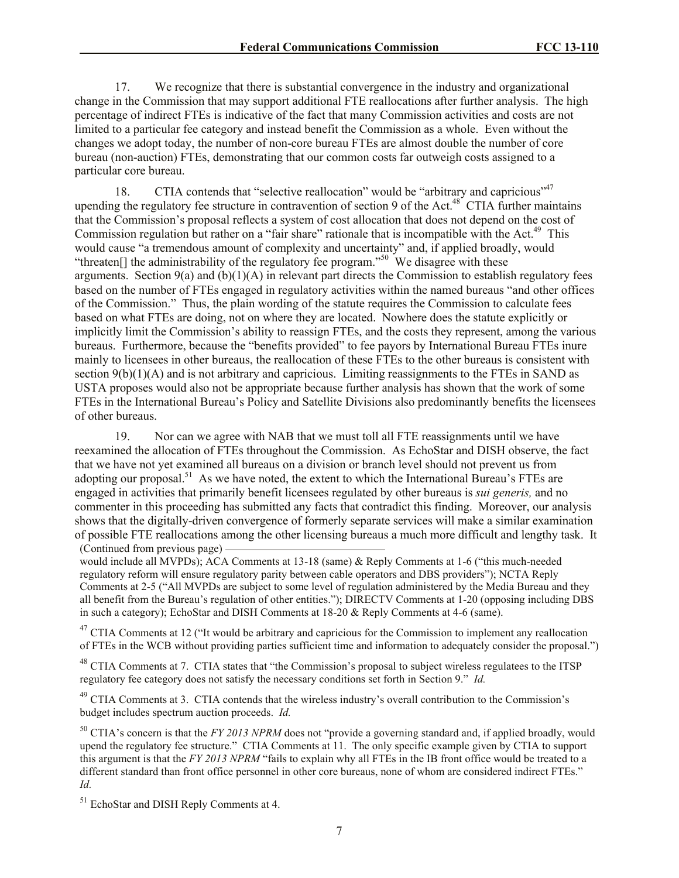17. We recognize that there is substantial convergence in the industry and organizational change in the Commission that may support additional FTE reallocations after further analysis. The high percentage of indirect FTEs is indicative of the fact that many Commission activities and costs are not limited to a particular fee category and instead benefit the Commission as a whole. Even without the changes we adopt today, the number of non-core bureau FTEs are almost double the number of core bureau (non-auction) FTEs, demonstrating that our common costs far outweigh costs assigned to a particular core bureau.

18. CTIA contends that "selective reallocation" would be "arbitrary and capricious"<sup>47</sup> upending the regulatory fee structure in contravention of section 9 of the Act.<sup>48</sup> CTIA further maintains that the Commission's proposal reflects a system of cost allocation that does not depend on the cost of Commission regulation but rather on a "fair share" rationale that is incompatible with the Act.<sup>49</sup> This would cause "a tremendous amount of complexity and uncertainty" and, if applied broadly, would "threaten<sup>[]</sup> the administrability of the regulatory fee program."<sup>50</sup> We disagree with these arguments. Section  $9(a)$  and  $(b)(1)(A)$  in relevant part directs the Commission to establish regulatory fees based on the number of FTEs engaged in regulatory activities within the named bureaus "and other offices of the Commission." Thus, the plain wording of the statute requires the Commission to calculate fees based on what FTEs are doing, not on where they are located. Nowhere does the statute explicitly or implicitly limit the Commission's ability to reassign FTEs, and the costs they represent, among the various bureaus. Furthermore, because the "benefits provided" to fee payors by International Bureau FTEs inure mainly to licensees in other bureaus, the reallocation of these FTEs to the other bureaus is consistent with section  $9(b)(1)(A)$  and is not arbitrary and capricious. Limiting reassignments to the FTEs in SAND as USTA proposes would also not be appropriate because further analysis has shown that the work of some FTEs in the International Bureau's Policy and Satellite Divisions also predominantly benefits the licensees of other bureaus.

19. Nor can we agree with NAB that we must toll all FTE reassignments until we have reexamined the allocation of FTEs throughout the Commission. As EchoStar and DISH observe, the fact that we have not yet examined all bureaus on a division or branch level should not prevent us from adopting our proposal.<sup>51</sup> As we have noted, the extent to which the International Bureau's FTEs are engaged in activities that primarily benefit licensees regulated by other bureaus is *sui generis,* and no commenter in this proceeding has submitted any facts that contradict this finding. Moreover, our analysis shows that the digitally-driven convergence of formerly separate services will make a similar examination of possible FTE reallocations among the other licensing bureaus a much more difficult and lengthy task. It (Continued from previous page)

would include all MVPDs); ACA Comments at 13-18 (same) & Reply Comments at 1-6 ("this much-needed regulatory reform will ensure regulatory parity between cable operators and DBS providers"); NCTA Reply Comments at 2-5 ("All MVPDs are subject to some level of regulation administered by the Media Bureau and they all benefit from the Bureau's regulation of other entities."); DIRECTV Comments at 1-20 (opposing including DBS in such a category); EchoStar and DISH Comments at 18-20 & Reply Comments at 4-6 (same).

 $47$  CTIA Comments at 12 ("It would be arbitrary and capricious for the Commission to implement any reallocation of FTEs in the WCB without providing parties sufficient time and information to adequately consider the proposal.")

<sup>48</sup> CTIA Comments at 7. CTIA states that "the Commission's proposal to subject wireless regulatees to the ITSP regulatory fee category does not satisfy the necessary conditions set forth in Section 9." *Id.*

<sup>49</sup> CTIA Comments at 3. CTIA contends that the wireless industry's overall contribution to the Commission's budget includes spectrum auction proceeds. *Id.*

<sup>50</sup> CTIA's concern is that the *FY 2013 NPRM* does not "provide a governing standard and, if applied broadly, would upend the regulatory fee structure." CTIA Comments at 11. The only specific example given by CTIA to support this argument is that the *FY 2013 NPRM* "fails to explain why all FTEs in the IB front office would be treated to a different standard than front office personnel in other core bureaus, none of whom are considered indirect FTEs." *Id.*

<sup>51</sup> EchoStar and DISH Reply Comments at 4.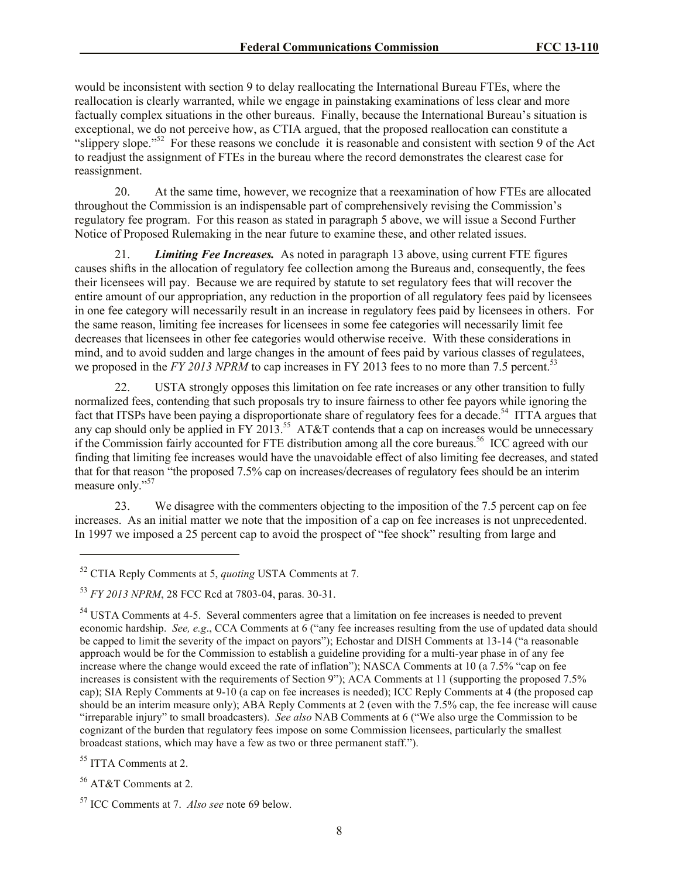would be inconsistent with section 9 to delay reallocating the International Bureau FTEs, where the reallocation is clearly warranted, while we engage in painstaking examinations of less clear and more factually complex situations in the other bureaus. Finally, because the International Bureau's situation is exceptional, we do not perceive how, as CTIA argued, that the proposed reallocation can constitute a "slippery slope."<sup>52</sup> For these reasons we conclude it is reasonable and consistent with section 9 of the Act to readjust the assignment of FTEs in the bureau where the record demonstrates the clearest case for reassignment.

20. At the same time, however, we recognize that a reexamination of how FTEs are allocated throughout the Commission is an indispensable part of comprehensively revising the Commission's regulatory fee program. For this reason as stated in paragraph 5 above, we will issue a Second Further Notice of Proposed Rulemaking in the near future to examine these, and other related issues.

21. *Limiting Fee Increases.* As noted in paragraph 13 above, using current FTE figures causes shifts in the allocation of regulatory fee collection among the Bureaus and, consequently, the fees their licensees will pay. Because we are required by statute to set regulatory fees that will recover the entire amount of our appropriation, any reduction in the proportion of all regulatory fees paid by licensees in one fee category will necessarily result in an increase in regulatory fees paid by licensees in others. For the same reason, limiting fee increases for licensees in some fee categories will necessarily limit fee decreases that licensees in other fee categories would otherwise receive. With these considerations in mind, and to avoid sudden and large changes in the amount of fees paid by various classes of regulatees, we proposed in the *FY 2013 NPRM* to cap increases in FY 2013 fees to no more than 7.5 percent.<sup>53</sup>

22. USTA strongly opposes this limitation on fee rate increases or any other transition to fully normalized fees, contending that such proposals try to insure fairness to other fee payors while ignoring the fact that ITSPs have been paying a disproportionate share of regulatory fees for a decade.<sup>54</sup> ITTA argues that any cap should only be applied in FY 2013.<sup>55</sup> AT&T contends that a cap on increases would be unnecessary if the Commission fairly accounted for FTE distribution among all the core bureaus. <sup>56</sup> ICC agreed with our finding that limiting fee increases would have the unavoidable effect of also limiting fee decreases, and stated that for that reason "the proposed 7.5% cap on increases/decreases of regulatory fees should be an interim measure only." 57

23. We disagree with the commenters objecting to the imposition of the 7.5 percent cap on fee increases. As an initial matter we note that the imposition of a cap on fee increases is not unprecedented. In 1997 we imposed a 25 percent cap to avoid the prospect of "fee shock" resulting from large and

<sup>55</sup> ITTA Comments at 2.

<sup>52</sup> CTIA Reply Comments at 5, *quoting* USTA Comments at 7.

<sup>53</sup> *FY 2013 NPRM*, 28 FCC Rcd at 7803-04, paras. 30-31.

<sup>&</sup>lt;sup>54</sup> USTA Comments at 4-5. Several commenters agree that a limitation on fee increases is needed to prevent economic hardship. *See, e.g*., CCA Comments at 6 ("any fee increases resulting from the use of updated data should be capped to limit the severity of the impact on payors"); Echostar and DISH Comments at 13-14 ("a reasonable approach would be for the Commission to establish a guideline providing for a multi-year phase in of any fee increase where the change would exceed the rate of inflation"); NASCA Comments at 10 (a 7.5% "cap on fee increases is consistent with the requirements of Section 9"); ACA Comments at 11 (supporting the proposed 7.5% cap); SIA Reply Comments at 9-10 (a cap on fee increases is needed); ICC Reply Comments at 4 (the proposed cap should be an interim measure only); ABA Reply Comments at 2 (even with the 7.5% cap, the fee increase will cause "irreparable injury" to small broadcasters). *See also* NAB Comments at 6 ("We also urge the Commission to be cognizant of the burden that regulatory fees impose on some Commission licensees, particularly the smallest broadcast stations, which may have a few as two or three permanent staff.").

<sup>56</sup> AT&T Comments at 2.

<sup>57</sup> ICC Comments at 7. *Also see* note 69 below.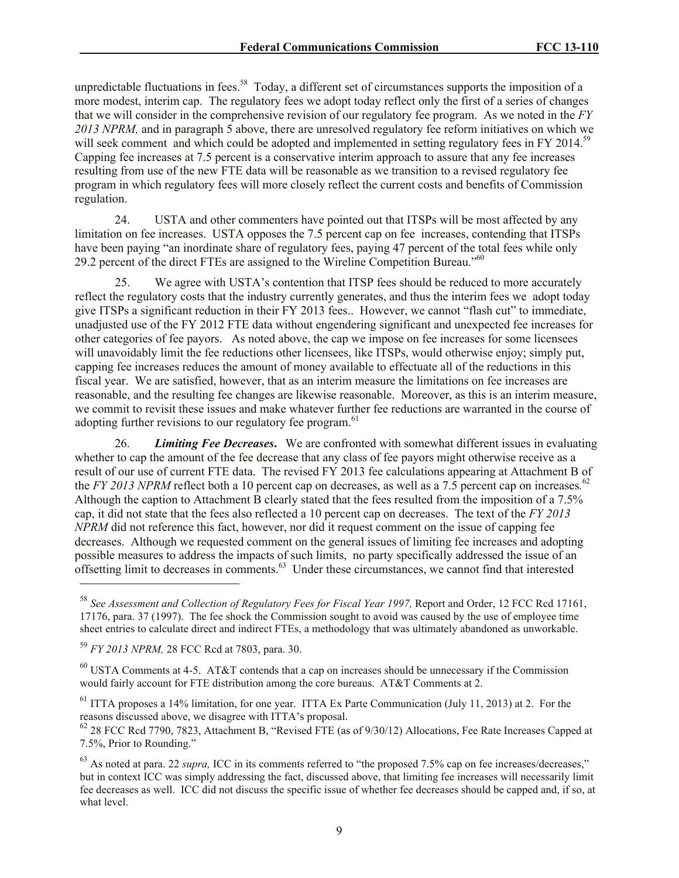unpredictable fluctuations in fees.<sup>58</sup> Today, a different set of circumstances supports the imposition of a more modest, interim cap. The regulatory fees we adopt today reflect only the first of a series of changes that we will consider in the comprehensive revision of our regulatory fee program. As we noted in the *FY 2013 NPRM,* and in paragraph 5 above, there are unresolved regulatory fee reform initiatives on which we will seek comment and which could be adopted and implemented in setting regulatory fees in FY 2014.<sup>59</sup> Capping fee increases at 7.5 percent is a conservative interim approach to assure that any fee increases resulting from use of the new FTE data will be reasonable as we transition to a revised regulatory fee program in which regulatory fees will more closely reflect the current costs and benefits of Commission regulation.

24. USTA and other commenters have pointed out that ITSPs will be most affected by any limitation on fee increases. USTA opposes the 7.5 percent cap on fee increases, contending that ITSPs have been paying "an inordinate share of regulatory fees, paying 47 percent of the total fees while only 29.2 percent of the direct FTEs are assigned to the Wireline Competition Bureau."<sup>60</sup>

25. We agree with USTA's contention that ITSP fees should be reduced to more accurately reflect the regulatory costs that the industry currently generates, and thus the interim fees we adopt today give ITSPs a significant reduction in their FY 2013 fees.. However, we cannot "flash cut" to immediate, unadjusted use of the FY 2012 FTE data without engendering significant and unexpected fee increases for other categories of fee payors. As noted above, the cap we impose on fee increases for some licensees will unavoidably limit the fee reductions other licensees, like ITSPs, would otherwise enjoy; simply put, capping fee increases reduces the amount of money available to effectuate all of the reductions in this fiscal year. We are satisfied, however, that as an interim measure the limitations on fee increases are reasonable, and the resulting fee changes are likewise reasonable. Moreover, as this is an interim measure, we commit to revisit these issues and make whatever further fee reductions are warranted in the course of adopting further revisions to our regulatory fee program.<sup>61</sup>

26. *Limiting Fee Decreases***.** We are confronted with somewhat different issues in evaluating whether to cap the amount of the fee decrease that any class of fee payors might otherwise receive as a result of our use of current FTE data. The revised FY 2013 fee calculations appearing at Attachment B of the *FY 2013 NPRM* reflect both a 10 percent cap on decreases, as well as a 7.5 percent cap on increases*.* 62 Although the caption to Attachment B clearly stated that the fees resulted from the imposition of a 7.5% cap, it did not state that the fees also reflected a 10 percent cap on decreases. The text of the *FY 2013 NPRM* did not reference this fact, however, nor did it request comment on the issue of capping fee decreases. Although we requested comment on the general issues of limiting fee increases and adopting possible measures to address the impacts of such limits, no party specifically addressed the issue of an offsetting limit to decreases in comments.<sup>63</sup> Under these circumstances, we cannot find that interested

 $\overline{a}$ 

 $^{60}$  USTA Comments at 4-5. AT&T contends that a cap on increases should be unnecessary if the Commission would fairly account for FTE distribution among the core bureaus. AT&T Comments at 2.

<sup>61</sup> ITTA proposes a 14% limitation, for one year. ITTA Ex Parte Communication (July 11, 2013) at 2. For the reasons discussed above, we disagree with ITTA's proposal.

<sup>62</sup> 28 FCC Rcd 7790, 7823, Attachment B, "Revised FTE (as of 9/30/12) Allocations, Fee Rate Increases Capped at 7.5%, Prior to Rounding."

<sup>63</sup> As noted at para. 22 *supra,* ICC in its comments referred to "the proposed 7.5% cap on fee increases/decreases," but in context ICC was simply addressing the fact, discussed above, that limiting fee increases will necessarily limit fee decreases as well. ICC did not discuss the specific issue of whether fee decreases should be capped and, if so, at what level.

<sup>&</sup>lt;sup>58</sup> See Assessment and Collection of Regulatory Fees for Fiscal Year 1997, Report and Order, 12 FCC Rcd 17161, 17176, para. 37 (1997). The fee shock the Commission sought to avoid was caused by the use of employee time sheet entries to calculate direct and indirect FTEs, a methodology that was ultimately abandoned as unworkable.

<sup>59</sup> *FY 2013 NPRM,* 28 FCC Rcd at 7803, para. 30.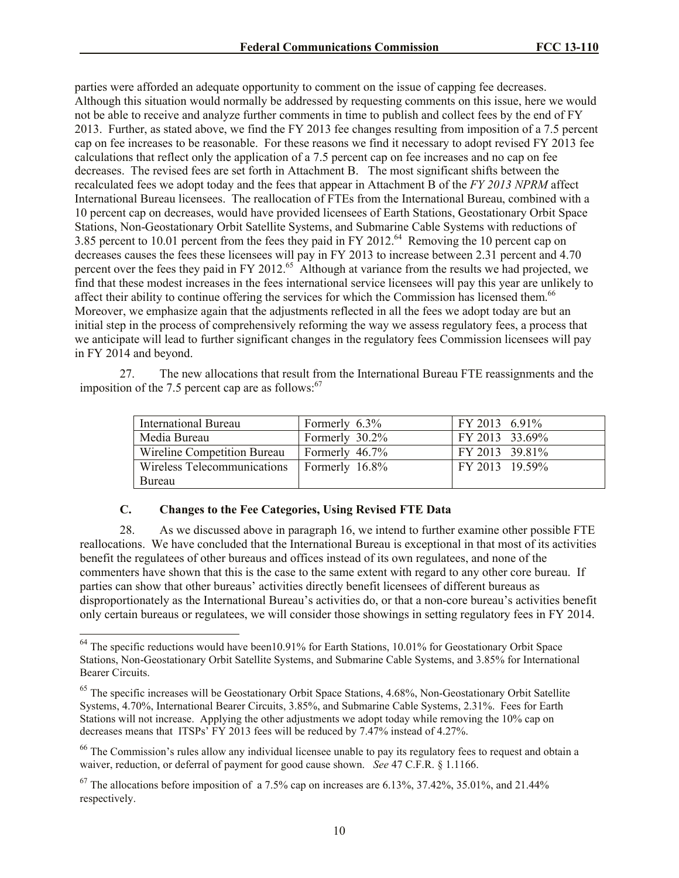parties were afforded an adequate opportunity to comment on the issue of capping fee decreases. Although this situation would normally be addressed by requesting comments on this issue, here we would not be able to receive and analyze further comments in time to publish and collect fees by the end of FY 2013. Further, as stated above, we find the FY 2013 fee changes resulting from imposition of a 7.5 percent cap on fee increases to be reasonable. For these reasons we find it necessary to adopt revised FY 2013 fee calculations that reflect only the application of a 7.5 percent cap on fee increases and no cap on fee decreases. The revised fees are set forth in Attachment B. The most significant shifts between the recalculated fees we adopt today and the fees that appear in Attachment B of the *FY 2013 NPRM* affect International Bureau licensees. The reallocation of FTEs from the International Bureau, combined with a 10 percent cap on decreases, would have provided licensees of Earth Stations, Geostationary Orbit Space Stations, Non-Geostationary Orbit Satellite Systems, and Submarine Cable Systems with reductions of 3.85 percent to 10.01 percent from the fees they paid in FY 2012.<sup>64</sup> Removing the 10 percent cap on decreases causes the fees these licensees will pay in FY 2013 to increase between 2.31 percent and 4.70 percent over the fees they paid in FY 2012.<sup>65</sup> Although at variance from the results we had projected, we find that these modest increases in the fees international service licensees will pay this year are unlikely to affect their ability to continue offering the services for which the Commission has licensed them.<sup>66</sup> Moreover, we emphasize again that the adjustments reflected in all the fees we adopt today are but an initial step in the process of comprehensively reforming the way we assess regulatory fees, a process that we anticipate will lead to further significant changes in the regulatory fees Commission licensees will pay in FY 2014 and beyond.

27. The new allocations that result from the International Bureau FTE reassignments and the imposition of the 7.5 percent cap are as follows: $67$ 

| <b>International Bureau</b> | Formerly 6.3%     | FY 2013 6.91%  |
|-----------------------------|-------------------|----------------|
| Media Bureau                | Formerly 30.2%    | FY 2013 33.69% |
| Wireline Competition Bureau | Formerly $46.7\%$ | FY 2013 39.81% |
| Wireless Telecommunications | Formerly 16.8%    | FY 2013 19.59% |
| Bureau                      |                   |                |

### **C. Changes to the Fee Categories, Using Revised FTE Data**

 $\overline{a}$ 

28. As we discussed above in paragraph 16, we intend to further examine other possible FTE reallocations. We have concluded that the International Bureau is exceptional in that most of its activities benefit the regulatees of other bureaus and offices instead of its own regulatees, and none of the commenters have shown that this is the case to the same extent with regard to any other core bureau. If parties can show that other bureaus' activities directly benefit licensees of different bureaus as disproportionately as the International Bureau's activities do, or that a non-core bureau's activities benefit only certain bureaus or regulatees, we will consider those showings in setting regulatory fees in FY 2014.

 $64$  The specific reductions would have been10.91% for Earth Stations, 10.01% for Geostationary Orbit Space Stations, Non-Geostationary Orbit Satellite Systems, and Submarine Cable Systems, and 3.85% for International Bearer Circuits.

<sup>&</sup>lt;sup>65</sup> The specific increases will be Geostationary Orbit Space Stations, 4.68%, Non-Geostationary Orbit Satellite Systems, 4.70%, International Bearer Circuits, 3.85%, and Submarine Cable Systems, 2.31%. Fees for Earth Stations will not increase. Applying the other adjustments we adopt today while removing the 10% cap on decreases means that ITSPs' FY 2013 fees will be reduced by 7.47% instead of 4.27%.

 $66$  The Commission's rules allow any individual licensee unable to pay its regulatory fees to request and obtain a waiver, reduction, or deferral of payment for good cause shown. *See* 47 C.F.R. § 1.1166.

 $^{67}$  The allocations before imposition of a 7.5% cap on increases are 6.13%, 37.42%, 35.01%, and 21.44% respectively.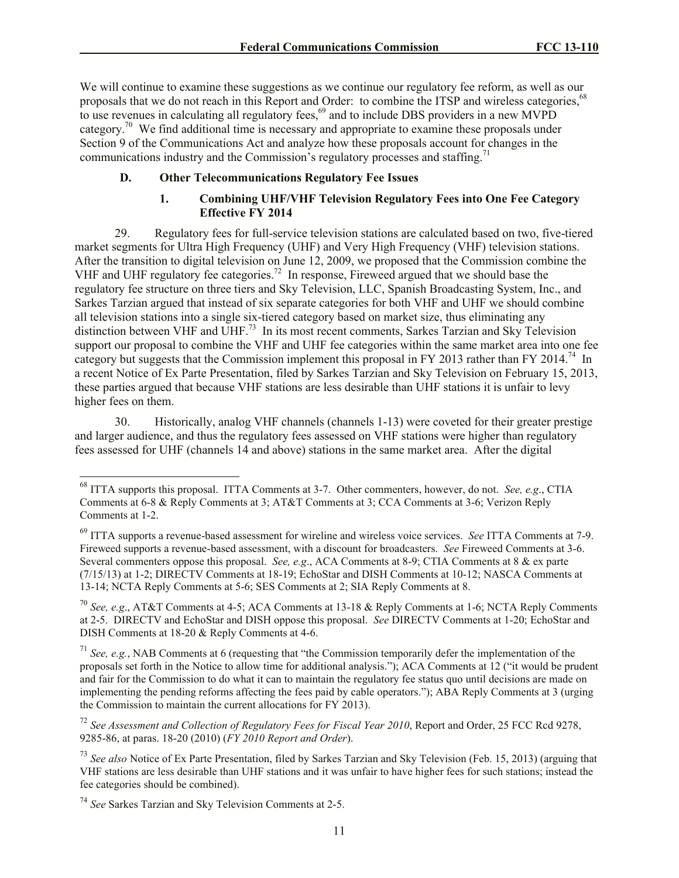We will continue to examine these suggestions as we continue our regulatory fee reform, as well as our proposals that we do not reach in this Report and Order: to combine the ITSP and wireless categories,<sup>68</sup> to use revenues in calculating all regulatory fees, $69$  and to include DBS providers in a new MVPD category.<sup>70</sup> We find additional time is necessary and appropriate to examine these proposals under Section 9 of the Communications Act and analyze how these proposals account for changes in the communications industry and the Commission's regulatory processes and staffing.<sup>71</sup>

## **D. Other Telecommunications Regulatory Fee Issues**

#### **1. Combining UHF/VHF Television Regulatory Fees into One Fee Category Effective FY 2014**

29. Regulatory fees for full-service television stations are calculated based on two, five-tiered market segments for Ultra High Frequency (UHF) and Very High Frequency (VHF) television stations. After the transition to digital television on June 12, 2009, we proposed that the Commission combine the VHF and UHF regulatory fee categories.<sup>72</sup> In response, Fireweed argued that we should base the regulatory fee structure on three tiers and Sky Television, LLC, Spanish Broadcasting System, Inc., and Sarkes Tarzian argued that instead of six separate categories for both VHF and UHF we should combine all television stations into a single six-tiered category based on market size, thus eliminating any distinction between VHF and UHF.<sup>73</sup> In its most recent comments, Sarkes Tarzian and Sky Television support our proposal to combine the VHF and UHF fee categories within the same market area into one fee category but suggests that the Commission implement this proposal in FY 2013 rather than FY 2014.<sup>74</sup> In a recent Notice of Ex Parte Presentation, filed by Sarkes Tarzian and Sky Television on February 15, 2013, these parties argued that because VHF stations are less desirable than UHF stations it is unfair to levy higher fees on them.

30. Historically, analog VHF channels (channels 1-13) were coveted for their greater prestige and larger audience, and thus the regulatory fees assessed on VHF stations were higher than regulatory fees assessed for UHF (channels 14 and above) stations in the same market area. After the digital

<sup>68</sup> ITTA supports this proposal. ITTA Comments at 3-7. Other commenters, however, do not. *See, e.g*., CTIA Comments at 6-8 & Reply Comments at 3; AT&T Comments at 3; CCA Comments at 3-6; Verizon Reply Comments at 1-2.

<sup>69</sup> ITTA supports a revenue-based assessment for wireline and wireless voice services. *See* ITTA Comments at 7-9. Fireweed supports a revenue-based assessment, with a discount for broadcasters. *See* Fireweed Comments at 3-6. Several commenters oppose this proposal. *See, e.g*., ACA Comments at 8-9; CTIA Comments at 8 & ex parte (7/15/13) at 1-2; DIRECTV Comments at 18-19; EchoStar and DISH Comments at 10-12; NASCA Comments at 13-14; NCTA Reply Comments at 5-6; SES Comments at 2; SIA Reply Comments at 8.

<sup>70</sup> *See, e.g*., AT&T Comments at 4-5; ACA Comments at 13-18 & Reply Comments at 1-6; NCTA Reply Comments at 2-5. DIRECTV and EchoStar and DISH oppose this proposal. *See* DIRECTV Comments at 1-20; EchoStar and DISH Comments at 18-20 & Reply Comments at 4-6.

<sup>71</sup> *See, e.g.*, NAB Comments at 6 (requesting that "the Commission temporarily defer the implementation of the proposals set forth in the Notice to allow time for additional analysis."); ACA Comments at 12 ("it would be prudent and fair for the Commission to do what it can to maintain the regulatory fee status quo until decisions are made on implementing the pending reforms affecting the fees paid by cable operators."); ABA Reply Comments at 3 (urging the Commission to maintain the current allocations for FY 2013).

<sup>72</sup> *See Assessment and Collection of Regulatory Fees for Fiscal Year 2010*, Report and Order, 25 FCC Rcd 9278, 9285-86, at paras. 18-20 (2010) (*FY 2010 Report and Order*).

<sup>73</sup> *See also* Notice of Ex Parte Presentation, filed by Sarkes Tarzian and Sky Television (Feb. 15, 2013) (arguing that VHF stations are less desirable than UHF stations and it was unfair to have higher fees for such stations; instead the fee categories should be combined).

<sup>74</sup> *See* Sarkes Tarzian and Sky Television Comments at 2-5.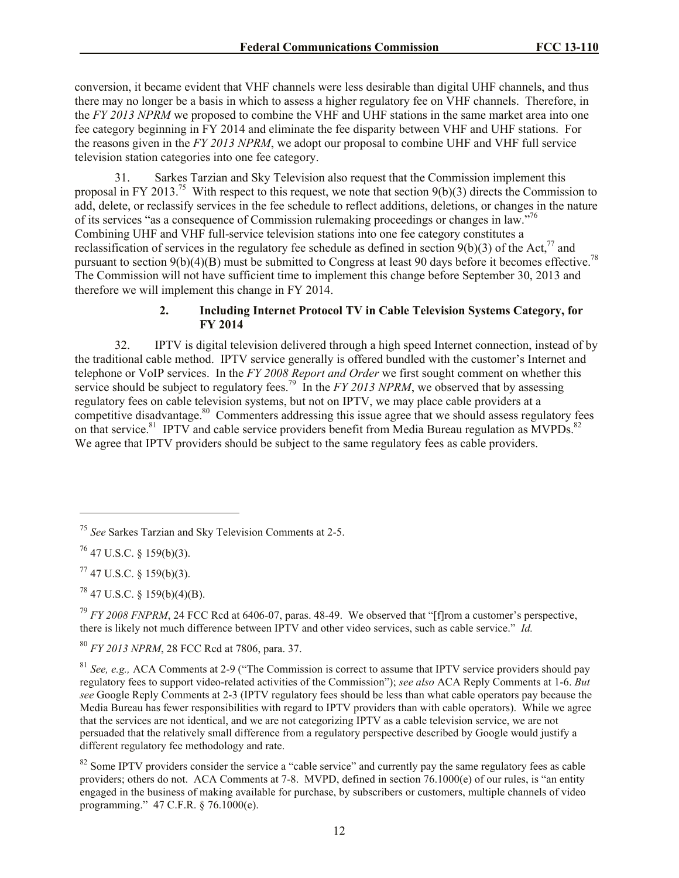conversion, it became evident that VHF channels were less desirable than digital UHF channels, and thus there may no longer be a basis in which to assess a higher regulatory fee on VHF channels. Therefore, in the *FY 2013 NPRM* we proposed to combine the VHF and UHF stations in the same market area into one fee category beginning in FY 2014 and eliminate the fee disparity between VHF and UHF stations. For the reasons given in the *FY 2013 NPRM*, we adopt our proposal to combine UHF and VHF full service television station categories into one fee category.

31. Sarkes Tarzian and Sky Television also request that the Commission implement this proposal in FY 2013.<sup>75</sup> With respect to this request, we note that section  $9(b)(3)$  directs the Commission to add, delete, or reclassify services in the fee schedule to reflect additions, deletions, or changes in the nature of its services "as a consequence of Commission rulemaking proceedings or changes in law."<sup>76</sup> Combining UHF and VHF full-service television stations into one fee category constitutes a reclassification of services in the regulatory fee schedule as defined in section  $9(b)(3)$  of the Act,<sup>77</sup> and pursuant to section 9(b)(4)(B) must be submitted to Congress at least 90 days before it becomes effective.<sup>78</sup> The Commission will not have sufficient time to implement this change before September 30, 2013 and therefore we will implement this change in FY 2014.

## **2. Including Internet Protocol TV in Cable Television Systems Category, for FY 2014**

32. IPTV is digital television delivered through a high speed Internet connection, instead of by the traditional cable method. IPTV service generally is offered bundled with the customer's Internet and telephone or VoIP services. In the *FY 2008 Report and Order* we first sought comment on whether this service should be subject to regulatory fees.<sup>79</sup> In the *FY 2013 NPRM*, we observed that by assessing regulatory fees on cable television systems, but not on IPTV, we may place cable providers at a competitive disadvantage.<sup>80</sup> Commenters addressing this issue agree that we should assess regulatory fees on that service.<sup>81</sup> IPTV and cable service providers benefit from Media Bureau regulation as MVPDs.<sup>82</sup> We agree that IPTV providers should be subject to the same regulatory fees as cable providers.

<sup>75</sup> *See* Sarkes Tarzian and Sky Television Comments at 2-5.

 $76$  47 U.S.C. § 159(b)(3).

 $77$  47 U.S.C. § 159(b)(3).

 $^{78}$  47 U.S.C. § 159(b)(4)(B).

<sup>79</sup> *FY 2008 FNPRM*, 24 FCC Rcd at 6406-07, paras. 48-49. We observed that "[f]rom a customer's perspective, there is likely not much difference between IPTV and other video services, such as cable service." *Id.*

<sup>80</sup> *FY 2013 NPRM*, 28 FCC Rcd at 7806, para. 37.

<sup>81</sup> *See, e.g.,* ACA Comments at 2-9 ("The Commission is correct to assume that IPTV service providers should pay regulatory fees to support video-related activities of the Commission"); *see also* ACA Reply Comments at 1-6. *But see* Google Reply Comments at 2-3 (IPTV regulatory fees should be less than what cable operators pay because the Media Bureau has fewer responsibilities with regard to IPTV providers than with cable operators). While we agree that the services are not identical, and we are not categorizing IPTV as a cable television service, we are not persuaded that the relatively small difference from a regulatory perspective described by Google would justify a different regulatory fee methodology and rate.

 $82$  Some IPTV providers consider the service a "cable service" and currently pay the same regulatory fees as cable providers; others do not. ACA Comments at 7-8. MVPD, defined in section 76.1000(e) of our rules, is "an entity engaged in the business of making available for purchase, by subscribers or customers, multiple channels of video programming." 47 C.F.R. § 76.1000(e).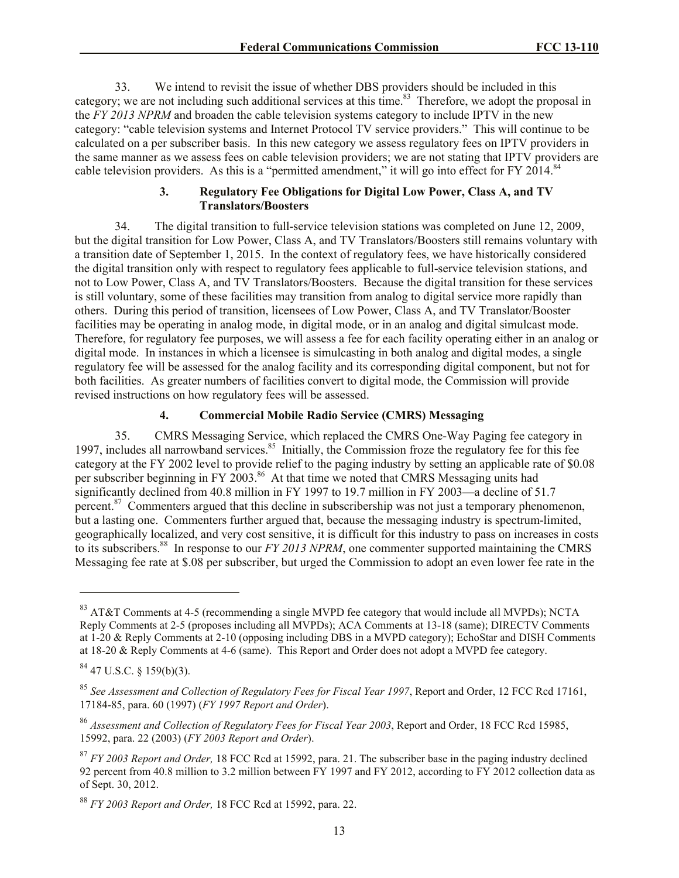33. We intend to revisit the issue of whether DBS providers should be included in this category; we are not including such additional services at this time.<sup>83</sup> Therefore, we adopt the proposal in the *FY 2013 NPRM* and broaden the cable television systems category to include IPTV in the new category: "cable television systems and Internet Protocol TV service providers." This will continue to be calculated on a per subscriber basis. In this new category we assess regulatory fees on IPTV providers in the same manner as we assess fees on cable television providers; we are not stating that IPTV providers are cable television providers. As this is a "permitted amendment," it will go into effect for FY 2014. $84$ 

### **3. Regulatory Fee Obligations for Digital Low Power, Class A, and TV Translators/Boosters**

34. The digital transition to full-service television stations was completed on June 12, 2009, but the digital transition for Low Power, Class A, and TV Translators/Boosters still remains voluntary with a transition date of September 1, 2015. In the context of regulatory fees, we have historically considered the digital transition only with respect to regulatory fees applicable to full-service television stations, and not to Low Power, Class A, and TV Translators/Boosters. Because the digital transition for these services is still voluntary, some of these facilities may transition from analog to digital service more rapidly than others. During this period of transition, licensees of Low Power, Class A, and TV Translator/Booster facilities may be operating in analog mode, in digital mode, or in an analog and digital simulcast mode. Therefore, for regulatory fee purposes, we will assess a fee for each facility operating either in an analog or digital mode. In instances in which a licensee is simulcasting in both analog and digital modes, a single regulatory fee will be assessed for the analog facility and its corresponding digital component, but not for both facilities. As greater numbers of facilities convert to digital mode, the Commission will provide revised instructions on how regulatory fees will be assessed.

### **4. Commercial Mobile Radio Service (CMRS) Messaging**

35. CMRS Messaging Service, which replaced the CMRS One-Way Paging fee category in 1997, includes all narrowband services.<sup>85</sup> Initially, the Commission froze the regulatory fee for this fee category at the FY 2002 level to provide relief to the paging industry by setting an applicable rate of \$0.08 per subscriber beginning in FY 2003.<sup>86</sup> At that time we noted that CMRS Messaging units had significantly declined from 40.8 million in FY 1997 to 19.7 million in FY 2003—a decline of 51.7 percent. $87$  Commenters argued that this decline in subscribership was not just a temporary phenomenon, but a lasting one. Commenters further argued that, because the messaging industry is spectrum-limited, geographically localized, and very cost sensitive, it is difficult for this industry to pass on increases in costs to its subscribers.<sup>88</sup> In response to our *FY 2013 NPRM*, one commenter supported maintaining the CMRS Messaging fee rate at \$.08 per subscriber, but urged the Commission to adopt an even lower fee rate in the

 $83$  AT&T Comments at 4-5 (recommending a single MVPD fee category that would include all MVPDs); NCTA Reply Comments at 2-5 (proposes including all MVPDs); ACA Comments at 13-18 (same); DIRECTV Comments at 1-20 & Reply Comments at 2-10 (opposing including DBS in a MVPD category); EchoStar and DISH Comments at 18-20 & Reply Comments at 4-6 (same). This Report and Order does not adopt a MVPD fee category.

 $84$  47 U.S.C. § 159(b)(3).

<sup>85</sup> *See Assessment and Collection of Regulatory Fees for Fiscal Year 1997*, Report and Order, 12 FCC Rcd 17161, 17184-85, para. 60 (1997) (*FY 1997 Report and Order*).

<sup>86</sup> *Assessment and Collection of Regulatory Fees for Fiscal Year 2003*, Report and Order, 18 FCC Rcd 15985, 15992, para. 22 (2003) (*FY 2003 Report and Order*).

<sup>87</sup> *FY 2003 Report and Order,* 18 FCC Rcd at 15992, para. 21. The subscriber base in the paging industry declined 92 percent from 40.8 million to 3.2 million between FY 1997 and FY 2012, according to FY 2012 collection data as of Sept. 30, 2012.

<sup>88</sup> *FY 2003 Report and Order,* 18 FCC Rcd at 15992, para. 22.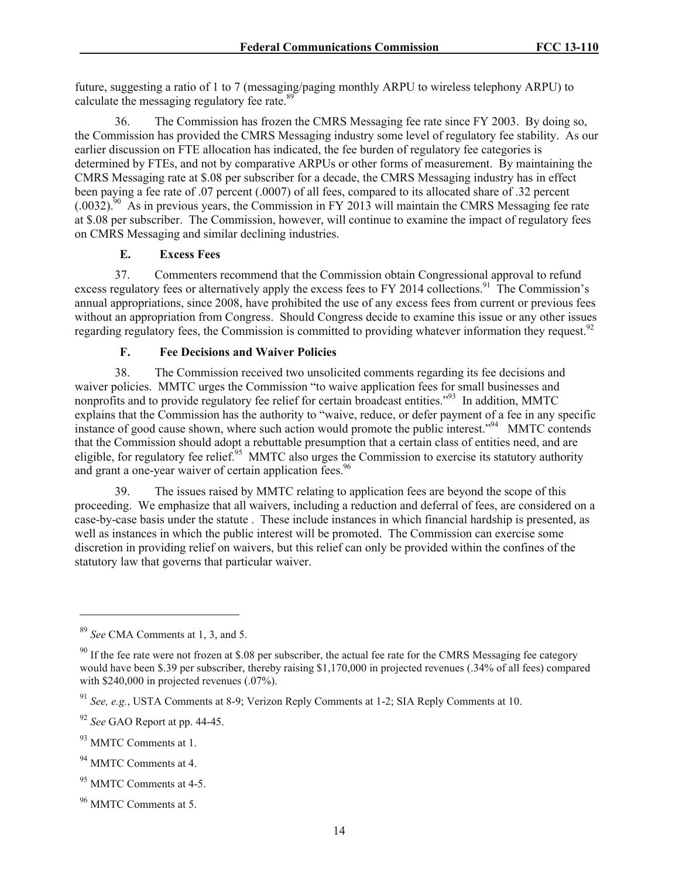future, suggesting a ratio of 1 to 7 (messaging/paging monthly ARPU to wireless telephony ARPU) to calculate the messaging regulatory fee rate.<sup>89</sup>

36. The Commission has frozen the CMRS Messaging fee rate since FY 2003. By doing so, the Commission has provided the CMRS Messaging industry some level of regulatory fee stability. As our earlier discussion on FTE allocation has indicated, the fee burden of regulatory fee categories is determined by FTEs, and not by comparative ARPUs or other forms of measurement. By maintaining the CMRS Messaging rate at \$.08 per subscriber for a decade, the CMRS Messaging industry has in effect been paying a fee rate of .07 percent (.0007) of all fees, compared to its allocated share of .32 percent  $(.0032).^{50}$  As in previous years, the Commission in FY 2013 will maintain the CMRS Messaging fee rate at \$.08 per subscriber. The Commission, however, will continue to examine the impact of regulatory fees on CMRS Messaging and similar declining industries.

## **E. Excess Fees**

37. Commenters recommend that the Commission obtain Congressional approval to refund excess regulatory fees or alternatively apply the excess fees to FY 2014 collections.<sup>91</sup> The Commission's annual appropriations, since 2008, have prohibited the use of any excess fees from current or previous fees without an appropriation from Congress. Should Congress decide to examine this issue or any other issues regarding regulatory fees, the Commission is committed to providing whatever information they request.<sup>92</sup>

# **F. Fee Decisions and Waiver Policies**

38. The Commission received two unsolicited comments regarding its fee decisions and waiver policies. MMTC urges the Commission "to waive application fees for small businesses and nonprofits and to provide regulatory fee relief for certain broadcast entities." 93 In addition, MMTC explains that the Commission has the authority to "waive, reduce, or defer payment of a fee in any specific instance of good cause shown, where such action would promote the public interest."<sup>94</sup> MMTC contends that the Commission should adopt a rebuttable presumption that a certain class of entities need, and are eligible, for regulatory fee relief.<sup>95</sup> MMTC also urges the Commission to exercise its statutory authority and grant a one-year waiver of certain application fees.<sup>96</sup>

39. The issues raised by MMTC relating to application fees are beyond the scope of this proceeding. We emphasize that all waivers, including a reduction and deferral of fees, are considered on a case-by-case basis under the statute . These include instances in which financial hardship is presented, as well as instances in which the public interest will be promoted. The Commission can exercise some discretion in providing relief on waivers, but this relief can only be provided within the confines of the statutory law that governs that particular waiver.

l

<sup>89</sup> *See* CMA Comments at 1, 3, and 5.

 $90$  If the fee rate were not frozen at \$.08 per subscriber, the actual fee rate for the CMRS Messaging fee category would have been \$.39 per subscriber, thereby raising \$1,170,000 in projected revenues (.34% of all fees) compared with \$240,000 in projected revenues  $(.07%)$ .

<sup>91</sup> *See, e.g.*, USTA Comments at 8-9; Verizon Reply Comments at 1-2; SIA Reply Comments at 10.

<sup>92</sup> *See* GAO Report at pp. 44-45.

<sup>&</sup>lt;sup>93</sup> MMTC Comments at 1.

<sup>&</sup>lt;sup>94</sup> MMTC Comments at 4.

 $95$  MMTC Comments at 4-5.

<sup>96</sup> MMTC Comments at 5.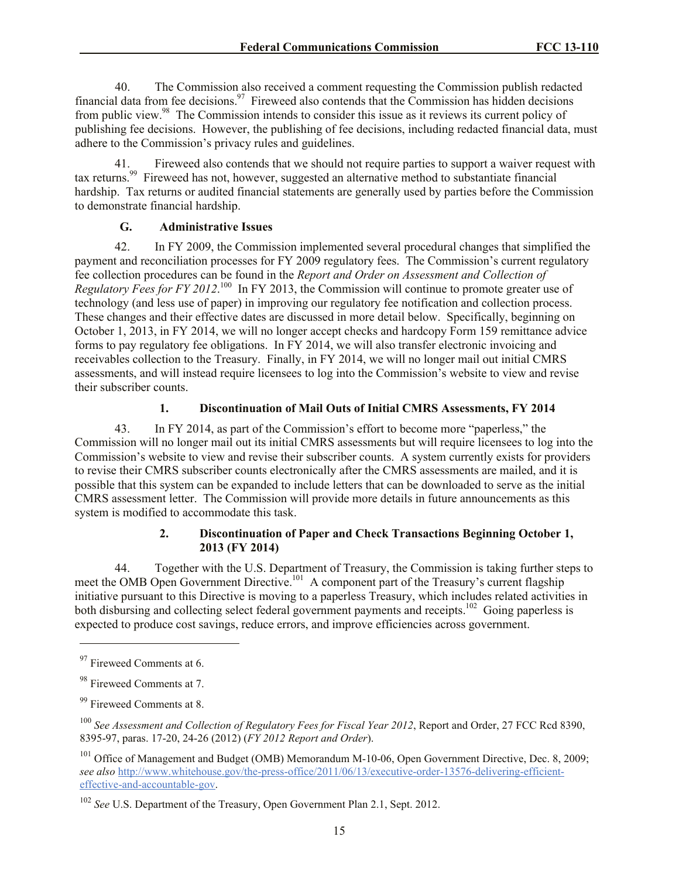40. The Commission also received a comment requesting the Commission publish redacted financial data from fee decisions.<sup>97</sup> Fireweed also contends that the Commission has hidden decisions from public view.<sup>98</sup> The Commission intends to consider this issue as it reviews its current policy of publishing fee decisions. However, the publishing of fee decisions, including redacted financial data, must adhere to the Commission's privacy rules and guidelines.

41. Fireweed also contends that we should not require parties to support a waiver request with tax returns.<sup>99</sup> Fireweed has not, however, suggested an alternative method to substantiate financial hardship. Tax returns or audited financial statements are generally used by parties before the Commission to demonstrate financial hardship.

## **G. Administrative Issues**

42. In FY 2009, the Commission implemented several procedural changes that simplified the payment and reconciliation processes for FY 2009 regulatory fees. The Commission's current regulatory fee collection procedures can be found in the *Report and Order on Assessment and Collection of*  Regulatory Fees for FY 2012.<sup>100</sup> In FY 2013, the Commission will continue to promote greater use of technology (and less use of paper) in improving our regulatory fee notification and collection process. These changes and their effective dates are discussed in more detail below. Specifically, beginning on October 1, 2013, in FY 2014, we will no longer accept checks and hardcopy Form 159 remittance advice forms to pay regulatory fee obligations. In FY 2014, we will also transfer electronic invoicing and receivables collection to the Treasury. Finally, in FY 2014, we will no longer mail out initial CMRS assessments, and will instead require licensees to log into the Commission's website to view and revise their subscriber counts.

# **1. Discontinuation of Mail Outs of Initial CMRS Assessments, FY 2014**

43. In FY 2014, as part of the Commission's effort to become more "paperless," the Commission will no longer mail out its initial CMRS assessments but will require licensees to log into the Commission's website to view and revise their subscriber counts. A system currently exists for providers to revise their CMRS subscriber counts electronically after the CMRS assessments are mailed, and it is possible that this system can be expanded to include letters that can be downloaded to serve as the initial CMRS assessment letter. The Commission will provide more details in future announcements as this system is modified to accommodate this task.

## **2. Discontinuation of Paper and Check Transactions Beginning October 1, 2013 (FY 2014)**

44. Together with the U.S. Department of Treasury, the Commission is taking further steps to meet the OMB Open Government Directive.<sup>101</sup> A component part of the Treasury's current flagship initiative pursuant to this Directive is moving to a paperless Treasury, which includes related activities in both disbursing and collecting select federal government payments and receipts.<sup>102</sup> Going paperless is expected to produce cost savings, reduce errors, and improve efficiencies across government.

<sup>&</sup>lt;sup>97</sup> Fireweed Comments at 6.

<sup>98</sup> Fireweed Comments at 7.

<sup>99</sup> Fireweed Comments at 8.

<sup>100</sup> *See Assessment and Collection of Regulatory Fees for Fiscal Year 2012*, Report and Order, 27 FCC Rcd 8390, 8395-97, paras. 17-20, 24-26 (2012) (*FY 2012 Report and Order*).

<sup>&</sup>lt;sup>101</sup> Office of Management and Budget (OMB) Memorandum M-10-06, Open Government Directive, Dec. 8, 2009; *see also* http://www.whitehouse.gov/the-press-office/2011/06/13/executive-order-13576-delivering-efficienteffective-and-accountable-gov.

<sup>102</sup> *See* U.S. Department of the Treasury, Open Government Plan 2.1, Sept. 2012.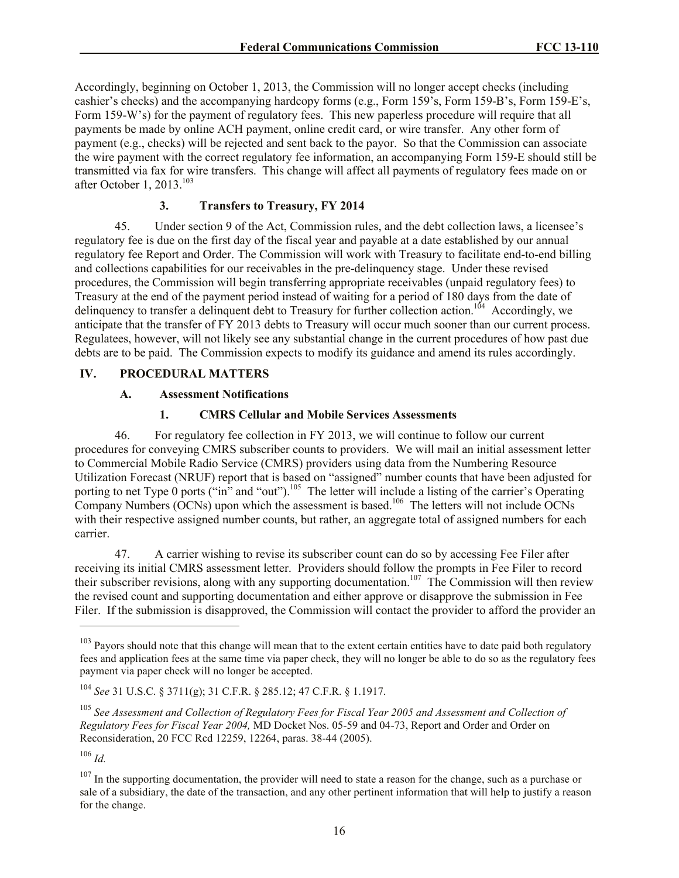Accordingly, beginning on October 1, 2013, the Commission will no longer accept checks (including cashier's checks) and the accompanying hardcopy forms (e.g., Form 159's, Form 159-B's, Form 159-E's, Form 159-W's) for the payment of regulatory fees. This new paperless procedure will require that all payments be made by online ACH payment, online credit card, or wire transfer. Any other form of payment (e.g., checks) will be rejected and sent back to the payor. So that the Commission can associate the wire payment with the correct regulatory fee information, an accompanying Form 159-E should still be transmitted via fax for wire transfers. This change will affect all payments of regulatory fees made on or after October 1, 2013. $103$ 

### **3. Transfers to Treasury, FY 2014**

45. Under section 9 of the Act, Commission rules, and the debt collection laws, a licensee's regulatory fee is due on the first day of the fiscal year and payable at a date established by our annual regulatory fee Report and Order. The Commission will work with Treasury to facilitate end-to-end billing and collections capabilities for our receivables in the pre-delinquency stage. Under these revised procedures, the Commission will begin transferring appropriate receivables (unpaid regulatory fees) to Treasury at the end of the payment period instead of waiting for a period of 180 days from the date of delinquency to transfer a delinquent debt to Treasury for further collection action.<sup>104</sup> Accordingly, we anticipate that the transfer of FY 2013 debts to Treasury will occur much sooner than our current process. Regulatees, however, will not likely see any substantial change in the current procedures of how past due debts are to be paid. The Commission expects to modify its guidance and amend its rules accordingly.

#### **IV. PROCEDURAL MATTERS**

#### **A. Assessment Notifications**

#### **1. CMRS Cellular and Mobile Services Assessments**

46. For regulatory fee collection in FY 2013, we will continue to follow our current procedures for conveying CMRS subscriber counts to providers. We will mail an initial assessment letter to Commercial Mobile Radio Service (CMRS) providers using data from the Numbering Resource Utilization Forecast (NRUF) report that is based on "assigned" number counts that have been adjusted for porting to net Type 0 ports ("in" and "out").<sup>105</sup> The letter will include a listing of the carrier's Operating Company Numbers (OCNs) upon which the assessment is based.<sup>106</sup> The letters will not include OCNs with their respective assigned number counts, but rather, an aggregate total of assigned numbers for each carrier.

47. A carrier wishing to revise its subscriber count can do so by accessing Fee Filer after receiving its initial CMRS assessment letter. Providers should follow the prompts in Fee Filer to record their subscriber revisions, along with any supporting documentation.<sup>107</sup> The Commission will then review the revised count and supporting documentation and either approve or disapprove the submission in Fee Filer. If the submission is disapproved, the Commission will contact the provider to afford the provider an

<sup>&</sup>lt;sup>103</sup> Payors should note that this change will mean that to the extent certain entities have to date paid both regulatory fees and application fees at the same time via paper check, they will no longer be able to do so as the regulatory fees payment via paper check will no longer be accepted.

<sup>104</sup> *See* 31 U.S.C. § 3711(g); 31 C.F.R. § 285.12; 47 C.F.R. § 1.1917.

<sup>105</sup> *See Assessment and Collection of Regulatory Fees for Fiscal Year 2005 and Assessment and Collection of Regulatory Fees for Fiscal Year 2004,* MD Docket Nos. 05-59 and 04-73, Report and Order and Order on Reconsideration, 20 FCC Rcd 12259, 12264, paras. 38-44 (2005).

 $106$  *Id.* 

 $107$  In the supporting documentation, the provider will need to state a reason for the change, such as a purchase or sale of a subsidiary, the date of the transaction, and any other pertinent information that will help to justify a reason for the change.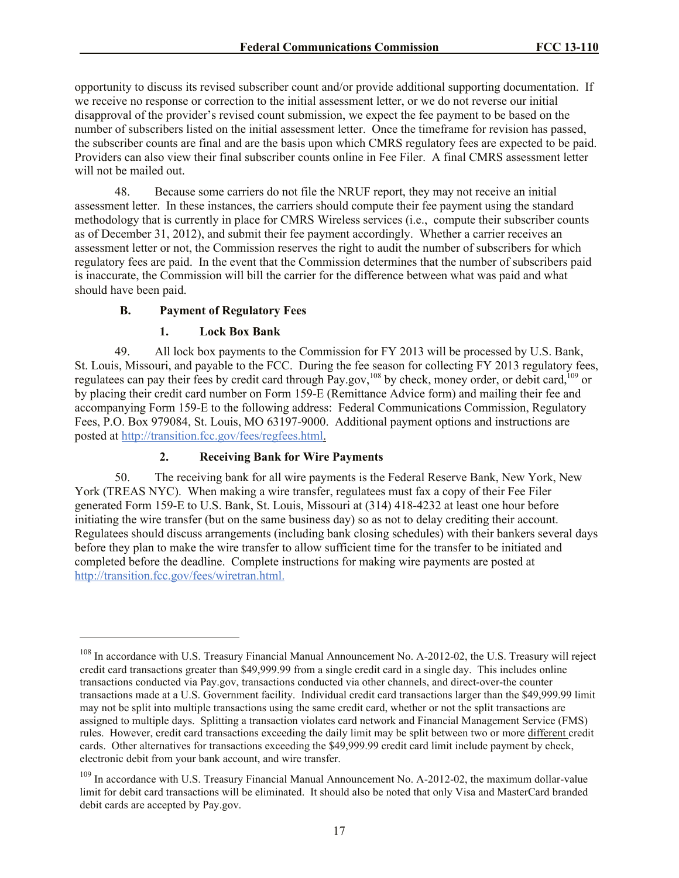opportunity to discuss its revised subscriber count and/or provide additional supporting documentation. If we receive no response or correction to the initial assessment letter, or we do not reverse our initial disapproval of the provider's revised count submission, we expect the fee payment to be based on the number of subscribers listed on the initial assessment letter. Once the timeframe for revision has passed, the subscriber counts are final and are the basis upon which CMRS regulatory fees are expected to be paid. Providers can also view their final subscriber counts online in Fee Filer. A final CMRS assessment letter will not be mailed out.

48. Because some carriers do not file the NRUF report, they may not receive an initial assessment letter. In these instances, the carriers should compute their fee payment using the standard methodology that is currently in place for CMRS Wireless services (i.e., compute their subscriber counts as of December 31, 2012), and submit their fee payment accordingly. Whether a carrier receives an assessment letter or not, the Commission reserves the right to audit the number of subscribers for which regulatory fees are paid. In the event that the Commission determines that the number of subscribers paid is inaccurate, the Commission will bill the carrier for the difference between what was paid and what should have been paid.

# **B. Payment of Regulatory Fees**

 $\overline{a}$ 

## **1. Lock Box Bank**

49. All lock box payments to the Commission for FY 2013 will be processed by U.S. Bank, St. Louis, Missouri, and payable to the FCC. During the fee season for collecting FY 2013 regulatory fees, regulatees can pay their fees by credit card through Pay.gov,<sup>108</sup> by check, money order, or debit card,<sup>109</sup> or by placing their credit card number on Form 159-E (Remittance Advice form) and mailing their fee and accompanying Form 159-E to the following address: Federal Communications Commission, Regulatory Fees, P.O. Box 979084, St. Louis, MO 63197-9000. Additional payment options and instructions are posted at http://transition.fcc.gov/fees/regfees.html.

# **2. Receiving Bank for Wire Payments**

50. The receiving bank for all wire payments is the Federal Reserve Bank, New York, New York (TREAS NYC). When making a wire transfer, regulatees must fax a copy of their Fee Filer generated Form 159-E to U.S. Bank, St. Louis, Missouri at (314) 418-4232 at least one hour before initiating the wire transfer (but on the same business day) so as not to delay crediting their account. Regulatees should discuss arrangements (including bank closing schedules) with their bankers several days before they plan to make the wire transfer to allow sufficient time for the transfer to be initiated and completed before the deadline. Complete instructions for making wire payments are posted at http://transition.fcc.gov/fees/wiretran.html.

<sup>&</sup>lt;sup>108</sup> In accordance with U.S. Treasury Financial Manual Announcement No. A-2012-02, the U.S. Treasury will reject credit card transactions greater than \$49,999.99 from a single credit card in a single day. This includes online transactions conducted via Pay.gov, transactions conducted via other channels, and direct-over-the counter transactions made at a U.S. Government facility. Individual credit card transactions larger than the \$49,999.99 limit may not be split into multiple transactions using the same credit card, whether or not the split transactions are assigned to multiple days. Splitting a transaction violates card network and Financial Management Service (FMS) rules. However, credit card transactions exceeding the daily limit may be split between two or more different credit cards. Other alternatives for transactions exceeding the \$49,999.99 credit card limit include payment by check, electronic debit from your bank account, and wire transfer.

<sup>&</sup>lt;sup>109</sup> In accordance with U.S. Treasury Financial Manual Announcement No. A-2012-02, the maximum dollar-value limit for debit card transactions will be eliminated. It should also be noted that only Visa and MasterCard branded debit cards are accepted by Pay.gov.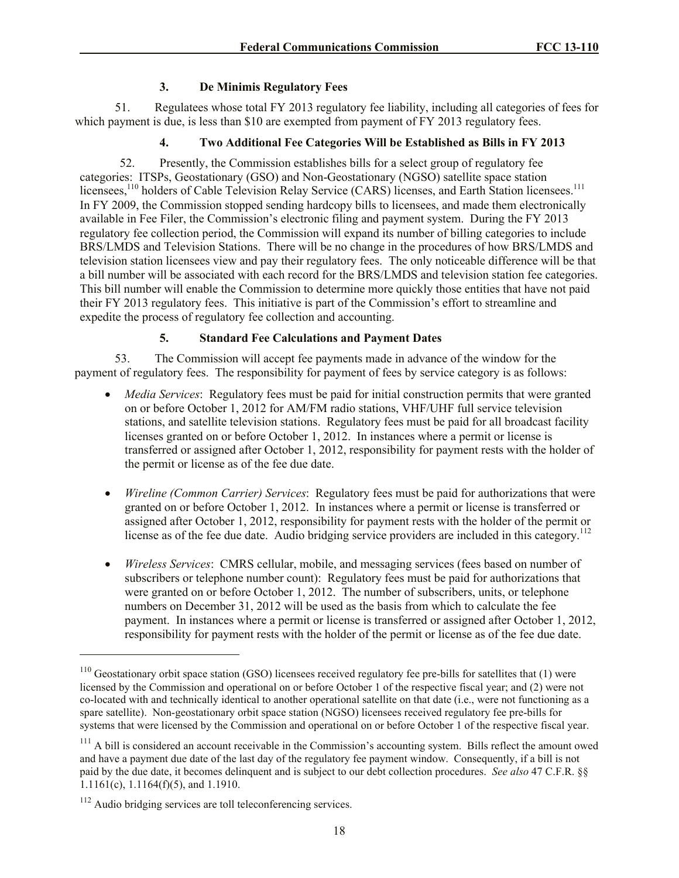# **3. De Minimis Regulatory Fees**

51. Regulatees whose total FY 2013 regulatory fee liability, including all categories of fees for which payment is due, is less than \$10 are exempted from payment of FY 2013 regulatory fees.

# **4. Two Additional Fee Categories Will be Established as Bills in FY 2013**

52. Presently, the Commission establishes bills for a select group of regulatory fee categories: ITSPs, Geostationary (GSO) and Non-Geostationary (NGSO) satellite space station licensees,<sup>110</sup> holders of Cable Television Relay Service (CARS) licenses, and Earth Station licensees.<sup>111</sup> In FY 2009, the Commission stopped sending hardcopy bills to licensees, and made them electronically available in Fee Filer, the Commission's electronic filing and payment system. During the FY 2013 regulatory fee collection period, the Commission will expand its number of billing categories to include BRS/LMDS and Television Stations. There will be no change in the procedures of how BRS/LMDS and television station licensees view and pay their regulatory fees. The only noticeable difference will be that a bill number will be associated with each record for the BRS/LMDS and television station fee categories. This bill number will enable the Commission to determine more quickly those entities that have not paid their FY 2013 regulatory fees. This initiative is part of the Commission's effort to streamline and expedite the process of regulatory fee collection and accounting.

# **5. Standard Fee Calculations and Payment Dates**

53. The Commission will accept fee payments made in advance of the window for the payment of regulatory fees. The responsibility for payment of fees by service category is as follows:

- *Media Services*: Regulatory fees must be paid for initial construction permits that were granted on or before October 1, 2012 for AM/FM radio stations, VHF/UHF full service television stations, and satellite television stations. Regulatory fees must be paid for all broadcast facility licenses granted on or before October 1, 2012. In instances where a permit or license is transferred or assigned after October 1, 2012, responsibility for payment rests with the holder of the permit or license as of the fee due date.
- *Wireline (Common Carrier) Services*: Regulatory fees must be paid for authorizations that were granted on or before October 1, 2012. In instances where a permit or license is transferred or assigned after October 1, 2012, responsibility for payment rests with the holder of the permit or license as of the fee due date. Audio bridging service providers are included in this category.<sup>112</sup>
- *Wireless Services*: CMRS cellular, mobile, and messaging services (fees based on number of subscribers or telephone number count): Regulatory fees must be paid for authorizations that were granted on or before October 1, 2012. The number of subscribers, units, or telephone numbers on December 31, 2012 will be used as the basis from which to calculate the fee payment. In instances where a permit or license is transferred or assigned after October 1, 2012, responsibility for payment rests with the holder of the permit or license as of the fee due date.

<sup>&</sup>lt;sup>110</sup> Geostationary orbit space station (GSO) licensees received regulatory fee pre-bills for satellites that (1) were licensed by the Commission and operational on or before October 1 of the respective fiscal year; and (2) were not co-located with and technically identical to another operational satellite on that date (i.e., were not functioning as a spare satellite). Non-geostationary orbit space station (NGSO) licensees received regulatory fee pre-bills for systems that were licensed by the Commission and operational on or before October 1 of the respective fiscal year.

 $111$  A bill is considered an account receivable in the Commission's accounting system. Bills reflect the amount owed and have a payment due date of the last day of the regulatory fee payment window. Consequently, if a bill is not paid by the due date, it becomes delinquent and is subject to our debt collection procedures. *See also* 47 C.F.R. §§ 1.1161(c), 1.1164(f)(5), and 1.1910.

<sup>112</sup> Audio bridging services are toll teleconferencing services.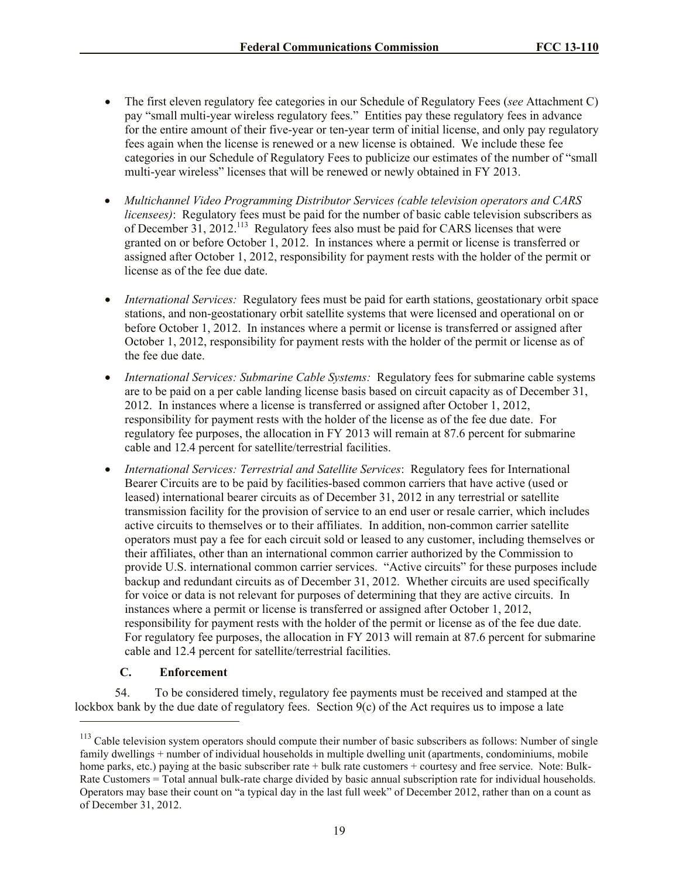- The first eleven regulatory fee categories in our Schedule of Regulatory Fees (*see* Attachment C) pay "small multi-year wireless regulatory fees." Entities pay these regulatory fees in advance for the entire amount of their five-year or ten-year term of initial license, and only pay regulatory fees again when the license is renewed or a new license is obtained. We include these fee categories in our Schedule of Regulatory Fees to publicize our estimates of the number of "small multi-year wireless" licenses that will be renewed or newly obtained in FY 2013.
- *Multichannel Video Programming Distributor Services (cable television operators and CARS licensees*): Regulatory fees must be paid for the number of basic cable television subscribers as of December  $31, 2012$ .<sup>113</sup> Regulatory fees also must be paid for CARS licenses that were granted on or before October 1, 2012. In instances where a permit or license is transferred or assigned after October 1, 2012, responsibility for payment rests with the holder of the permit or license as of the fee due date.
- *International Services:* Regulatory fees must be paid for earth stations, geostationary orbit space stations, and non-geostationary orbit satellite systems that were licensed and operational on or before October 1, 2012. In instances where a permit or license is transferred or assigned after October 1, 2012, responsibility for payment rests with the holder of the permit or license as of the fee due date.
- *International Services: Submarine Cable Systems:* Regulatory fees for submarine cable systems are to be paid on a per cable landing license basis based on circuit capacity as of December 31, 2012. In instances where a license is transferred or assigned after October 1, 2012, responsibility for payment rests with the holder of the license as of the fee due date. For regulatory fee purposes, the allocation in FY 2013 will remain at 87.6 percent for submarine cable and 12.4 percent for satellite/terrestrial facilities.
- *International Services: Terrestrial and Satellite Services*: Regulatory fees for International Bearer Circuits are to be paid by facilities-based common carriers that have active (used or leased) international bearer circuits as of December 31, 2012 in any terrestrial or satellite transmission facility for the provision of service to an end user or resale carrier, which includes active circuits to themselves or to their affiliates. In addition, non-common carrier satellite operators must pay a fee for each circuit sold or leased to any customer, including themselves or their affiliates, other than an international common carrier authorized by the Commission to provide U.S. international common carrier services. "Active circuits" for these purposes include backup and redundant circuits as of December 31, 2012. Whether circuits are used specifically for voice or data is not relevant for purposes of determining that they are active circuits. In instances where a permit or license is transferred or assigned after October 1, 2012, responsibility for payment rests with the holder of the permit or license as of the fee due date. For regulatory fee purposes, the allocation in FY 2013 will remain at 87.6 percent for submarine cable and 12.4 percent for satellite/terrestrial facilities.

# **C. Enforcement**

l

54. To be considered timely, regulatory fee payments must be received and stamped at the lockbox bank by the due date of regulatory fees. Section 9(c) of the Act requires us to impose a late

<sup>&</sup>lt;sup>113</sup> Cable television system operators should compute their number of basic subscribers as follows: Number of single family dwellings + number of individual households in multiple dwelling unit (apartments, condominiums, mobile home parks, etc.) paying at the basic subscriber rate + bulk rate customers + courtesy and free service. Note: Bulk-Rate Customers = Total annual bulk-rate charge divided by basic annual subscription rate for individual households. Operators may base their count on "a typical day in the last full week" of December 2012, rather than on a count as of December 31, 2012.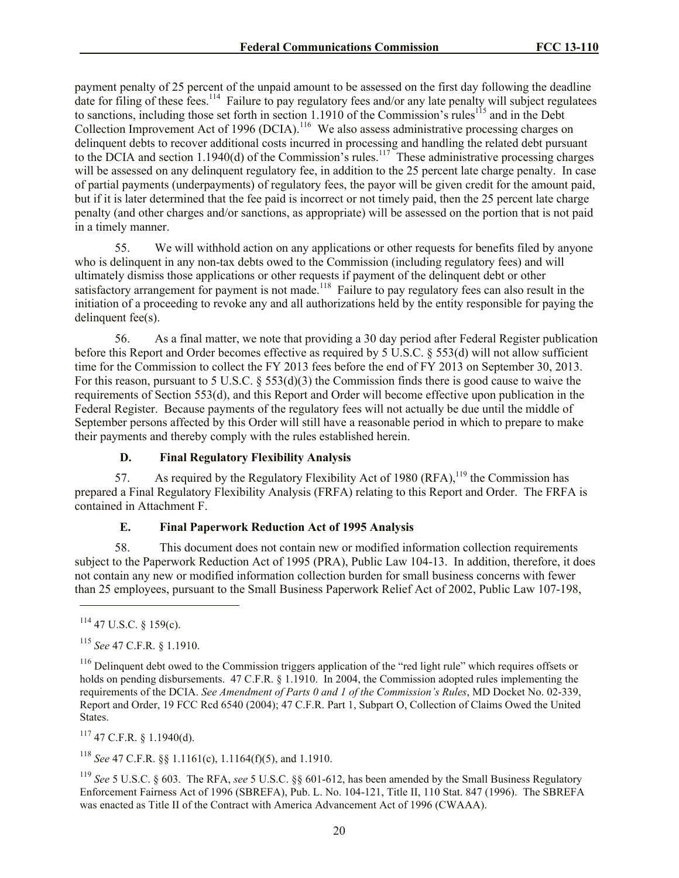payment penalty of 25 percent of the unpaid amount to be assessed on the first day following the deadline date for filing of these fees.<sup>114</sup> Failure to pay regulatory fees and/or any late penalty will subject regulatees to sanctions, including those set forth in section 1.1910 of the Commission's rules<sup>115</sup> and in the Debt Collection Improvement Act of 1996 (DCIA).<sup>116</sup> We also assess administrative processing charges on delinquent debts to recover additional costs incurred in processing and handling the related debt pursuant to the DCIA and section 1.1940(d) of the Commission's rules.<sup>117</sup> These administrative processing charges will be assessed on any delinquent regulatory fee, in addition to the 25 percent late charge penalty. In case of partial payments (underpayments) of regulatory fees, the payor will be given credit for the amount paid, but if it is later determined that the fee paid is incorrect or not timely paid, then the 25 percent late charge penalty (and other charges and/or sanctions, as appropriate) will be assessed on the portion that is not paid in a timely manner.

55. We will withhold action on any applications or other requests for benefits filed by anyone who is delinquent in any non-tax debts owed to the Commission (including regulatory fees) and will ultimately dismiss those applications or other requests if payment of the delinquent debt or other satisfactory arrangement for payment is not made.<sup>118</sup> Failure to pay regulatory fees can also result in the initiation of a proceeding to revoke any and all authorizations held by the entity responsible for paying the delinquent fee(s).

56. As a final matter, we note that providing a 30 day period after Federal Register publication before this Report and Order becomes effective as required by 5 U.S.C. § 553(d) will not allow sufficient time for the Commission to collect the FY 2013 fees before the end of FY 2013 on September 30, 2013. For this reason, pursuant to 5 U.S.C. § 553(d)(3) the Commission finds there is good cause to waive the requirements of Section 553(d), and this Report and Order will become effective upon publication in the Federal Register. Because payments of the regulatory fees will not actually be due until the middle of September persons affected by this Order will still have a reasonable period in which to prepare to make their payments and thereby comply with the rules established herein.

# **D. Final Regulatory Flexibility Analysis**

57. As required by the Regulatory Flexibility Act of 1980 (RFA),  $^{119}$  the Commission has prepared a Final Regulatory Flexibility Analysis (FRFA) relating to this Report and Order. The FRFA is contained in Attachment F.

# **E. Final Paperwork Reduction Act of 1995 Analysis**

58. This document does not contain new or modified information collection requirements subject to the Paperwork Reduction Act of 1995 (PRA), Public Law 104-13. In addition, therefore, it does not contain any new or modified information collection burden for small business concerns with fewer than 25 employees, pursuant to the Small Business Paperwork Relief Act of 2002, Public Law 107-198,

 $114$  47 U.S.C. § 159(c).

l

<sup>115</sup> *See* 47 C.F.R. § 1.1910.

 $117$  47 C.F.R. § 1.1940(d).

<sup>118</sup> *See* 47 C.F.R. §§ 1.1161(c), 1.1164(f)(5), and 1.1910.

<sup>119</sup> *See* 5 U.S.C. § 603. The RFA, *see* 5 U.S.C. §§ 601-612, has been amended by the Small Business Regulatory Enforcement Fairness Act of 1996 (SBREFA), Pub. L. No. 104-121, Title II, 110 Stat. 847 (1996). The SBREFA was enacted as Title II of the Contract with America Advancement Act of 1996 (CWAAA).

<sup>&</sup>lt;sup>116</sup> Delinquent debt owed to the Commission triggers application of the "red light rule" which requires offsets or holds on pending disbursements. 47 C.F.R. § 1.1910. In 2004, the Commission adopted rules implementing the requirements of the DCIA. *See Amendment of Parts 0 and 1 of the Commission's Rules*, MD Docket No. 02-339, Report and Order, 19 FCC Rcd 6540 (2004); 47 C.F.R. Part 1, Subpart O, Collection of Claims Owed the United States.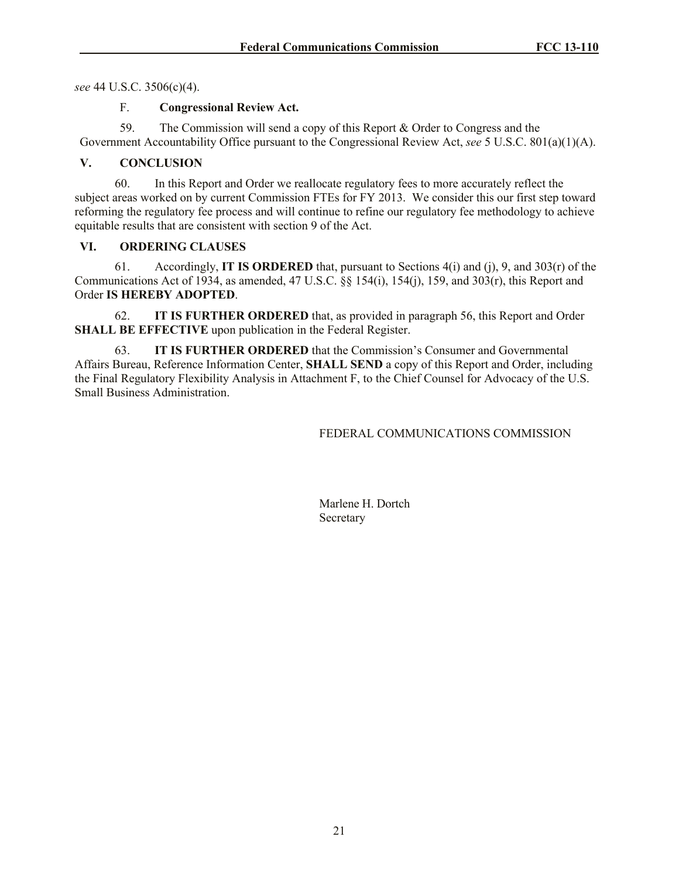*see* 44 U.S.C. 3506(c)(4).

### F. **Congressional Review Act.**

59. The Commission will send a copy of this Report & Order to Congress and the Government Accountability Office pursuant to the Congressional Review Act, *see* 5 U.S.C. 801(a)(1)(A).

## **V. CONCLUSION**

60. In this Report and Order we reallocate regulatory fees to more accurately reflect the subject areas worked on by current Commission FTEs for FY 2013. We consider this our first step toward reforming the regulatory fee process and will continue to refine our regulatory fee methodology to achieve equitable results that are consistent with section 9 of the Act.

# **VI. ORDERING CLAUSES**

61. Accordingly, **IT IS ORDERED** that, pursuant to Sections 4(i) and (j), 9, and 303(r) of the Communications Act of 1934, as amended,  $47 \text{ U.S.C.}$  §§ 154(i), 154(j), 159, and 303(r), this Report and Order **IS HEREBY ADOPTED**.

62. **IT IS FURTHER ORDERED** that, as provided in paragraph 56, this Report and Order **SHALL BE EFFECTIVE** upon publication in the Federal Register.

63. **IT IS FURTHER ORDERED** that the Commission's Consumer and Governmental Affairs Bureau, Reference Information Center, **SHALL SEND** a copy of this Report and Order, including the Final Regulatory Flexibility Analysis in Attachment F, to the Chief Counsel for Advocacy of the U.S. Small Business Administration.

## FEDERAL COMMUNICATIONS COMMISSION

Marlene H. Dortch Secretary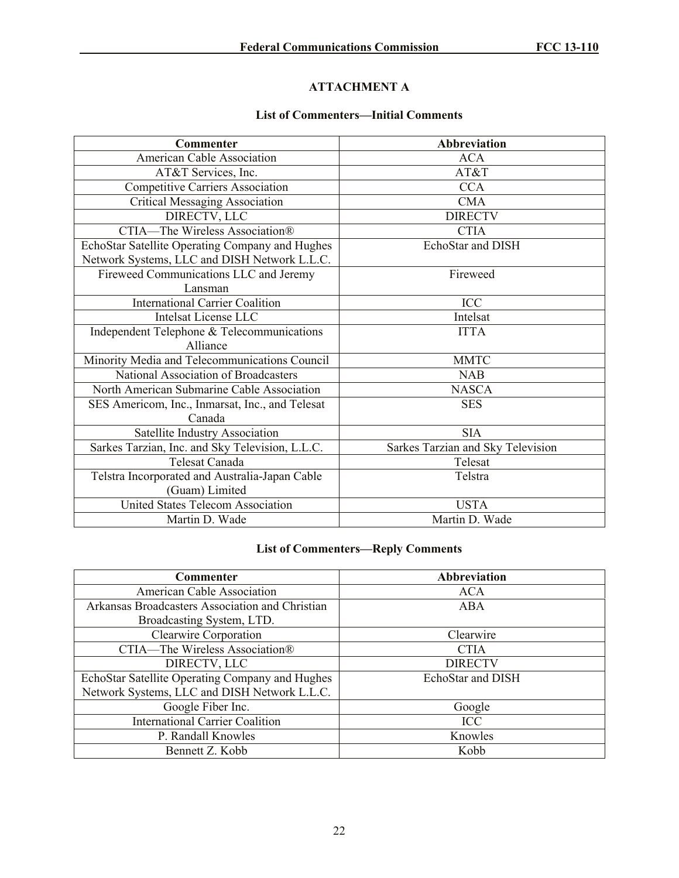# **ATTACHMENT A**

# **List of Commenters—Initial Comments**

| <b>Commenter</b>                                | <b>Abbreviation</b>               |
|-------------------------------------------------|-----------------------------------|
| <b>American Cable Association</b>               | <b>ACA</b>                        |
| AT&T Services, Inc.                             | AT&T                              |
| <b>Competitive Carriers Association</b>         | <b>CCA</b>                        |
| <b>Critical Messaging Association</b>           | <b>CMA</b>                        |
| DIRECTV, LLC                                    | <b>DIRECTV</b>                    |
| <b>CTIA—The Wireless Association®</b>           | <b>CTIA</b>                       |
| EchoStar Satellite Operating Company and Hughes | EchoStar and DISH                 |
| Network Systems, LLC and DISH Network L.L.C.    |                                   |
| Fireweed Communications LLC and Jeremy          | Fireweed                          |
| Lansman                                         |                                   |
| <b>International Carrier Coalition</b>          | ICC                               |
| <b>Intelsat License LLC</b>                     | Intelsat                          |
| Independent Telephone & Telecommunications      | <b>ITTA</b>                       |
| Alliance                                        |                                   |
| Minority Media and Telecommunications Council   | <b>MMTC</b>                       |
| National Association of Broadcasters            | <b>NAB</b>                        |
| North American Submarine Cable Association      | <b>NASCA</b>                      |
| SES Americom, Inc., Inmarsat, Inc., and Telesat | <b>SES</b>                        |
| Canada                                          |                                   |
| Satellite Industry Association                  | <b>SIA</b>                        |
| Sarkes Tarzian, Inc. and Sky Television, L.L.C. | Sarkes Tarzian and Sky Television |
| <b>Telesat Canada</b>                           | Telesat                           |
| Telstra Incorporated and Australia-Japan Cable  | Telstra                           |
| (Guam) Limited                                  |                                   |
| <b>United States Telecom Association</b>        | <b>USTA</b>                       |
| Martin D. Wade                                  | Martin D. Wade                    |

# **List of Commenters—Reply Comments**

| <b>Commenter</b>                                | Abbreviation      |
|-------------------------------------------------|-------------------|
| American Cable Association                      | <b>ACA</b>        |
| Arkansas Broadcasters Association and Christian | ABA               |
| Broadcasting System, LTD.                       |                   |
| <b>Clearwire Corporation</b>                    | Clearwire         |
| CTIA-The Wireless Association®                  | <b>CTIA</b>       |
| DIRECTV, LLC                                    | <b>DIRECTV</b>    |
| EchoStar Satellite Operating Company and Hughes | EchoStar and DISH |
| Network Systems, LLC and DISH Network L.L.C.    |                   |
| Google Fiber Inc.                               | Google            |
| <b>International Carrier Coalition</b>          | ICC               |
| P. Randall Knowles                              | Knowles           |
| Bennett Z. Kobb                                 | Kobb              |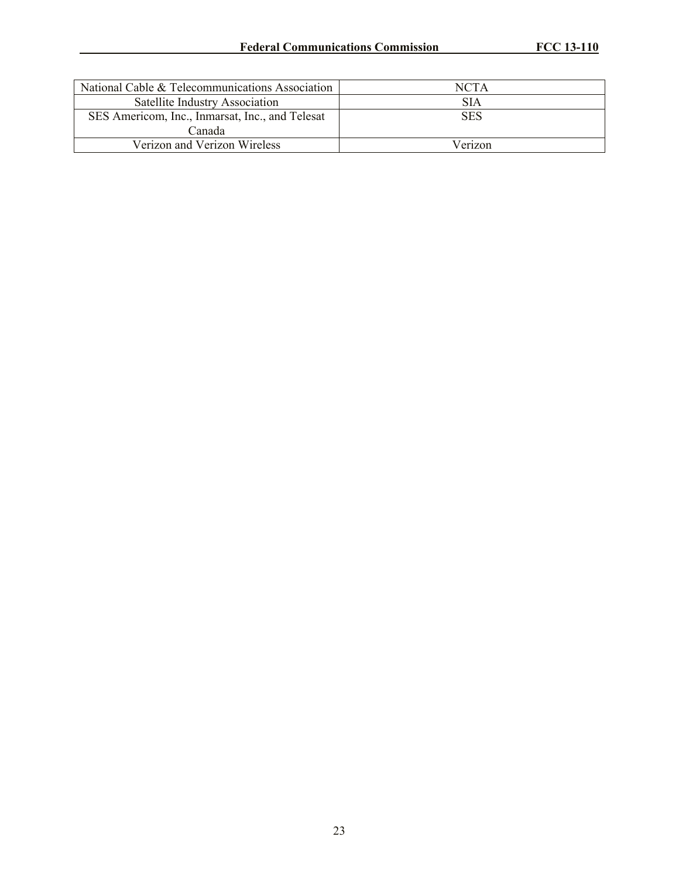| National Cable & Telecommunications Association | <b>NCTA</b> |
|-------------------------------------------------|-------------|
| Satellite Industry Association                  | SIA         |
| SES Americom, Inc., Inmarsat, Inc., and Telesat | <b>SES</b>  |
| Canada                                          |             |
| Verizon and Verizon Wireless                    | Verizon     |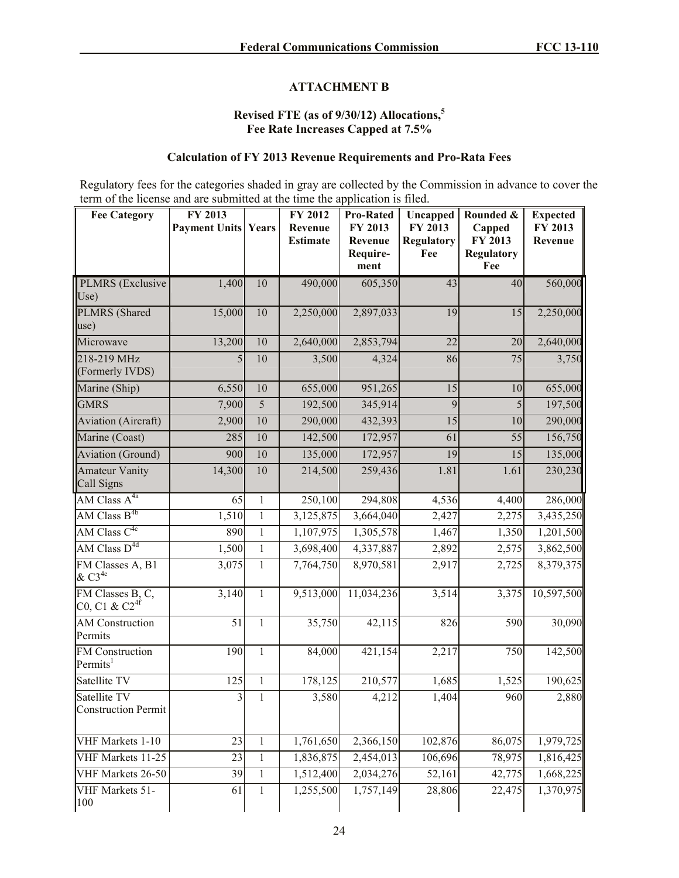## **ATTACHMENT B**

## **Revised FTE (as of 9/30/12) Allocations,<sup>5</sup> Fee Rate Increases Capped at 7.5%**

# **Calculation of FY 2013 Revenue Requirements and Pro-Rata Fees**

Regulatory fees for the categories shaded in gray are collected by the Commission in advance to cover the term of the license and are submitted at the time the application is filed.

| <b>Fee Category</b>                                                               | FY 2013<br><b>Payment Units Years</b> |              | FY 2012<br>Revenue<br><b>Estimate</b> | <b>Pro-Rated</b><br>FY 2013<br>Revenue<br>Require-<br>ment | Uncapped<br>FY 2013<br><b>Regulatory</b><br>Fee | Rounded &<br>Capped<br>FY 2013<br><b>Regulatory</b><br>Fee | <b>Expected</b><br>FY 2013<br>Revenue |
|-----------------------------------------------------------------------------------|---------------------------------------|--------------|---------------------------------------|------------------------------------------------------------|-------------------------------------------------|------------------------------------------------------------|---------------------------------------|
| PLMRS (Exclusive<br>Use)                                                          | 1,400                                 | 10           | 490,000                               | 605,350                                                    | 43                                              | 40                                                         | 560,000                               |
| PLMRS (Shared<br>use)                                                             | 15,000                                | 10           | 2,250,000                             | 2,897,033                                                  | 19                                              | 15                                                         | 2,250,000                             |
| Microwave                                                                         | 13,200                                | 10           | 2,640,000                             | 2,853,794                                                  | 22                                              | 20                                                         | 2,640,000                             |
| 218-219 MHz<br>(Formerly IVDS)                                                    | 5                                     | 10           | 3,500                                 | 4,324                                                      | 86                                              | 75                                                         | 3,750                                 |
| Marine (Ship)                                                                     | 6,550                                 | 10           | 655,000                               | 951,265                                                    | 15                                              | 10                                                         | 655,000                               |
| <b>GMRS</b>                                                                       | 7,900                                 | 5            | 192,500                               | 345,914                                                    | 9                                               | 5                                                          | 197,500                               |
| <b>Aviation</b> (Aircraft)                                                        | 2,900                                 | 10           | 290,000                               | 432,393                                                    | 15                                              | 10                                                         | 290,000                               |
| Marine (Coast)                                                                    | 285                                   | 10           | 142,500                               | 172,957                                                    | 61                                              | $\overline{55}$                                            | 156,750                               |
| <b>Aviation</b> (Ground)                                                          | 900                                   | 10           | 135,000                               | 172,957                                                    | 19                                              | 15                                                         | 135,000                               |
| <b>Amateur Vanity</b><br>Call Signs                                               | 14,300                                | 10           | 214,500                               | 259,436                                                    | 1.81                                            | 1.61                                                       | 230,230                               |
| $AM$ Class $A^{4a}$                                                               | 65                                    | $\mathbf{1}$ | 250,100                               | 294,808                                                    | 4,536                                           | 4,400                                                      | 286,000                               |
| AM Class $B^{4b}$                                                                 | 1,510                                 | $\mathbf{1}$ | 3,125,875                             | 3,664,040                                                  | 2,427                                           | 2,275                                                      | 3,435,250                             |
| AM Class $C^{4c}$                                                                 | 890                                   | $\mathbf{1}$ | 1,107,975                             | 1,305,578                                                  | 1,467                                           | 1,350                                                      | 1,201,500                             |
| AM Class $D^{4d}$                                                                 | 1,500                                 | $\mathbf{1}$ | 3,698,400                             | 4,337,887                                                  | 2,892                                           | 2,575                                                      | 3,862,500                             |
| FM Classes A, B1<br>$&C3^{4e}$                                                    | 3,075                                 | $\mathbf{1}$ | 7,764,750                             | 8,970,581                                                  | 2,917                                           | 2,725                                                      | 8,379,375                             |
| FM Classes B, C,<br>C <sub>0</sub> , C <sub>1</sub> & C <sub>2<sup>4f</sup></sub> | 3,140                                 | $\mathbf{1}$ | 9,513,000                             | 11,034,236                                                 | 3,514                                           | $\overline{3,375}$                                         | 10,597,500                            |
| <b>AM</b> Construction<br>Permits                                                 | 51                                    | $\mathbf{1}$ | 35,750                                | 42,115                                                     | 826                                             | 590                                                        | 30,090                                |
| FM Construction<br>Permits <sup>1</sup>                                           | 190                                   | $\mathbf{1}$ | 84,000                                | 421,154                                                    | 2,217                                           | 750                                                        | 142,500                               |
| Satellite TV                                                                      | 125                                   | $\mathbf{1}$ | 178,125                               | 210,577                                                    | 1,685                                           | 1,525                                                      | 190,625                               |
| Satellite TV<br><b>Construction Permit</b>                                        | $\overline{\mathbf{3}}$               | $\,1$        | 3,580                                 | 4,212                                                      | 1,404                                           | 960                                                        | 2,880                                 |
| VHF Markets 1-10                                                                  | 23                                    | $\mathbf{1}$ | 1,761,650                             | 2,366,150                                                  | 102,876                                         | 86,075                                                     | 1,979,725                             |
| VHF Markets 11-25                                                                 | 23                                    | $\mathbf{1}$ | 1,836,875                             | 2,454,013                                                  | 106,696                                         | 78,975                                                     | 1,816,425                             |
| VHF Markets 26-50                                                                 | 39                                    | 1            | 1,512,400                             | 2,034,276                                                  | 52,161                                          | 42,775                                                     | 1,668,225                             |
| VHF Markets 51-<br>100                                                            | 61                                    | $\mathbf{1}$ | 1,255,500                             | 1,757,149                                                  | 28,806                                          | 22,475                                                     | 1,370,975                             |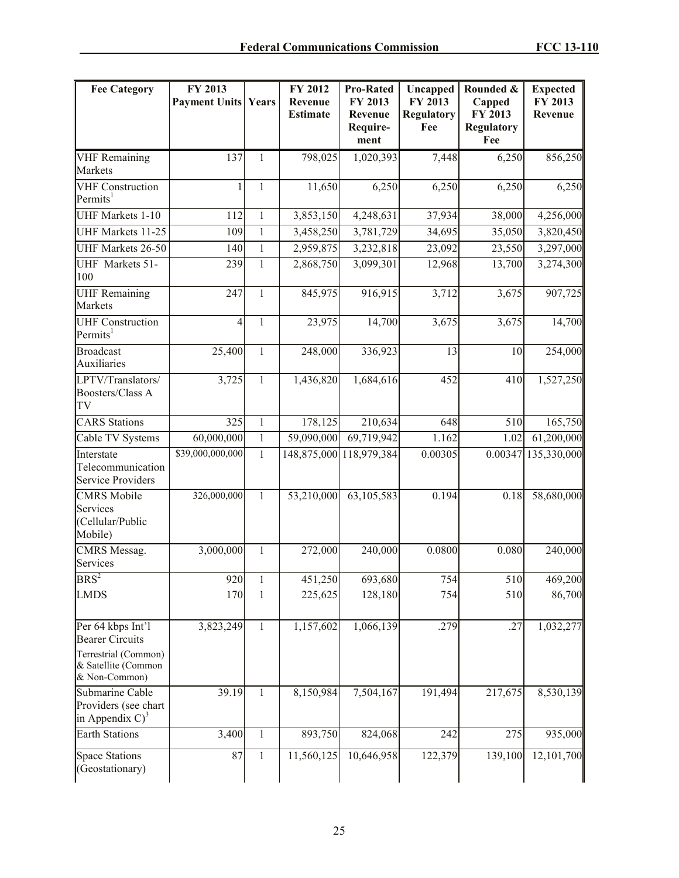| <b>Fee Category</b>                                                                 | FY 2013<br><b>Payment Units Years</b> |              | FY 2012<br>Revenue<br><b>Estimate</b> | <b>Pro-Rated</b><br>FY 2013<br>Revenue<br>Require-<br>ment | Uncapped<br>FY 2013<br><b>Regulatory</b><br>Fee | Rounded &<br>Capped<br>FY 2013<br><b>Regulatory</b><br>Fee | <b>Expected</b><br>FY 2013<br>Revenue |
|-------------------------------------------------------------------------------------|---------------------------------------|--------------|---------------------------------------|------------------------------------------------------------|-------------------------------------------------|------------------------------------------------------------|---------------------------------------|
| <b>VHF</b> Remaining<br>Markets                                                     | 137                                   | 1            | 798,025                               | 1,020,393                                                  | 7,448                                           | 6,250                                                      | 856,250                               |
| <b>VHF Construction</b><br>Permits <sup>1</sup>                                     | 1                                     | 1            | 11,650                                | 6,250                                                      | 6,250                                           | 6,250                                                      | 6,250                                 |
| UHF Markets 1-10                                                                    | 112                                   | $\mathbf{1}$ | 3,853,150                             | 4,248,631                                                  | 37,934                                          | 38,000                                                     | 4,256,000                             |
| UHF Markets 11-25                                                                   | 109                                   | $\mathbf{1}$ | 3,458,250                             | 3,781,729                                                  | 34,695                                          | 35,050                                                     | 3,820,450                             |
| UHF Markets 26-50                                                                   | 140                                   | $\mathbf{1}$ | 2,959,875                             | 3,232,818                                                  | 23,092                                          | 23,550                                                     | 3,297,000                             |
| UHF Markets 51-<br>100                                                              | 239                                   | $\mathbf{1}$ | 2,868,750                             | 3,099,301                                                  | 12,968                                          | 13,700                                                     | 3,274,300                             |
| <b>UHF</b> Remaining<br>Markets                                                     | 247                                   | $\mathbf{1}$ | 845,975                               | 916,915                                                    | 3,712                                           | 3,675                                                      | 907,725                               |
| <b>UHF Construction</b><br>Permits <sup>1</sup>                                     | $\overline{4}$                        | $\mathbf{1}$ | 23,975                                | 14,700                                                     | 3,675                                           | 3,675                                                      | 14,700                                |
| <b>Broadcast</b><br>Auxiliaries                                                     | 25,400                                | $\mathbf{1}$ | 248,000                               | 336,923                                                    | 13                                              | 10                                                         | 254,000                               |
| LPTV/Translators/<br>Boosters/Class A<br>TV                                         | 3,725                                 | 1            | 1,436,820                             | 1,684,616                                                  | 452                                             | 410                                                        | 1,527,250                             |
| <b>CARS</b> Stations                                                                | 325                                   | $\mathbf{1}$ | 178,125                               | 210,634                                                    | 648                                             | 510                                                        | 165,750                               |
| Cable TV Systems                                                                    | 60,000,000                            | $\mathbf{1}$ | 59,090,000                            | 69,719,942                                                 | 1.162                                           | 1.02                                                       | 61,200,000                            |
| Interstate<br>Telecommunication<br>Service Providers                                | \$39,000,000,000                      | $\mathbf{1}$ |                                       | 148,875,000 118,979,384                                    | 0.00305                                         | 0.00347                                                    | 135,330,000                           |
| <b>CMRS</b> Mobile<br>Services<br>(Cellular/Public<br>Mobile)                       | 326,000,000                           | $\mathbf{1}$ | 53,210,000                            | 63,105,583                                                 | 0.194                                           | 0.18                                                       | 58,680,000                            |
| CMRS Messag.<br>Services                                                            | 3,000,000                             | $\mathbf{1}$ | 272,000                               | 240,000                                                    | 0.0800                                          | 0.080                                                      | 240,000                               |
| $BRS^2$                                                                             | 920                                   | 1            | 451,250                               | 693,680                                                    | 754                                             | 510                                                        | 469,200                               |
| <b>LMDS</b>                                                                         | 170                                   | 1            | 225,625                               | 128,180                                                    | 754                                             | 510                                                        | 86,700                                |
| Per 64 kbps Int'l<br><b>Bearer Circuits</b>                                         | 3,823,249                             | 1            | 1,157,602                             | 1,066,139                                                  | .279                                            | .27                                                        | 1,032,277                             |
| Terrestrial (Common)<br>& Satellite (Common<br>& Non-Common)                        |                                       |              |                                       |                                                            |                                                 |                                                            |                                       |
| Submarine Cable<br>Providers (see chart<br>$\left\vert$ in Appendix C) <sup>3</sup> | 39.19                                 | 1            | 8,150,984                             | 7,504,167                                                  | 191,494                                         | 217,675                                                    | 8,530,139                             |
| <b>Earth Stations</b>                                                               | 3,400                                 | 1            | 893,750                               | 824,068                                                    | 242                                             | 275                                                        | 935,000                               |
| <b>Space Stations</b><br>(Geostationary)                                            | 87                                    | $\mathbf{1}$ | 11,560,125                            | 10,646,958                                                 | 122,379                                         | 139,100                                                    | 12,101,700                            |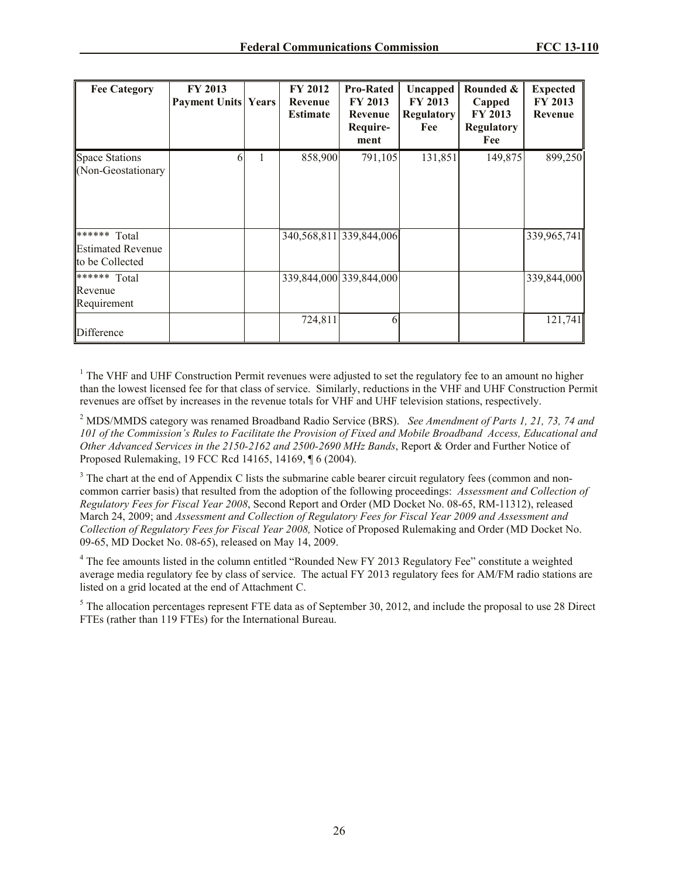| <b>Fee Category</b>                                                                    | <b>FY 2013</b><br><b>Payment Units Years</b> |   | FY 2012<br>Revenue<br><b>Estimate</b> | <b>Pro-Rated</b><br><b>FY 2013</b><br>Revenue<br>Require-<br>ment | Uncapped<br>FY 2013<br><b>Regulatory</b><br>Fee | Rounded &<br>Capped<br><b>FY 2013</b><br><b>Regulatory</b><br>Fee | <b>Expected</b><br>FY 2013<br>Revenue |
|----------------------------------------------------------------------------------------|----------------------------------------------|---|---------------------------------------|-------------------------------------------------------------------|-------------------------------------------------|-------------------------------------------------------------------|---------------------------------------|
| <b>Space Stations</b><br>(Non-Geostationary                                            | 6                                            | 1 | 858,900                               | 791,105                                                           | 131,851                                         | 149,875                                                           | 899,250                               |
| $\sqrt{\ast \ast \ast \ast \ast}$ Total<br><b>Estimated Revenue</b><br>to be Collected |                                              |   |                                       | 340,568,811 339,844,006                                           |                                                 |                                                                   | 339,965,741                           |
| $*****$ Total<br>Revenue<br>Requirement                                                |                                              |   |                                       | 339,844,000 339,844,000                                           |                                                 |                                                                   | 339,844,000                           |
| Difference                                                                             |                                              |   | 724,811                               | 6                                                                 |                                                 |                                                                   | 121,741                               |

 $<sup>1</sup>$  The VHF and UHF Construction Permit revenues were adjusted to set the regulatory fee to an amount no higher</sup> than the lowest licensed fee for that class of service. Similarly, reductions in the VHF and UHF Construction Permit revenues are offset by increases in the revenue totals for VHF and UHF television stations, respectively.

<sup>2</sup> MDS/MMDS category was renamed Broadband Radio Service (BRS). *See Amendment of Parts 1, 21, 73, 74 and 101 of the Commission's Rules to Facilitate the Provision of Fixed and Mobile Broadband Access, Educational and Other Advanced Services in the 2150-2162 and 2500-2690 MHz Bands*, Report & Order and Further Notice of Proposed Rulemaking, 19 FCC Rcd 14165, 14169, ¶ 6 (2004).

<sup>3</sup> The chart at the end of Appendix C lists the submarine cable bearer circuit regulatory fees (common and noncommon carrier basis) that resulted from the adoption of the following proceedings: *Assessment and Collection of Regulatory Fees for Fiscal Year 2008*, Second Report and Order (MD Docket No. 08-65, RM-11312), released March 24, 2009; and *Assessment and Collection of Regulatory Fees for Fiscal Year 2009 and Assessment and Collection of Regulatory Fees for Fiscal Year 2008,* Notice of Proposed Rulemaking and Order (MD Docket No. 09-65, MD Docket No. 08-65), released on May 14, 2009.

<sup>4</sup> The fee amounts listed in the column entitled "Rounded New FY 2013 Regulatory Fee" constitute a weighted average media regulatory fee by class of service. The actual FY 2013 regulatory fees for AM/FM radio stations are listed on a grid located at the end of Attachment C.

 $<sup>5</sup>$  The allocation percentages represent FTE data as of September 30, 2012, and include the proposal to use 28 Direct</sup> FTEs (rather than 119 FTEs) for the International Bureau.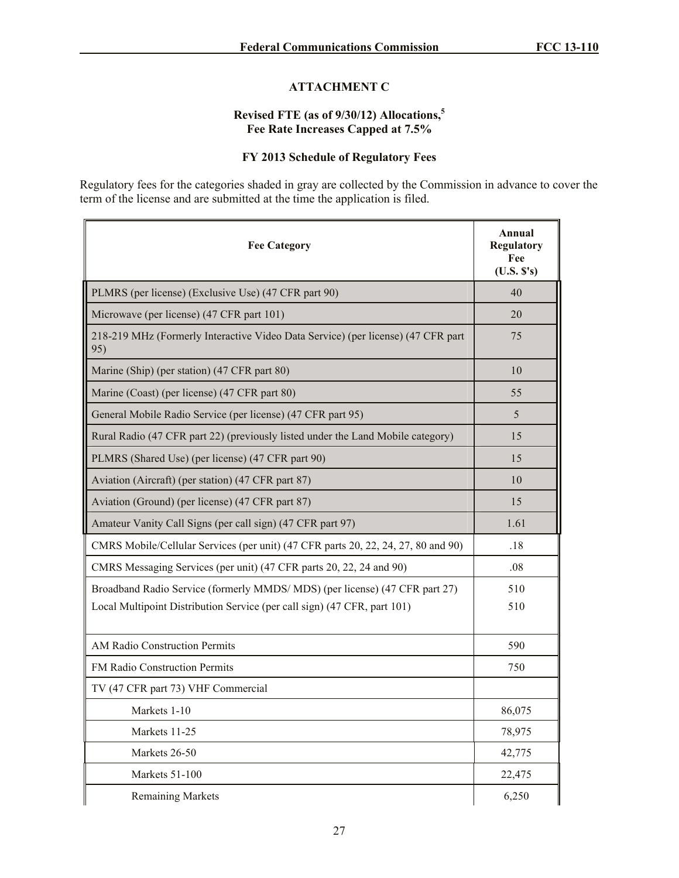## **ATTACHMENT C**

# **Revised FTE (as of 9/30/12) Allocations,<sup>5</sup> Fee Rate Increases Capped at 7.5%**

# **FY 2013 Schedule of Regulatory Fees**

Regulatory fees for the categories shaded in gray are collected by the Commission in advance to cover the term of the license and are submitted at the time the application is filed.

| <b>Fee Category</b>                                                                     | Annual<br><b>Regulatory</b><br>Fee<br>(U.S. S's) |
|-----------------------------------------------------------------------------------------|--------------------------------------------------|
| PLMRS (per license) (Exclusive Use) (47 CFR part 90)                                    | 40                                               |
| Microwave (per license) (47 CFR part 101)                                               | 20                                               |
| 218-219 MHz (Formerly Interactive Video Data Service) (per license) (47 CFR part<br>95) | 75                                               |
| Marine (Ship) (per station) (47 CFR part 80)                                            | 10                                               |
| Marine (Coast) (per license) (47 CFR part 80)                                           | 55                                               |
| General Mobile Radio Service (per license) (47 CFR part 95)                             | 5                                                |
| Rural Radio (47 CFR part 22) (previously listed under the Land Mobile category)         | 15                                               |
| PLMRS (Shared Use) (per license) (47 CFR part 90)                                       | 15                                               |
| Aviation (Aircraft) (per station) (47 CFR part 87)                                      | 10                                               |
| Aviation (Ground) (per license) (47 CFR part 87)                                        | 15                                               |
| Amateur Vanity Call Signs (per call sign) (47 CFR part 97)                              | 1.61                                             |
| CMRS Mobile/Cellular Services (per unit) (47 CFR parts 20, 22, 24, 27, 80 and 90)       | .18                                              |
| CMRS Messaging Services (per unit) (47 CFR parts 20, 22, 24 and 90)                     | .08                                              |
| Broadband Radio Service (formerly MMDS/ MDS) (per license) (47 CFR part 27)             | 510                                              |
| Local Multipoint Distribution Service (per call sign) (47 CFR, part 101)                | 510                                              |
| AM Radio Construction Permits                                                           | 590                                              |
| FM Radio Construction Permits                                                           | 750                                              |
| TV (47 CFR part 73) VHF Commercial                                                      |                                                  |
| Markets 1-10                                                                            | 86,075                                           |
| Markets 11-25                                                                           | 78,975                                           |
| Markets 26-50                                                                           | 42,775                                           |
| Markets 51-100                                                                          | 22,475                                           |
| <b>Remaining Markets</b>                                                                | 6,250                                            |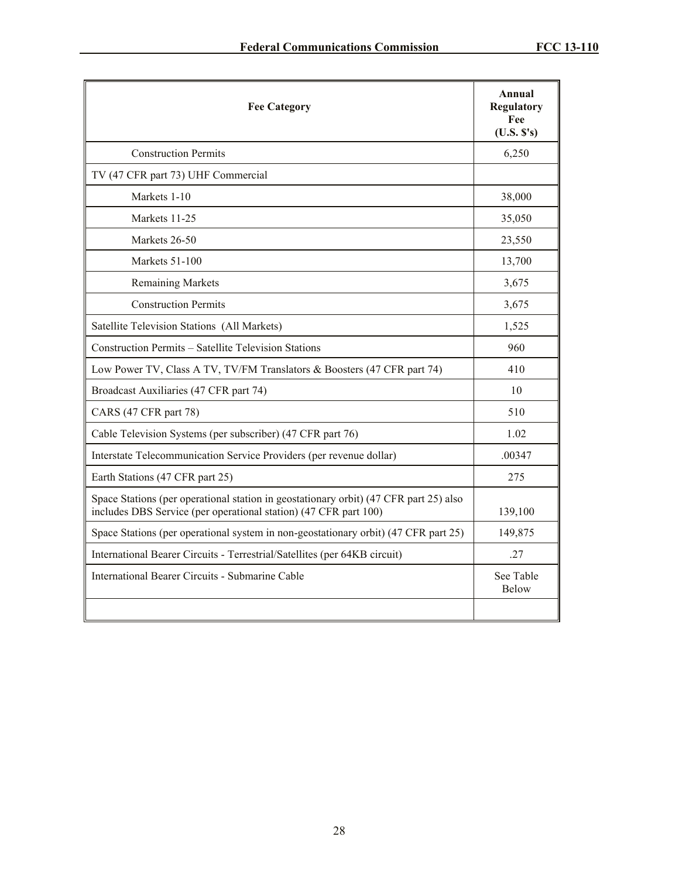| <b>Fee Category</b>                                                                                                                                       | Annual<br><b>Regulatory</b><br>Fee<br>(U.S. S's) |
|-----------------------------------------------------------------------------------------------------------------------------------------------------------|--------------------------------------------------|
| <b>Construction Permits</b>                                                                                                                               | 6,250                                            |
| TV (47 CFR part 73) UHF Commercial                                                                                                                        |                                                  |
| Markets 1-10                                                                                                                                              | 38,000                                           |
| Markets 11-25                                                                                                                                             | 35,050                                           |
| Markets 26-50                                                                                                                                             | 23,550                                           |
| Markets 51-100                                                                                                                                            | 13,700                                           |
| <b>Remaining Markets</b>                                                                                                                                  | 3,675                                            |
| <b>Construction Permits</b>                                                                                                                               | 3,675                                            |
| Satellite Television Stations (All Markets)                                                                                                               | 1,525                                            |
| Construction Permits - Satellite Television Stations                                                                                                      | 960                                              |
| Low Power TV, Class A TV, TV/FM Translators & Boosters (47 CFR part 74)                                                                                   | 410                                              |
| Broadcast Auxiliaries (47 CFR part 74)                                                                                                                    | 10                                               |
| CARS (47 CFR part 78)                                                                                                                                     | 510                                              |
| Cable Television Systems (per subscriber) (47 CFR part 76)                                                                                                | 1.02                                             |
| Interstate Telecommunication Service Providers (per revenue dollar)                                                                                       | .00347                                           |
| Earth Stations (47 CFR part 25)                                                                                                                           | 275                                              |
| Space Stations (per operational station in geostationary orbit) (47 CFR part 25) also<br>includes DBS Service (per operational station) (47 CFR part 100) | 139,100                                          |
| Space Stations (per operational system in non-geostationary orbit) (47 CFR part 25)                                                                       | 149,875                                          |
| International Bearer Circuits - Terrestrial/Satellites (per 64KB circuit)                                                                                 | .27                                              |
| International Bearer Circuits - Submarine Cable                                                                                                           | See Table<br><b>Below</b>                        |
|                                                                                                                                                           |                                                  |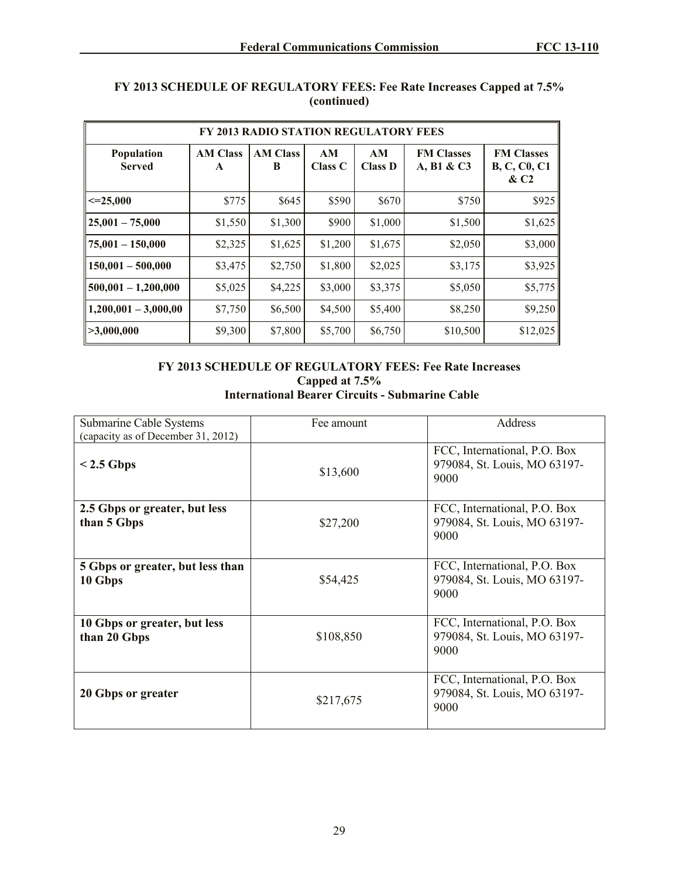| FY 2013 RADIO STATION REGULATORY FEES |                      |                      |               |                      |                                 |                                                              |  |
|---------------------------------------|----------------------|----------------------|---------------|----------------------|---------------------------------|--------------------------------------------------------------|--|
| Population<br><b>Served</b>           | <b>AM Class</b><br>A | <b>AM Class</b><br>B | AM<br>Class C | AM<br><b>Class D</b> | <b>FM Classes</b><br>A, B1 & C3 | <b>FM Classes</b><br><b>B, C, C0, C1</b><br>& C <sub>2</sub> |  |
| $\leq$ -25.000                        | \$775                | \$645                | \$590         | \$670                | \$750                           | \$925                                                        |  |
| $25,001 - 75,000$                     | \$1,550              | \$1,300              | \$900         | \$1,000              | \$1,500                         | \$1,625                                                      |  |
| $75,001 - 150,000$                    | \$2,325              | \$1,625              | \$1,200       | \$1,675              | \$2,050                         | \$3,000                                                      |  |
| $150,001 - 500,000$                   | \$3,475              | \$2,750              | \$1,800       | \$2,025              | \$3,175                         | \$3,925                                                      |  |
| $500,001 - 1,200,000$                 | \$5,025              | \$4,225              | \$3,000       | \$3,375              | \$5,050                         | \$5,775                                                      |  |
| $1,200,001 - 3,000,00$                | \$7,750              | \$6,500              | \$4,500       | \$5,400              | \$8,250                         | \$9,250                                                      |  |
| >3,000,000                            | \$9,300              | \$7,800              | \$5,700       | \$6,750              | \$10,500                        | \$12,025                                                     |  |

### **FY 2013 SCHEDULE OF REGULATORY FEES: Fee Rate Increases Capped at 7.5% (continued)**

## **FY 2013 SCHEDULE OF REGULATORY FEES: Fee Rate Increases Capped at 7.5% International Bearer Circuits - Submarine Cable**

| <b>Submarine Cable Systems</b><br>(capacity as of December 31, 2012) | Fee amount | <b>Address</b>                                                       |
|----------------------------------------------------------------------|------------|----------------------------------------------------------------------|
| $< 2.5$ Gbps                                                         | \$13,600   | FCC, International, P.O. Box<br>979084, St. Louis, MO 63197-<br>9000 |
| 2.5 Gbps or greater, but less<br>than 5 Gbps                         | \$27,200   | FCC, International, P.O. Box<br>979084, St. Louis, MO 63197-<br>9000 |
| 5 Gbps or greater, but less than<br>10 Gbps                          | \$54,425   | FCC, International, P.O. Box<br>979084, St. Louis, MO 63197-<br>9000 |
| 10 Gbps or greater, but less<br>than 20 Gbps                         | \$108,850  | FCC, International, P.O. Box<br>979084, St. Louis, MO 63197-<br>9000 |
| 20 Gbps or greater                                                   | \$217,675  | FCC, International, P.O. Box<br>979084, St. Louis, MO 63197-<br>9000 |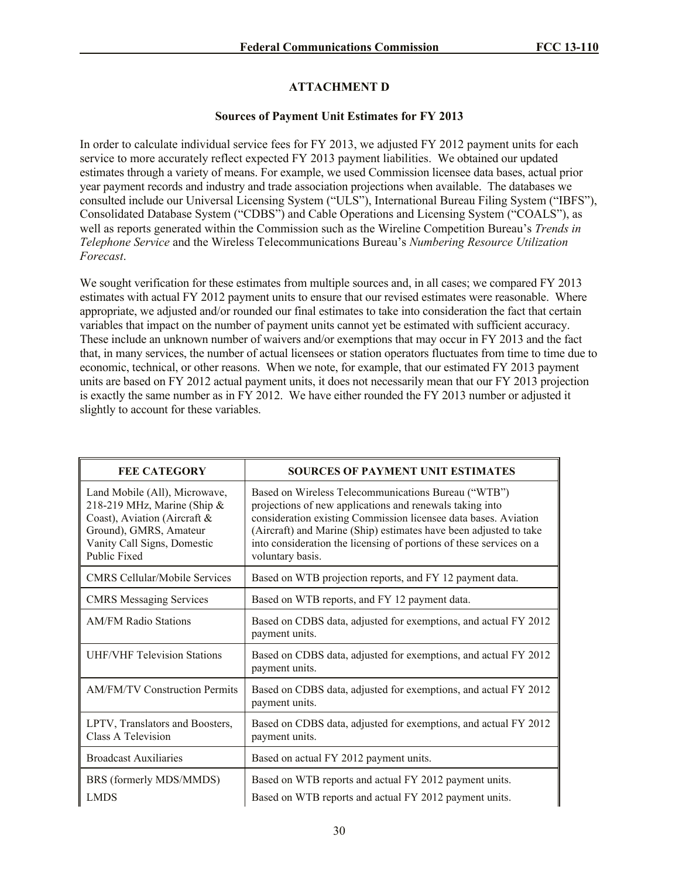# **ATTACHMENT D**

## **Sources of Payment Unit Estimates for FY 2013**

In order to calculate individual service fees for FY 2013, we adjusted FY 2012 payment units for each service to more accurately reflect expected FY 2013 payment liabilities. We obtained our updated estimates through a variety of means. For example, we used Commission licensee data bases, actual prior year payment records and industry and trade association projections when available. The databases we consulted include our Universal Licensing System ("ULS"), International Bureau Filing System ("IBFS"), Consolidated Database System ("CDBS") and Cable Operations and Licensing System ("COALS"), as well as reports generated within the Commission such as the Wireline Competition Bureau's *Trends in Telephone Service* and the Wireless Telecommunications Bureau's *Numbering Resource Utilization Forecast*.

We sought verification for these estimates from multiple sources and, in all cases; we compared FY 2013 estimates with actual FY 2012 payment units to ensure that our revised estimates were reasonable. Where appropriate, we adjusted and/or rounded our final estimates to take into consideration the fact that certain variables that impact on the number of payment units cannot yet be estimated with sufficient accuracy. These include an unknown number of waivers and/or exemptions that may occur in FY 2013 and the fact that, in many services, the number of actual licensees or station operators fluctuates from time to time due to economic, technical, or other reasons. When we note, for example, that our estimated FY 2013 payment units are based on FY 2012 actual payment units, it does not necessarily mean that our FY 2013 projection is exactly the same number as in FY 2012. We have either rounded the FY 2013 number or adjusted it slightly to account for these variables.

| <b>FEE CATEGORY</b>                                                                                                                                                      | <b>SOURCES OF PAYMENT UNIT ESTIMATES</b>                                                                                                                                                                                                                                                                                                           |
|--------------------------------------------------------------------------------------------------------------------------------------------------------------------------|----------------------------------------------------------------------------------------------------------------------------------------------------------------------------------------------------------------------------------------------------------------------------------------------------------------------------------------------------|
| Land Mobile (All), Microwave,<br>218-219 MHz, Marine (Ship $\&$<br>Coast), Aviation (Aircraft &<br>Ground), GMRS, Amateur<br>Vanity Call Signs, Domestic<br>Public Fixed | Based on Wireless Telecommunications Bureau ("WTB")<br>projections of new applications and renewals taking into<br>consideration existing Commission licensee data bases. Aviation<br>(Aircraft) and Marine (Ship) estimates have been adjusted to take<br>into consideration the licensing of portions of these services on a<br>voluntary basis. |
| <b>CMRS Cellular/Mobile Services</b>                                                                                                                                     | Based on WTB projection reports, and FY 12 payment data.                                                                                                                                                                                                                                                                                           |
| <b>CMRS</b> Messaging Services                                                                                                                                           | Based on WTB reports, and FY 12 payment data.                                                                                                                                                                                                                                                                                                      |
| <b>AM/FM Radio Stations</b>                                                                                                                                              | Based on CDBS data, adjusted for exemptions, and actual FY 2012<br>payment units.                                                                                                                                                                                                                                                                  |
| <b>UHF/VHF Television Stations</b>                                                                                                                                       | Based on CDBS data, adjusted for exemptions, and actual FY 2012<br>payment units.                                                                                                                                                                                                                                                                  |
| <b>AM/FM/TV Construction Permits</b>                                                                                                                                     | Based on CDBS data, adjusted for exemptions, and actual FY 2012<br>payment units.                                                                                                                                                                                                                                                                  |
| LPTV, Translators and Boosters,<br>Class A Television                                                                                                                    | Based on CDBS data, adjusted for exemptions, and actual FY 2012<br>payment units.                                                                                                                                                                                                                                                                  |
| <b>Broadcast Auxiliaries</b>                                                                                                                                             | Based on actual FY 2012 payment units.                                                                                                                                                                                                                                                                                                             |
| BRS (formerly MDS/MMDS)                                                                                                                                                  | Based on WTB reports and actual FY 2012 payment units.                                                                                                                                                                                                                                                                                             |
| <b>LMDS</b>                                                                                                                                                              | Based on WTB reports and actual FY 2012 payment units.                                                                                                                                                                                                                                                                                             |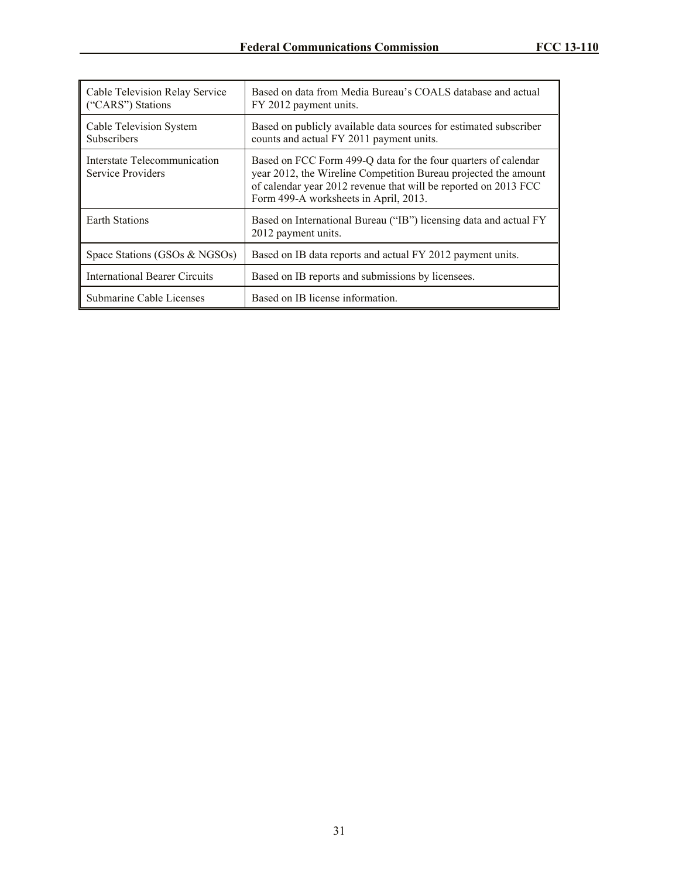| Cable Television Relay Service<br>("CARS") Stations | Based on data from Media Bureau's COALS database and actual<br>FY 2012 payment units.                                                                                                                                                         |
|-----------------------------------------------------|-----------------------------------------------------------------------------------------------------------------------------------------------------------------------------------------------------------------------------------------------|
| Cable Television System<br><b>Subscribers</b>       | Based on publicly available data sources for estimated subscriber<br>counts and actual FY 2011 payment units.                                                                                                                                 |
| Interstate Telecommunication<br>Service Providers   | Based on FCC Form 499-Q data for the four quarters of calendar<br>year 2012, the Wireline Competition Bureau projected the amount<br>of calendar year 2012 revenue that will be reported on 2013 FCC<br>Form 499-A worksheets in April, 2013. |
| <b>Earth Stations</b>                               | Based on International Bureau ("IB") licensing data and actual FY<br>2012 payment units.                                                                                                                                                      |
| Space Stations (GSOs & NGSOs)                       | Based on IB data reports and actual FY 2012 payment units.                                                                                                                                                                                    |
| <b>International Bearer Circuits</b>                | Based on IB reports and submissions by licensees.                                                                                                                                                                                             |
| Submarine Cable Licenses                            | Based on IB license information.                                                                                                                                                                                                              |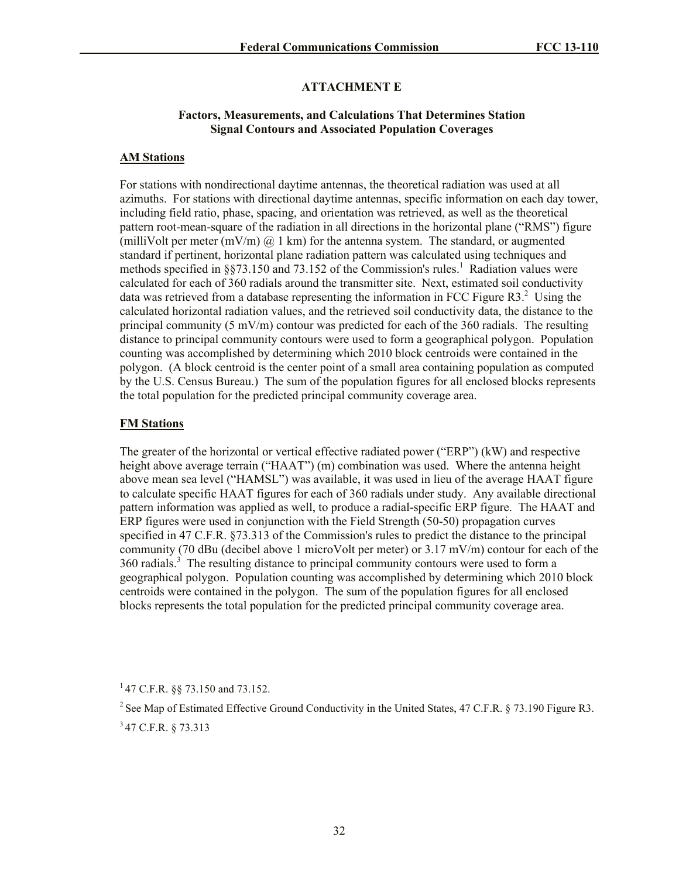## **ATTACHMENT E**

### **Factors, Measurements, and Calculations That Determines Station Signal Contours and Associated Population Coverages**

### **AM Stations**

For stations with nondirectional daytime antennas, the theoretical radiation was used at all azimuths. For stations with directional daytime antennas, specific information on each day tower, including field ratio, phase, spacing, and orientation was retrieved, as well as the theoretical pattern root-mean-square of the radiation in all directions in the horizontal plane ("RMS") figure (milliVolt per meter (mV/m)  $\omega$  1 km) for the antenna system. The standard, or augmented standard if pertinent, horizontal plane radiation pattern was calculated using techniques and methods specified in §§73.150 and 73.152 of the Commission's rules.<sup>1</sup> Radiation values were calculated for each of 360 radials around the transmitter site. Next, estimated soil conductivity data was retrieved from a database representing the information in FCC Figure R3. $^{2}$  Using the calculated horizontal radiation values, and the retrieved soil conductivity data, the distance to the principal community (5 mV/m) contour was predicted for each of the 360 radials. The resulting distance to principal community contours were used to form a geographical polygon. Population counting was accomplished by determining which 2010 block centroids were contained in the polygon. (A block centroid is the center point of a small area containing population as computed by the U.S. Census Bureau.) The sum of the population figures for all enclosed blocks represents the total population for the predicted principal community coverage area.

### **FM Stations**

The greater of the horizontal or vertical effective radiated power ("ERP") (kW) and respective height above average terrain ("HAAT") (m) combination was used. Where the antenna height above mean sea level ("HAMSL") was available, it was used in lieu of the average HAAT figure to calculate specific HAAT figures for each of 360 radials under study. Any available directional pattern information was applied as well, to produce a radial-specific ERP figure. The HAAT and ERP figures were used in conjunction with the Field Strength (50-50) propagation curves specified in 47 C.F.R. §73.313 of the Commission's rules to predict the distance to the principal community (70 dBu (decibel above 1 microVolt per meter) or 3.17 mV/m) contour for each of the  $360$  radials.<sup>3</sup> The resulting distance to principal community contours were used to form a geographical polygon. Population counting was accomplished by determining which 2010 block centroids were contained in the polygon. The sum of the population figures for all enclosed blocks represents the total population for the predicted principal community coverage area.

 $147$  C.F.R. §§ 73.150 and 73.152.

<sup>&</sup>lt;sup>2</sup> See Map of Estimated Effective Ground Conductivity in the United States, 47 C.F.R. § 73.190 Figure R3. <sup>3</sup>47 C.F.R. § 73.313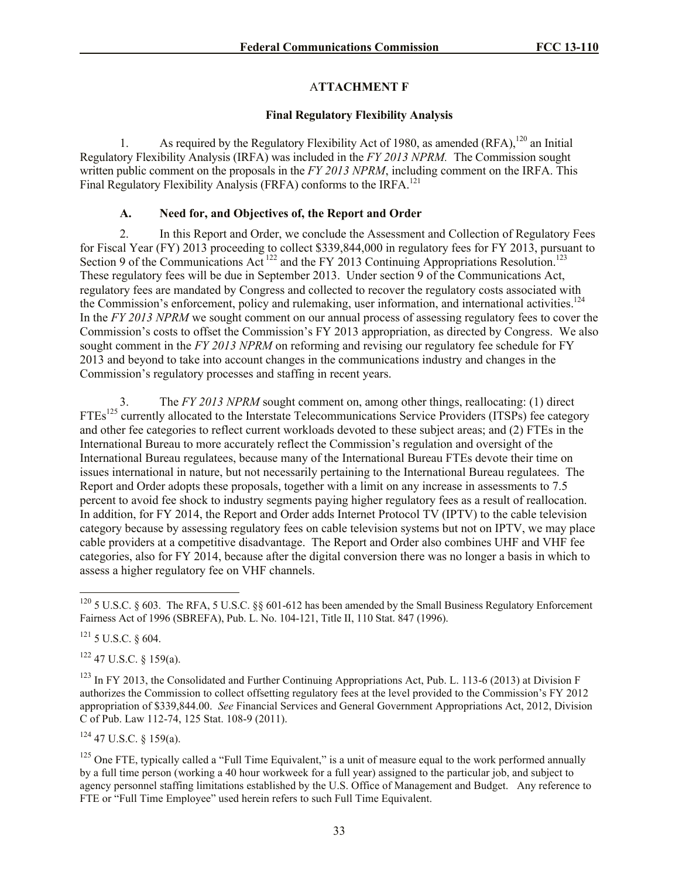# A**TTACHMENT F**

# **Final Regulatory Flexibility Analysis**

1. As required by the Regulatory Flexibility Act of 1980, as amended  $(RFA)$ ,<sup>120</sup> an Initial Regulatory Flexibility Analysis (IRFA) was included in the *FY 2013 NPRM.* The Commission sought written public comment on the proposals in the *FY 2013 NPRM*, including comment on the IRFA. This Final Regulatory Flexibility Analysis (FRFA) conforms to the IRFA.<sup>121</sup>

# **A. Need for, and Objectives of, the Report and Order**

2. In this Report and Order, we conclude the Assessment and Collection of Regulatory Fees for Fiscal Year (FY) 2013 proceeding to collect \$339,844,000 in regulatory fees for FY 2013, pursuant to Section 9 of the Communications Act<sup>122</sup> and the FY 2013 Continuing Appropriations Resolution.<sup>123</sup> These regulatory fees will be due in September 2013. Under section 9 of the Communications Act, regulatory fees are mandated by Congress and collected to recover the regulatory costs associated with the Commission's enforcement, policy and rulemaking, user information, and international activities.<sup>124</sup> In the *FY 2013 NPRM* we sought comment on our annual process of assessing regulatory fees to cover the Commission's costs to offset the Commission's FY 2013 appropriation, as directed by Congress. We also sought comment in the *FY 2013 NPRM* on reforming and revising our regulatory fee schedule for FY 2013 and beyond to take into account changes in the communications industry and changes in the Commission's regulatory processes and staffing in recent years.

The *FY 2013 NPRM* sought comment on, among other things, reallocating: (1) direct FTEs<sup>125</sup> currently allocated to the Interstate Telecommunications Service Providers (ITSPs) fee category and other fee categories to reflect current workloads devoted to these subject areas; and (2) FTEs in the International Bureau to more accurately reflect the Commission's regulation and oversight of the International Bureau regulatees, because many of the International Bureau FTEs devote their time on issues international in nature, but not necessarily pertaining to the International Bureau regulatees. The Report and Order adopts these proposals, together with a limit on any increase in assessments to 7.5 percent to avoid fee shock to industry segments paying higher regulatory fees as a result of reallocation. In addition, for FY 2014, the Report and Order adds Internet Protocol TV (IPTV) to the cable television category because by assessing regulatory fees on cable television systems but not on IPTV, we may place cable providers at a competitive disadvantage. The Report and Order also combines UHF and VHF fee categories, also for FY 2014, because after the digital conversion there was no longer a basis in which to assess a higher regulatory fee on VHF channels.

 $121$  5 U.S.C. § 604.

 $\overline{a}$ 

 $122$  47 U.S.C. § 159(a).

 $124$  47 U.S.C. § 159(a).

<sup>&</sup>lt;sup>120</sup> 5 U.S.C. § 603. The RFA, 5 U.S.C. §§ 601-612 has been amended by the Small Business Regulatory Enforcement Fairness Act of 1996 (SBREFA), Pub. L. No. 104-121, Title II, 110 Stat. 847 (1996).

<sup>&</sup>lt;sup>123</sup> In FY 2013, the Consolidated and Further Continuing Appropriations Act, Pub. L. 113-6 (2013) at Division F authorizes the Commission to collect offsetting regulatory fees at the level provided to the Commission's FY 2012 appropriation of \$339,844.00. *See* Financial Services and General Government Appropriations Act, 2012, Division C of Pub. Law 112-74, 125 Stat. 108-9 (2011).

 $125$  One FTE, typically called a "Full Time Equivalent," is a unit of measure equal to the work performed annually by a full time person (working a 40 hour workweek for a full year) assigned to the particular job, and subject to agency personnel staffing limitations established by the U.S. Office of Management and Budget. Any reference to FTE or "Full Time Employee" used herein refers to such Full Time Equivalent.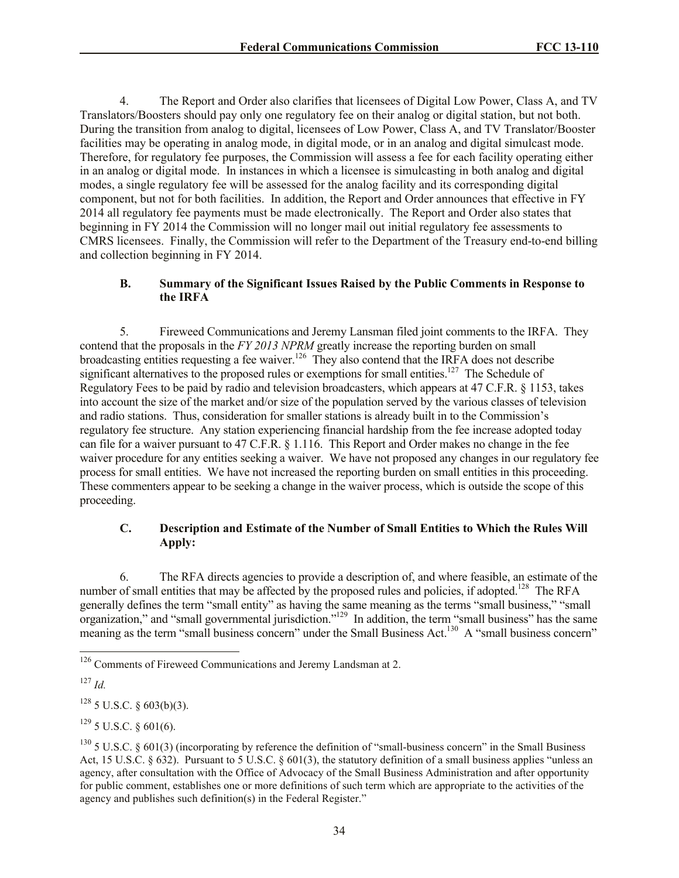4. The Report and Order also clarifies that licensees of Digital Low Power, Class A, and TV Translators/Boosters should pay only one regulatory fee on their analog or digital station, but not both. During the transition from analog to digital, licensees of Low Power, Class A, and TV Translator/Booster facilities may be operating in analog mode, in digital mode, or in an analog and digital simulcast mode. Therefore, for regulatory fee purposes, the Commission will assess a fee for each facility operating either in an analog or digital mode. In instances in which a licensee is simulcasting in both analog and digital modes, a single regulatory fee will be assessed for the analog facility and its corresponding digital component, but not for both facilities. In addition, the Report and Order announces that effective in FY 2014 all regulatory fee payments must be made electronically. The Report and Order also states that beginning in FY 2014 the Commission will no longer mail out initial regulatory fee assessments to CMRS licensees. Finally, the Commission will refer to the Department of the Treasury end-to-end billing and collection beginning in FY 2014.

## **B. Summary of the Significant Issues Raised by the Public Comments in Response to the IRFA**

5. Fireweed Communications and Jeremy Lansman filed joint comments to the IRFA. They contend that the proposals in the *FY 2013 NPRM* greatly increase the reporting burden on small broadcasting entities requesting a fee waiver.<sup>126</sup> They also contend that the IRFA does not describe significant alternatives to the proposed rules or exemptions for small entities.<sup>127</sup> The Schedule of Regulatory Fees to be paid by radio and television broadcasters, which appears at 47 C.F.R. § 1153, takes into account the size of the market and/or size of the population served by the various classes of television and radio stations. Thus, consideration for smaller stations is already built in to the Commission's regulatory fee structure. Any station experiencing financial hardship from the fee increase adopted today can file for a waiver pursuant to 47 C.F.R. § 1.116. This Report and Order makes no change in the fee waiver procedure for any entities seeking a waiver. We have not proposed any changes in our regulatory fee process for small entities. We have not increased the reporting burden on small entities in this proceeding. These commenters appear to be seeking a change in the waiver process, which is outside the scope of this proceeding.

# **C. Description and Estimate of the Number of Small Entities to Which the Rules Will Apply:**

6. The RFA directs agencies to provide a description of, and where feasible, an estimate of the number of small entities that may be affected by the proposed rules and policies, if adopted.<sup>128</sup> The RFA generally defines the term "small entity" as having the same meaning as the terms "small business," "small organization," and "small governmental jurisdiction."<sup>129</sup> In addition, the term "small business" has the same meaning as the term "small business concern" under the Small Business Act.<sup>130</sup> A "small business concern"

<sup>127</sup> *Id.*

l

 $128$  5 U.S.C. § 603(b)(3).

 $129$  5 U.S.C. § 601(6).

<sup>&</sup>lt;sup>126</sup> Comments of Fireweed Communications and Jeremy Landsman at 2.

 $130\,$  5 U.S.C. § 601(3) (incorporating by reference the definition of "small-business concern" in the Small Business Act, 15 U.S.C.  $\S 632$ ). Pursuant to 5 U.S.C.  $\S 601(3)$ , the statutory definition of a small business applies "unless an agency, after consultation with the Office of Advocacy of the Small Business Administration and after opportunity for public comment, establishes one or more definitions of such term which are appropriate to the activities of the agency and publishes such definition(s) in the Federal Register."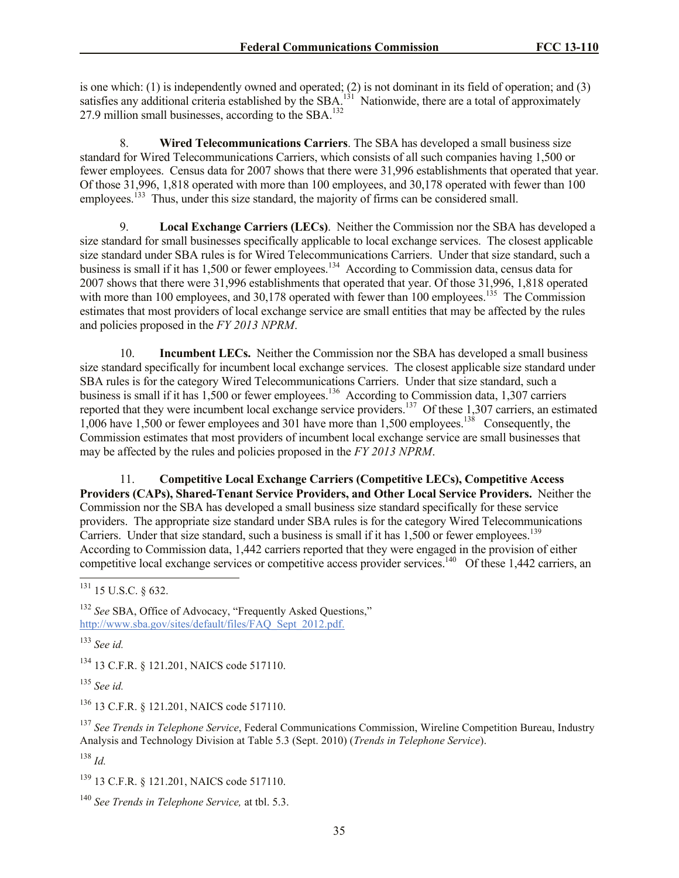is one which: (1) is independently owned and operated; (2) is not dominant in its field of operation; and (3) satisfies any additional criteria established by the SBA.<sup>131</sup> Nationwide, there are a total of approximately 27.9 million small businesses, according to the  $SBA$ <sup>132</sup>

8. **Wired Telecommunications Carriers**. The SBA has developed a small business size standard for Wired Telecommunications Carriers, which consists of all such companies having 1,500 or fewer employees. Census data for 2007 shows that there were 31,996 establishments that operated that year. Of those 31,996, 1,818 operated with more than 100 employees, and 30,178 operated with fewer than 100 employees.<sup>133</sup> Thus, under this size standard, the majority of firms can be considered small.

9. **Local Exchange Carriers (LECs)**. Neither the Commission nor the SBA has developed a size standard for small businesses specifically applicable to local exchange services. The closest applicable size standard under SBA rules is for Wired Telecommunications Carriers. Under that size standard, such a business is small if it has 1,500 or fewer employees.<sup>134</sup> According to Commission data, census data for 2007 shows that there were 31,996 establishments that operated that year. Of those 31,996, 1,818 operated with more than 100 employees, and 30,178 operated with fewer than 100 employees.<sup>135</sup> The Commission estimates that most providers of local exchange service are small entities that may be affected by the rules and policies proposed in the *FY 2013 NPRM*.

10. **Incumbent LECs.** Neither the Commission nor the SBA has developed a small business size standard specifically for incumbent local exchange services. The closest applicable size standard under SBA rules is for the category Wired Telecommunications Carriers. Under that size standard, such a business is small if it has  $1,500$  or fewer employees.<sup>136</sup> According to Commission data, 1,307 carriers reported that they were incumbent local exchange service providers.<sup>137</sup> Of these 1,307 carriers, an estimated 1,006 have 1,500 or fewer employees and 301 have more than 1,500 employees.<sup>138</sup> Consequently, the Commission estimates that most providers of incumbent local exchange service are small businesses that may be affected by the rules and policies proposed in the *FY 2013 NPRM*.

11. **Competitive Local Exchange Carriers (Competitive LECs), Competitive Access Providers (CAPs), Shared-Tenant Service Providers, and Other Local Service Providers.** Neither the Commission nor the SBA has developed a small business size standard specifically for these service providers. The appropriate size standard under SBA rules is for the category Wired Telecommunications Carriers. Under that size standard, such a business is small if it has  $1,500$  or fewer employees.<sup>139</sup> According to Commission data, 1,442 carriers reported that they were engaged in the provision of either competitive local exchange services or competitive access provider services.<sup>140</sup> Of these 1,442 carriers, an  $\overline{a}$ 

<sup>134</sup> 13 C.F.R. § 121.201, NAICS code 517110.

<sup>135</sup> *See id.*

<sup>136</sup> 13 C.F.R. § 121.201, NAICS code 517110.

<sup>137</sup> *See Trends in Telephone Service*, Federal Communications Commission, Wireline Competition Bureau, Industry Analysis and Technology Division at Table 5.3 (Sept. 2010) (*Trends in Telephone Service*).

<sup>138</sup> *Id.*

<sup>139</sup> 13 C.F.R. § 121.201, NAICS code 517110.

 $^{131}$  15 U.S.C. § 632.

<sup>&</sup>lt;sup>132</sup> *See* SBA, Office of Advocacy, "Frequently Asked Ouestions." http://www.sba.gov/sites/default/files/FAQ\_Sept\_2012.pdf.

<sup>133</sup> *See id.*

<sup>140</sup> *See Trends in Telephone Service,* at tbl. 5.3.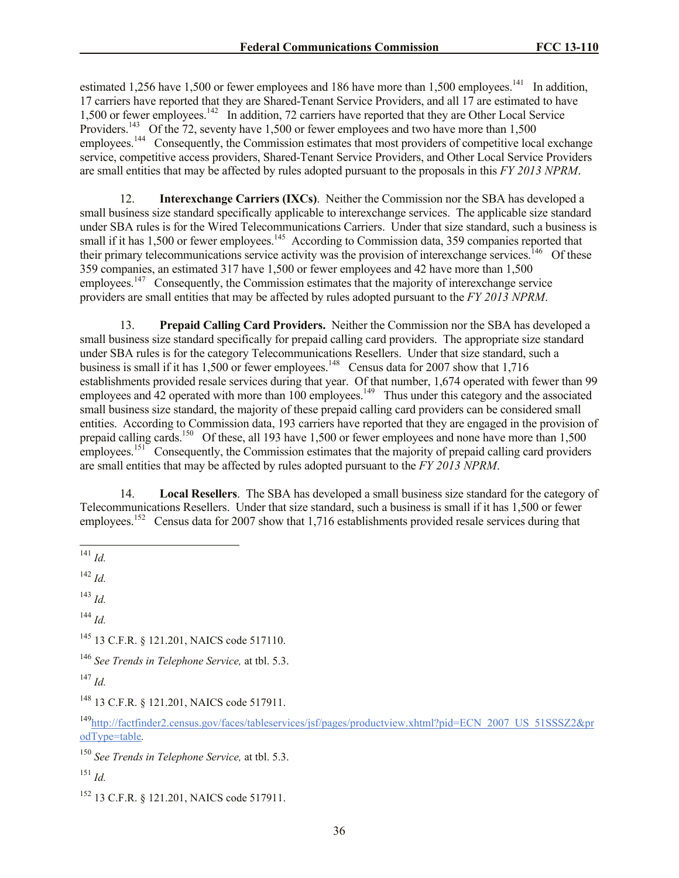estimated 1,256 have 1,500 or fewer employees and 186 have more than 1,500 employees.<sup>141</sup> In addition, 17 carriers have reported that they are Shared-Tenant Service Providers, and all 17 are estimated to have 1,500 or fewer employees.<sup>142</sup> In addition, 72 carriers have reported that they are Other Local Service Providers.<sup>143</sup> Of the 72, seventy have 1,500 or fewer employees and two have more than 1,500 employees.<sup>144</sup> Consequently, the Commission estimates that most providers of competitive local exchange service, competitive access providers, Shared-Tenant Service Providers, and Other Local Service Providers are small entities that may be affected by rules adopted pursuant to the proposals in this *FY 2013 NPRM*.

12. **Interexchange Carriers (IXCs)**. Neither the Commission nor the SBA has developed a small business size standard specifically applicable to interexchange services. The applicable size standard under SBA rules is for the Wired Telecommunications Carriers. Under that size standard, such a business is small if it has 1,500 or fewer employees.<sup>145</sup> According to Commission data, 359 companies reported that their primary telecommunications service activity was the provision of interexchange services.<sup>146</sup> Of these 359 companies, an estimated 317 have 1,500 or fewer employees and 42 have more than 1,500 employees.<sup>147</sup> Consequently, the Commission estimates that the majority of interexchange service providers are small entities that may be affected by rules adopted pursuant to the *FY 2013 NPRM*.

13. **Prepaid Calling Card Providers.** Neither the Commission nor the SBA has developed a small business size standard specifically for prepaid calling card providers. The appropriate size standard under SBA rules is for the category Telecommunications Resellers. Under that size standard, such a business is small if it has  $1,500$  or fewer employees.<sup>148</sup> Census data for 2007 show that  $1,716$ establishments provided resale services during that year. Of that number, 1,674 operated with fewer than 99 employees and  $42$  operated with more than 100 employees.<sup>149</sup> Thus under this category and the associated small business size standard, the majority of these prepaid calling card providers can be considered small entities. According to Commission data, 193 carriers have reported that they are engaged in the provision of prepaid calling cards.<sup>150</sup> Of these, all 193 have 1,500 or fewer employees and none have more than 1,500 employees.<sup>151</sup> Consequently, the Commission estimates that the majority of prepaid calling card providers are small entities that may be affected by rules adopted pursuant to the *FY 2013 NPRM*.

14. **Local Resellers**. The SBA has developed a small business size standard for the category of Telecommunications Resellers. Under that size standard, such a business is small if it has 1,500 or fewer employees.<sup>152</sup> Census data for 2007 show that 1,716 establishments provided resale services during that

<sup>142</sup> *Id.*

<sup>143</sup> *Id.*

<sup>144</sup> *Id.*

<sup>145</sup> 13 C.F.R. § 121.201, NAICS code 517110.

<sup>146</sup> *See Trends in Telephone Service,* at tbl. 5.3.

<sup>147</sup> *Id.*

<sup>148</sup> 13 C.F.R. § 121.201, NAICS code 517911.

<sup>149</sup>http://factfinder2.census.gov/faces/tableservices/jsf/pages/productview.xhtml?pid=ECN\_2007\_US\_51SSSZ2&pr odType=table*.*

<sup>150</sup> *See Trends in Telephone Service,* at tbl. 5.3.

<sup>151</sup> *Id.*

<sup>152</sup> 13 C.F.R. § 121.201, NAICS code 517911.

 $\overline{a}$ <sup>141</sup> *Id.*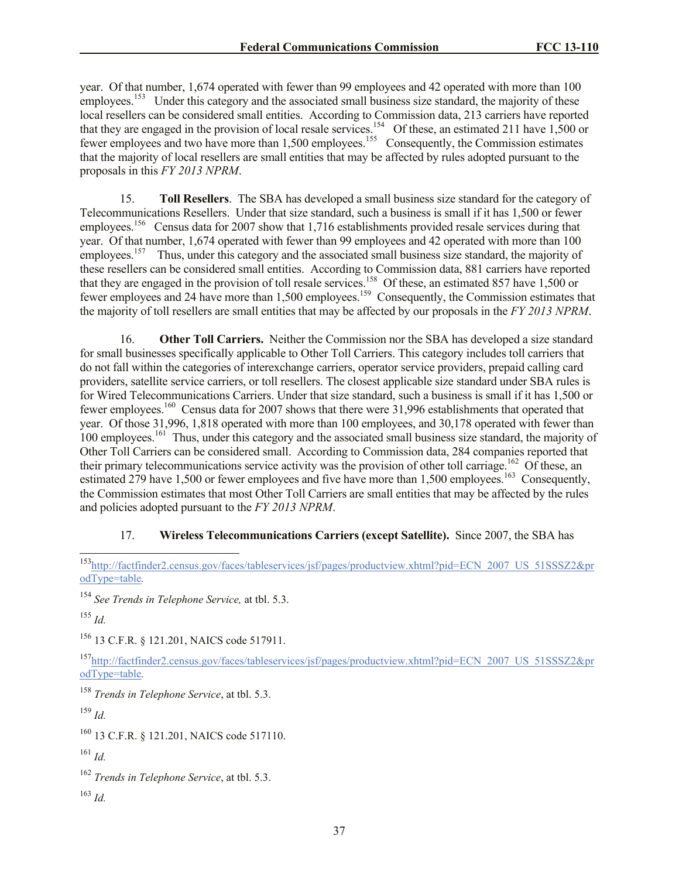year. Of that number, 1,674 operated with fewer than 99 employees and 42 operated with more than 100 employees.<sup>153</sup> Under this category and the associated small business size standard, the majority of these local resellers can be considered small entities. According to Commission data, 213 carriers have reported that they are engaged in the provision of local resale services.<sup>154</sup> Of these, an estimated 211 have 1,500 or fewer employees and two have more than 1,500 employees.<sup>155</sup> Consequently, the Commission estimates that the majority of local resellers are small entities that may be affected by rules adopted pursuant to the proposals in this *FY 2013 NPRM*.

15. **Toll Resellers**. The SBA has developed a small business size standard for the category of Telecommunications Resellers. Under that size standard, such a business is small if it has 1,500 or fewer employees.<sup>156</sup> Census data for 2007 show that 1,716 establishments provided resale services during that year. Of that number, 1,674 operated with fewer than 99 employees and 42 operated with more than 100 employees.<sup>157</sup> Thus, under this category and the associated small business size standard, the majority of these resellers can be considered small entities. According to Commission data, 881 carriers have reported that they are engaged in the provision of toll resale services.<sup>158</sup> Of these, an estimated 857 have 1,500 or fewer employees and 24 have more than 1,500 employees.<sup>159</sup> Consequently, the Commission estimates that the majority of toll resellers are small entities that may be affected by our proposals in the *FY 2013 NPRM*.

16. **Other Toll Carriers.** Neither the Commission nor the SBA has developed a size standard for small businesses specifically applicable to Other Toll Carriers. This category includes toll carriers that do not fall within the categories of interexchange carriers, operator service providers, prepaid calling card providers, satellite service carriers, or toll resellers. The closest applicable size standard under SBA rules is for Wired Telecommunications Carriers. Under that size standard, such a business is small if it has 1,500 or fewer employees.<sup>160</sup> Census data for 2007 shows that there were 31,996 establishments that operated that year. Of those 31,996, 1,818 operated with more than 100 employees, and 30,178 operated with fewer than 100 employees.<sup>161</sup> Thus, under this category and the associated small business size standard, the majority of Other Toll Carriers can be considered small. According to Commission data, 284 companies reported that their primary telecommunications service activity was the provision of other toll carriage.<sup>162</sup> Of these, an estimated 279 have 1,500 or fewer employees and five have more than 1,500 employees.<sup>163</sup> Consequently, the Commission estimates that most Other Toll Carriers are small entities that may be affected by the rules and policies adopted pursuant to the *FY 2013 NPRM*.

### 17. **Wireless Telecommunications Carriers (except Satellite).** Since 2007, the SBA has

<sup>155</sup> *Id.*

l

<sup>156</sup> 13 C.F.R. § 121.201, NAICS code 517911.

<sup>157</sup>http://factfinder2.census.gov/faces/tableservices/jsf/pages/productview.xhtml?pid=ECN\_2007\_US\_51SSSZ2&pr odType=table*.*

<sup>158</sup> *Trends in Telephone Service*, at tbl. 5.3.

<sup>159</sup> *Id.*

<sup>160</sup> 13 C.F.R. § 121.201, NAICS code 517110.

<sup>161</sup> *Id.*

<sup>162</sup> *Trends in Telephone Service*, at tbl. 5.3.

<sup>163</sup> *Id.*

<sup>&</sup>lt;sup>153</sup>http://factfinder2.census.gov/faces/tableservices/jsf/pages/productview.xhtml?pid=ECN\_2007\_US\_51SSSZ2&pr odType=table*.*

<sup>154</sup> *See Trends in Telephone Service,* at tbl. 5.3.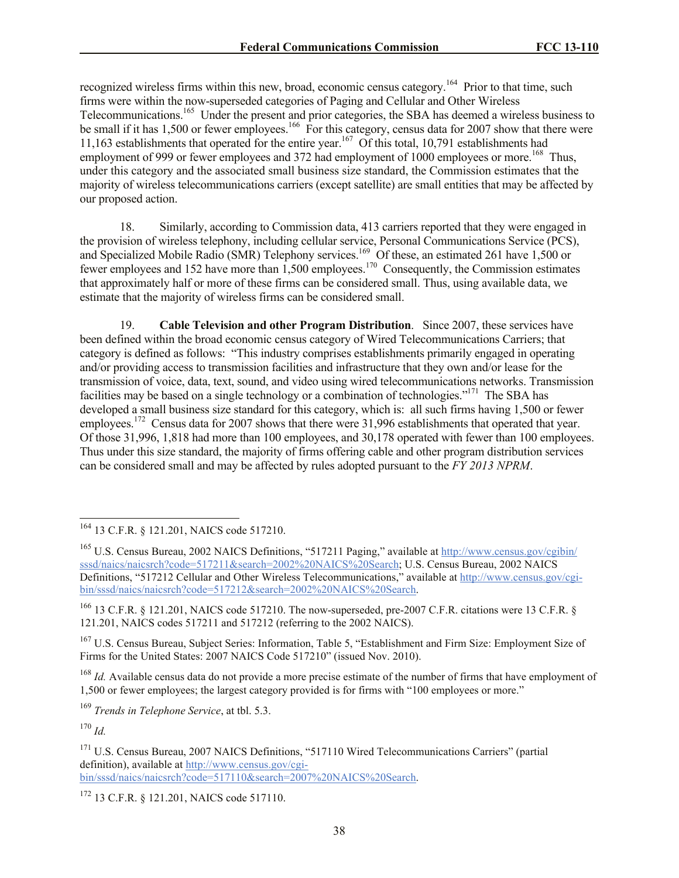recognized wireless firms within this new, broad, economic census category.<sup>164</sup> Prior to that time, such firms were within the now-superseded categories of Paging and Cellular and Other Wireless Telecommunications.<sup>165</sup> Under the present and prior categories, the SBA has deemed a wireless business to be small if it has 1,500 or fewer employees.<sup>166</sup> For this category, census data for 2007 show that there were 11,163 establishments that operated for the entire year.<sup>167</sup> Of this total, 10,791 establishments had employment of 999 or fewer employees and 372 had employment of 1000 employees or more.<sup>168</sup> Thus, under this category and the associated small business size standard, the Commission estimates that the majority of wireless telecommunications carriers (except satellite) are small entities that may be affected by our proposed action.

18. Similarly, according to Commission data, 413 carriers reported that they were engaged in the provision of wireless telephony, including cellular service, Personal Communications Service (PCS), and Specialized Mobile Radio (SMR) Telephony services.<sup>169</sup> Of these, an estimated 261 have 1,500 or fewer employees and 152 have more than 1,500 employees.<sup>170</sup> Consequently, the Commission estimates that approximately half or more of these firms can be considered small. Thus, using available data, we estimate that the majority of wireless firms can be considered small.

19. **Cable Television and other Program Distribution**. Since 2007, these services have been defined within the broad economic census category of Wired Telecommunications Carriers; that category is defined as follows: "This industry comprises establishments primarily engaged in operating and/or providing access to transmission facilities and infrastructure that they own and/or lease for the transmission of voice, data, text, sound, and video using wired telecommunications networks. Transmission facilities may be based on a single technology or a combination of technologies."<sup>171</sup> The SBA has developed a small business size standard for this category, which is: all such firms having 1,500 or fewer employees.<sup>172</sup> Census data for 2007 shows that there were 31,996 establishments that operated that year. Of those 31,996, 1,818 had more than 100 employees, and 30,178 operated with fewer than 100 employees. Thus under this size standard, the majority of firms offering cable and other program distribution services can be considered small and may be affected by rules adopted pursuant to the *FY 2013 NPRM*.

<sup>167</sup> U.S. Census Bureau, Subject Series: Information, Table 5, "Establishment and Firm Size: Employment Size of Firms for the United States: 2007 NAICS Code 517210" (issued Nov. 2010).

<sup>168</sup> *Id.* Available census data do not provide a more precise estimate of the number of firms that have employment of 1,500 or fewer employees; the largest category provided is for firms with "100 employees or more."

<sup>169</sup> *Trends in Telephone Service*, at tbl. 5.3.

<sup>170</sup> *Id.*

 $\overline{\phantom{a}}$ 

<sup>172</sup> 13 C.F.R. § 121.201, NAICS code 517110.

<sup>&</sup>lt;sup>164</sup> 13 C.F.R. § 121.201, NAICS code 517210.

<sup>&</sup>lt;sup>165</sup> U.S. Census Bureau, 2002 NAICS Definitions, "517211 Paging," available at http://www.census.gov/cgibin/ sssd/naics/naicsrch?code=517211&search=2002%20NAICS%20Search; U.S. Census Bureau, 2002 NAICS Definitions, "517212 Cellular and Other Wireless Telecommunications," available at http://www.census.gov/cgibin/sssd/naics/naicsrch?code=517212&search=2002%20NAICS%20Search.

<sup>&</sup>lt;sup>166</sup> 13 C.F.R. § 121.201, NAICS code 517210. The now-superseded, pre-2007 C.F.R. citations were 13 C.F.R. § 121.201, NAICS codes 517211 and 517212 (referring to the 2002 NAICS).

<sup>&</sup>lt;sup>171</sup> U.S. Census Bureau, 2007 NAICS Definitions, "517110 Wired Telecommunications Carriers" (partial definition), available at http://www.census.gov/cgibin/sssd/naics/naicsrch?code=517110&search=2007%20NAICS%20Search.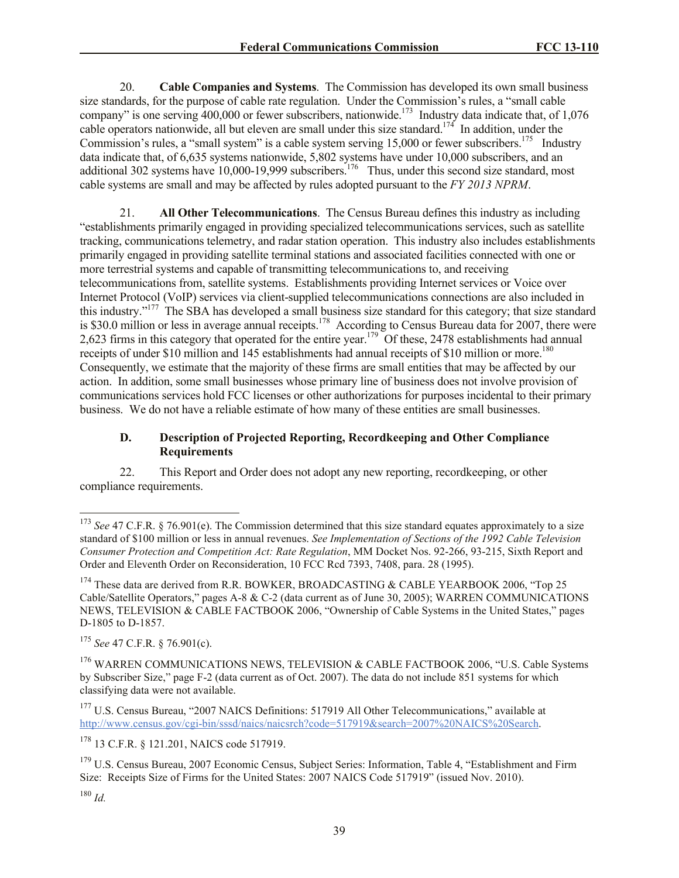20. **Cable Companies and Systems**. The Commission has developed its own small business size standards, for the purpose of cable rate regulation. Under the Commission's rules, a "small cable company" is one serving  $\frac{400,000}{2}$  or fewer subscribers, nationwide.<sup>173</sup> Industry data indicate that, of 1,076 cable operators nationwide, all but eleven are small under this size standard.<sup>174</sup> In addition, under the Commission's rules, a "small system" is a cable system serving  $15,000$  or fewer subscribers.<sup>175</sup> Industry data indicate that, of 6,635 systems nationwide, 5,802 systems have under 10,000 subscribers, and an additional 302 systems have  $10,000$ -19,999 subscribers.<sup>176</sup> Thus, under this second size standard, most cable systems are small and may be affected by rules adopted pursuant to the *FY 2013 NPRM*.

21. **All Other Telecommunications**. The Census Bureau defines this industry as including "establishments primarily engaged in providing specialized telecommunications services, such as satellite tracking, communications telemetry, and radar station operation. This industry also includes establishments primarily engaged in providing satellite terminal stations and associated facilities connected with one or more terrestrial systems and capable of transmitting telecommunications to, and receiving telecommunications from, satellite systems. Establishments providing Internet services or Voice over Internet Protocol (VoIP) services via client-supplied telecommunications connections are also included in this industry."<sup>177</sup> The SBA has developed a small business size standard for this category; that size standard is \$30.0 million or less in average annual receipts.<sup>178</sup> According to Census Bureau data for 2007, there were 2,623 firms in this category that operated for the entire year.<sup>179</sup> Of these, 2478 establishments had annual receipts of under \$10 million and 145 establishments had annual receipts of \$10 million or more.<sup>180</sup> Consequently, we estimate that the majority of these firms are small entities that may be affected by our action. In addition, some small businesses whose primary line of business does not involve provision of communications services hold FCC licenses or other authorizations for purposes incidental to their primary business. We do not have a reliable estimate of how many of these entities are small businesses.

## **D. Description of Projected Reporting, Recordkeeping and Other Compliance Requirements**

22. This Report and Order does not adopt any new reporting, recordkeeping, or other compliance requirements.

<sup>178</sup> 13 C.F.R. § 121.201, NAICS code 517919.

 $\overline{\phantom{a}}$ 

<sup>&</sup>lt;sup>173</sup> *See* 47 C.F.R. § 76.901(e). The Commission determined that this size standard equates approximately to a size standard of \$100 million or less in annual revenues. *See Implementation of Sections of the 1992 Cable Television Consumer Protection and Competition Act: Rate Regulation*, MM Docket Nos. 92-266, 93-215, Sixth Report and Order and Eleventh Order on Reconsideration, 10 FCC Rcd 7393, 7408, para. 28 (1995).

 $174$  These data are derived from R.R. BOWKER, BROADCASTING & CABLE YEARBOOK 2006, "Top 25" Cable/Satellite Operators," pages A-8 & C-2 (data current as of June 30, 2005); WARREN COMMUNICATIONS NEWS, TELEVISION & CABLE FACTBOOK 2006, "Ownership of Cable Systems in the United States," pages D-1805 to D-1857.

<sup>175</sup> *See* 47 C.F.R. § 76.901(c).

<sup>&</sup>lt;sup>176</sup> WARREN COMMUNICATIONS NEWS, TELEVISION & CABLE FACTBOOK 2006, "U.S. Cable Systems by Subscriber Size," page F-2 (data current as of Oct. 2007). The data do not include 851 systems for which classifying data were not available.

<sup>&</sup>lt;sup>177</sup> U.S. Census Bureau, "2007 NAICS Definitions: 517919 All Other Telecommunications," available at http://www.census.gov/cgi-bin/sssd/naics/naicsrch?code=517919&search=2007%20NAICS%20Search.

<sup>&</sup>lt;sup>179</sup> U.S. Census Bureau, 2007 Economic Census, Subject Series: Information, Table 4, "Establishment and Firm Size: Receipts Size of Firms for the United States: 2007 NAICS Code 517919" (issued Nov. 2010).

<sup>180</sup> *Id.*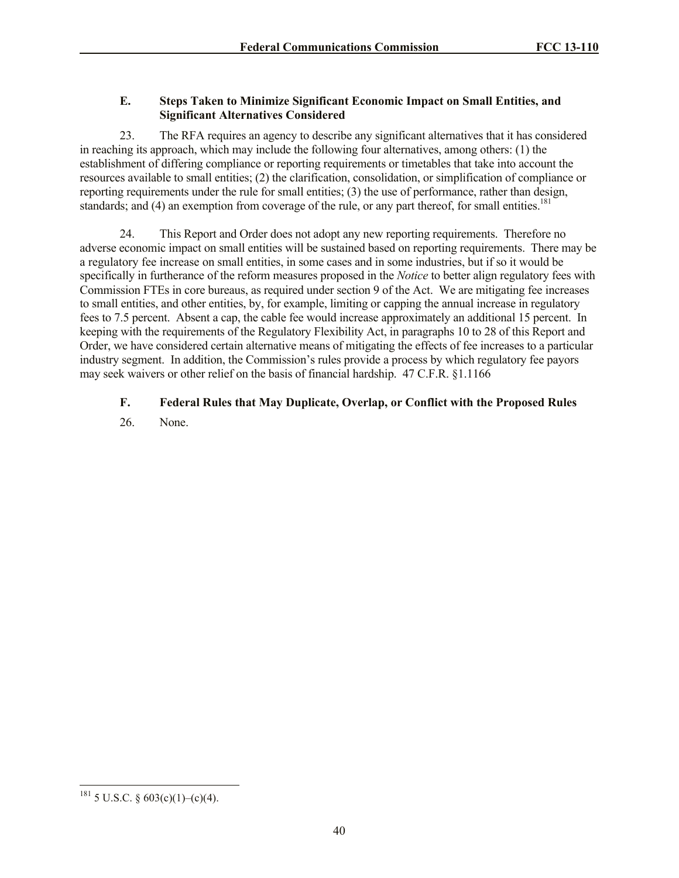## **E. Steps Taken to Minimize Significant Economic Impact on Small Entities, and Significant Alternatives Considered**

23. The RFA requires an agency to describe any significant alternatives that it has considered in reaching its approach, which may include the following four alternatives, among others: (1) the establishment of differing compliance or reporting requirements or timetables that take into account the resources available to small entities; (2) the clarification, consolidation, or simplification of compliance or reporting requirements under the rule for small entities; (3) the use of performance, rather than design, standards; and (4) an exemption from coverage of the rule, or any part thereof, for small entities.<sup>181</sup>

24. This Report and Order does not adopt any new reporting requirements. Therefore no adverse economic impact on small entities will be sustained based on reporting requirements. There may be a regulatory fee increase on small entities, in some cases and in some industries, but if so it would be specifically in furtherance of the reform measures proposed in the *Notice* to better align regulatory fees with Commission FTEs in core bureaus, as required under section 9 of the Act. We are mitigating fee increases to small entities, and other entities, by, for example, limiting or capping the annual increase in regulatory fees to 7.5 percent. Absent a cap, the cable fee would increase approximately an additional 15 percent. In keeping with the requirements of the Regulatory Flexibility Act, in paragraphs 10 to 28 of this Report and Order, we have considered certain alternative means of mitigating the effects of fee increases to a particular industry segment. In addition, the Commission's rules provide a process by which regulatory fee payors may seek waivers or other relief on the basis of financial hardship. 47 C.F.R. §1.1166

# **F. Federal Rules that May Duplicate, Overlap, or Conflict with the Proposed Rules**

26. None.

 $\overline{\phantom{a}}$ 

 $181$  5 U.S.C. § 603(c)(1)–(c)(4).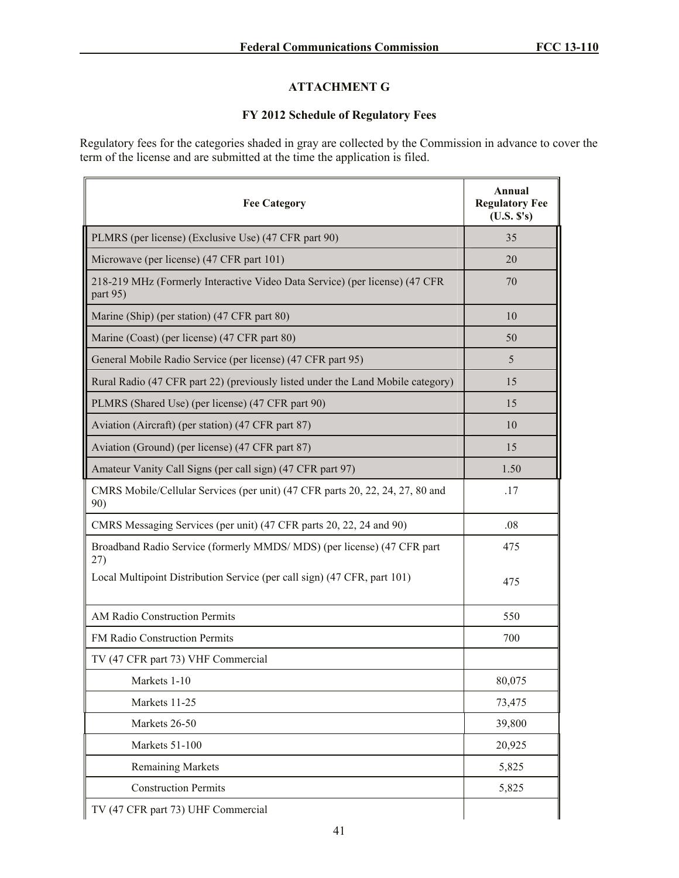# **ATTACHMENT G**

## **FY 2012 Schedule of Regulatory Fees**

Regulatory fees for the categories shaded in gray are collected by the Commission in advance to cover the term of the license and are submitted at the time the application is filed.

| <b>Fee Category</b>                                                                     | Annual<br><b>Regulatory Fee</b><br>(U.S. S's) |
|-----------------------------------------------------------------------------------------|-----------------------------------------------|
| PLMRS (per license) (Exclusive Use) (47 CFR part 90)                                    | 35                                            |
| Microwave (per license) (47 CFR part 101)                                               | 20                                            |
| 218-219 MHz (Formerly Interactive Video Data Service) (per license) (47 CFR<br>part 95) | 70                                            |
| Marine (Ship) (per station) (47 CFR part 80)                                            | 10                                            |
| Marine (Coast) (per license) (47 CFR part 80)                                           | 50                                            |
| General Mobile Radio Service (per license) (47 CFR part 95)                             | 5                                             |
| Rural Radio (47 CFR part 22) (previously listed under the Land Mobile category)         | 15                                            |
| PLMRS (Shared Use) (per license) (47 CFR part 90)                                       | 15                                            |
| Aviation (Aircraft) (per station) (47 CFR part 87)                                      | 10                                            |
| Aviation (Ground) (per license) (47 CFR part 87)                                        | 15                                            |
| Amateur Vanity Call Signs (per call sign) (47 CFR part 97)                              | 1.50                                          |
| CMRS Mobile/Cellular Services (per unit) (47 CFR parts 20, 22, 24, 27, 80 and<br>90)    | .17                                           |
| CMRS Messaging Services (per unit) (47 CFR parts 20, 22, 24 and 90)                     | .08                                           |
| Broadband Radio Service (formerly MMDS/MDS) (per license) (47 CFR part<br>27)           | 475                                           |
| Local Multipoint Distribution Service (per call sign) (47 CFR, part 101)                | 475                                           |
| <b>AM Radio Construction Permits</b>                                                    | 550                                           |
| <b>FM Radio Construction Permits</b>                                                    | 700                                           |
| TV (47 CFR part 73) VHF Commercial                                                      |                                               |
| Markets 1-10                                                                            | 80,075                                        |
| Markets 11-25                                                                           | 73,475                                        |
| Markets 26-50                                                                           | 39,800                                        |
| Markets 51-100                                                                          | 20,925                                        |
| <b>Remaining Markets</b>                                                                | 5,825                                         |
| <b>Construction Permits</b>                                                             | 5,825                                         |
| TV (47 CFR part 73) UHF Commercial                                                      |                                               |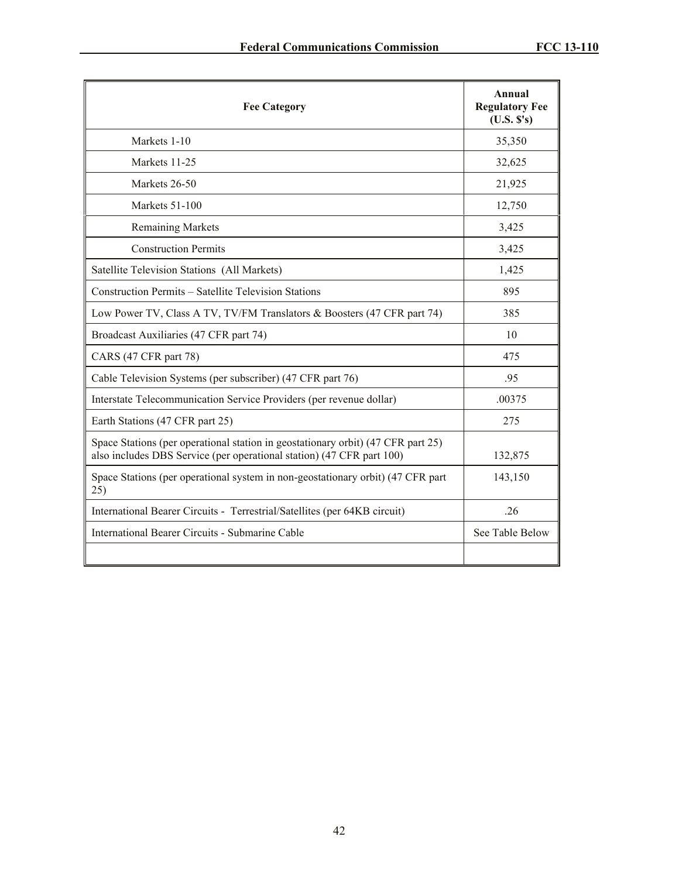| <b>Fee Category</b>                                                                                                                                       | Annual<br><b>Regulatory Fee</b><br>(U.S. S's) |
|-----------------------------------------------------------------------------------------------------------------------------------------------------------|-----------------------------------------------|
| Markets 1-10                                                                                                                                              | 35,350                                        |
| Markets 11-25                                                                                                                                             | 32,625                                        |
| Markets 26-50                                                                                                                                             | 21,925                                        |
| Markets 51-100                                                                                                                                            | 12,750                                        |
| <b>Remaining Markets</b>                                                                                                                                  | 3,425                                         |
| <b>Construction Permits</b>                                                                                                                               | 3,425                                         |
| Satellite Television Stations (All Markets)                                                                                                               | 1,425                                         |
| Construction Permits – Satellite Television Stations                                                                                                      | 895                                           |
| Low Power TV, Class A TV, TV/FM Translators & Boosters (47 CFR part 74)                                                                                   | 385                                           |
| Broadcast Auxiliaries (47 CFR part 74)                                                                                                                    | 10                                            |
| CARS (47 CFR part 78)                                                                                                                                     | 475                                           |
| Cable Television Systems (per subscriber) (47 CFR part 76)                                                                                                | .95                                           |
| Interstate Telecommunication Service Providers (per revenue dollar)                                                                                       | .00375                                        |
| Earth Stations (47 CFR part 25)                                                                                                                           | 275                                           |
| Space Stations (per operational station in geostationary orbit) (47 CFR part 25)<br>also includes DBS Service (per operational station) (47 CFR part 100) | 132,875                                       |
| Space Stations (per operational system in non-geostationary orbit) (47 CFR part<br>25)                                                                    | 143,150                                       |
| International Bearer Circuits - Terrestrial/Satellites (per 64KB circuit)                                                                                 | 26                                            |
| International Bearer Circuits - Submarine Cable                                                                                                           | See Table Below                               |
|                                                                                                                                                           |                                               |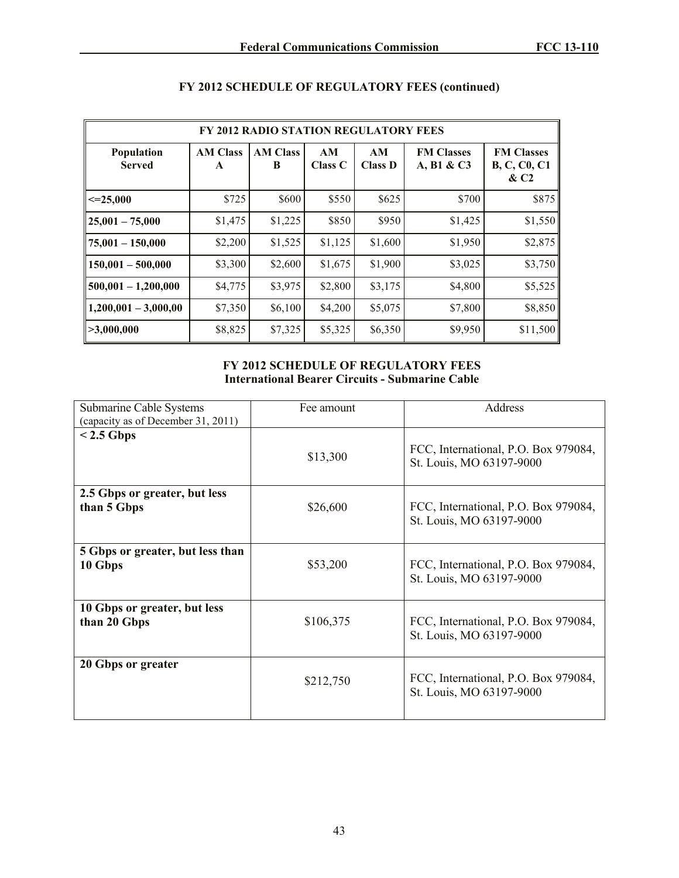| <b>FY 2012 RADIO STATION REGULATORY FEES</b> |                      |                      |               |                      |                                 |                                                              |
|----------------------------------------------|----------------------|----------------------|---------------|----------------------|---------------------------------|--------------------------------------------------------------|
| <b>Population</b><br><b>Served</b>           | <b>AM Class</b><br>A | <b>AM Class</b><br>B | AM<br>Class C | AM<br><b>Class D</b> | <b>FM Classes</b><br>A, B1 & C3 | <b>FM Classes</b><br><b>B, C, C0, C1</b><br>& C <sub>2</sub> |
| $\leq 25,000$                                | \$725                | \$600                | \$550         | \$625                | \$700                           | \$875                                                        |
| $25,001 - 75,000$                            | \$1,475              | \$1,225              | \$850         | \$950                | \$1,425                         | \$1,550                                                      |
| $75,001 - 150,000$                           | \$2,200              | \$1,525              | \$1,125       | \$1,600              | \$1,950                         | \$2,875                                                      |
| $150,001 - 500,000$                          | \$3,300              | \$2,600              | \$1,675       | \$1,900              | \$3,025                         | \$3,750                                                      |
| $500,001 - 1,200,000$                        | \$4,775              | \$3,975              | \$2,800       | \$3,175              | \$4,800                         | \$5,525                                                      |
| $1,200,001 - 3,000,00$                       | \$7,350              | \$6,100              | \$4,200       | \$5,075              | \$7,800                         | \$8,850                                                      |
| >3,000,000                                   | \$8,825              | \$7,325              | \$5,325       | \$6,350              | \$9,950                         | \$11,500                                                     |

# **FY 2012 SCHEDULE OF REGULATORY FEES (continued)**

# **FY 2012 SCHEDULE OF REGULATORY FEES International Bearer Circuits - Submarine Cable**

| Submarine Cable Systems            | Fee amount | <b>Address</b>                                                   |
|------------------------------------|------------|------------------------------------------------------------------|
| (capacity as of December 31, 2011) |            |                                                                  |
| $< 2.5$ Gbps                       |            |                                                                  |
|                                    | \$13,300   | FCC, International, P.O. Box 979084,<br>St. Louis, MO 63197-9000 |
| 2.5 Gbps or greater, but less      |            |                                                                  |
| than 5 Gbps                        | \$26,600   | FCC, International, P.O. Box 979084,<br>St. Louis, MO 63197-9000 |
| 5 Gbps or greater, but less than   |            |                                                                  |
| 10 Gbps                            | \$53,200   | FCC, International, P.O. Box 979084,<br>St. Louis, MO 63197-9000 |
| 10 Gbps or greater, but less       |            |                                                                  |
| than 20 Gbps                       | \$106,375  | FCC, International, P.O. Box 979084,<br>St. Louis, MO 63197-9000 |
| 20 Gbps or greater                 |            |                                                                  |
|                                    | \$212,750  | FCC, International, P.O. Box 979084,<br>St. Louis, MO 63197-9000 |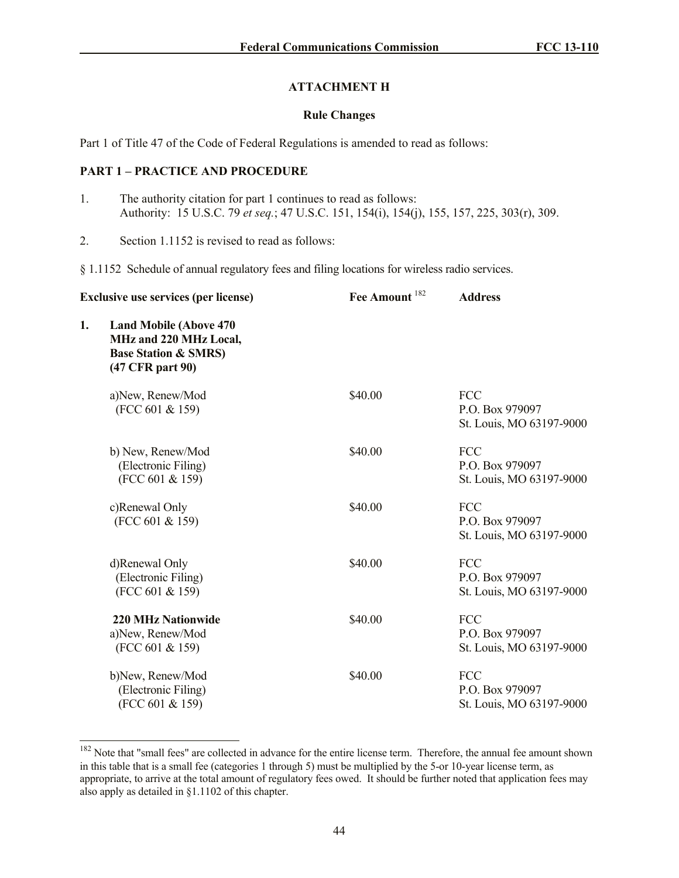## **ATTACHMENT H**

### **Rule Changes**

Part 1 of Title 47 of the Code of Federal Regulations is amended to read as follows:

# **PART 1 – PRACTICE AND PROCEDURE**

 $\overline{\phantom{a}}$ 

- 1. The authority citation for part 1 continues to read as follows: Authority: 15 U.S.C. 79 *et seq.*; 47 U.S.C. 151, 154(i), 154(j), 155, 157, 225, 303(r), 309.
- 2. Section 1.1152 is revised to read as follows:

§ 1.1152 Schedule of annual regulatory fees and filing locations for wireless radio services.

|    | <b>Exclusive use services (per license)</b>                                                                     | Fee Amount <sup>182</sup> | <b>Address</b>                                            |
|----|-----------------------------------------------------------------------------------------------------------------|---------------------------|-----------------------------------------------------------|
| 1. | <b>Land Mobile (Above 470)</b><br>MHz and 220 MHz Local,<br><b>Base Station &amp; SMRS)</b><br>(47 CFR part 90) |                           |                                                           |
|    | a)New, Renew/Mod<br>(FCC 601 & 159)                                                                             | \$40.00                   | <b>FCC</b><br>P.O. Box 979097<br>St. Louis, MO 63197-9000 |
|    | b) New, Renew/Mod<br>(Electronic Filing)<br>(FCC 601 & 159)                                                     | \$40.00                   | FCC<br>P.O. Box 979097<br>St. Louis, MO 63197-9000        |
|    | c)Renewal Only<br>(FCC 601 & 159)                                                                               | \$40.00                   | <b>FCC</b><br>P.O. Box 979097<br>St. Louis, MO 63197-9000 |
|    | d)Renewal Only<br>(Electronic Filing)<br>(FCC 601 & 159)                                                        | \$40.00                   | <b>FCC</b><br>P.O. Box 979097<br>St. Louis, MO 63197-9000 |
|    | <b>220 MHz Nationwide</b><br>a)New, Renew/Mod<br>(FCC 601 & 159)                                                | \$40.00                   | <b>FCC</b><br>P.O. Box 979097<br>St. Louis, MO 63197-9000 |
|    | b)New, Renew/Mod<br>(Electronic Filing)<br>(FCC 601 & 159)                                                      | \$40.00                   | FCC<br>P.O. Box 979097<br>St. Louis, MO 63197-9000        |

<sup>&</sup>lt;sup>182</sup> Note that "small fees" are collected in advance for the entire license term. Therefore, the annual fee amount shown in this table that is a small fee (categories 1 through 5) must be multiplied by the 5-or 10-year license term, as appropriate, to arrive at the total amount of regulatory fees owed. It should be further noted that application fees may also apply as detailed in §1.1102 of this chapter.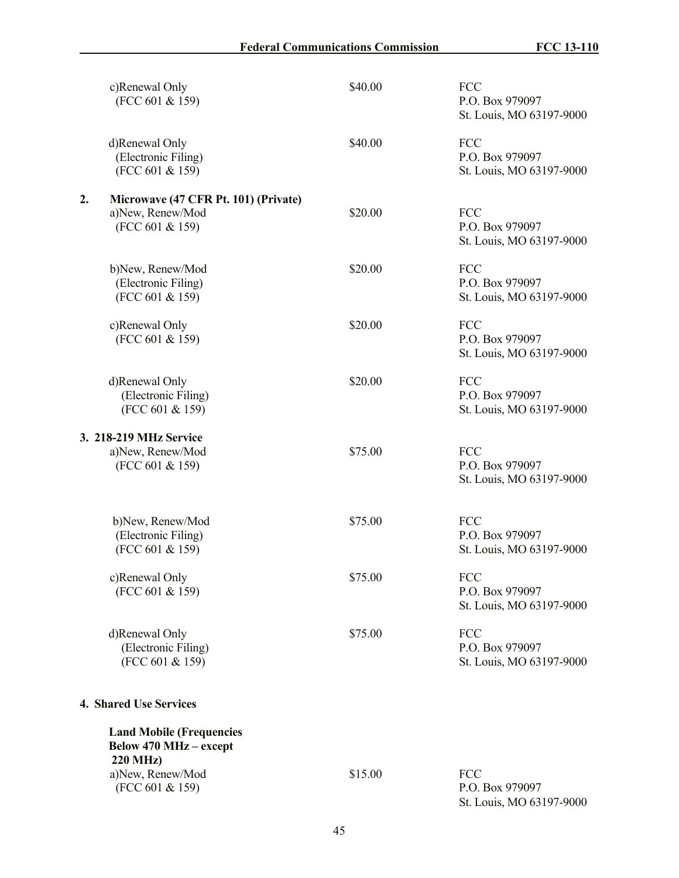|    | c)Renewal Only<br>(FCC 601 & 159)                                                   | \$40.00 | <b>FCC</b><br>P.O. Box 979097<br>St. Louis, MO 63197-9000 |
|----|-------------------------------------------------------------------------------------|---------|-----------------------------------------------------------|
|    | d)Renewal Only<br>(Electronic Filing)<br>(FCC 601 & 159)                            | \$40.00 | <b>FCC</b><br>P.O. Box 979097<br>St. Louis, MO 63197-9000 |
| 2. | Microwave (47 CFR Pt. 101) (Private)<br>a)New, Renew/Mod<br>(FCC 601 & 159)         | \$20.00 | <b>FCC</b><br>P.O. Box 979097<br>St. Louis, MO 63197-9000 |
|    | b)New, Renew/Mod<br>(Electronic Filing)<br>(FCC 601 & 159)                          | \$20.00 | <b>FCC</b><br>P.O. Box 979097<br>St. Louis, MO 63197-9000 |
|    | c)Renewal Only<br>(FCC 601 & 159)                                                   | \$20.00 | <b>FCC</b><br>P.O. Box 979097<br>St. Louis, MO 63197-9000 |
|    | d)Renewal Only<br>(Electronic Filing)<br>(FCC 601 & 159)                            | \$20.00 | <b>FCC</b><br>P.O. Box 979097<br>St. Louis, MO 63197-9000 |
|    | 3. 218-219 MHz Service<br>a)New, Renew/Mod<br>(FCC 601 & 159)                       | \$75.00 | <b>FCC</b><br>P.O. Box 979097<br>St. Louis, MO 63197-9000 |
|    | b)New, Renew/Mod<br>(Electronic Filing)<br>(FCC 601 & 159)                          | \$75.00 | <b>FCC</b><br>P.O. Box 979097<br>St. Louis, MO 63197-9000 |
|    | c)Renewal Only<br>(FCC 601 & 159)                                                   | \$75.00 | FCC<br>P.O. Box 979097<br>St. Louis, MO 63197-9000        |
|    | d)Renewal Only<br>(Electronic Filing)<br>(FCC 601 & 159)                            | \$75.00 | FCC<br>P.O. Box 979097<br>St. Louis, MO 63197-9000        |
|    | <b>4. Shared Use Services</b>                                                       |         |                                                           |
|    | <b>Land Mobile (Frequencies</b><br><b>Below 470 MHz - except</b><br><b>220 MHz)</b> |         |                                                           |
|    | a)New, Renew/Mod<br>(FCC 601 & 159)                                                 | \$15.00 | FCC<br>P.O. Box 979097<br>St. Louis, MO 63197-9000        |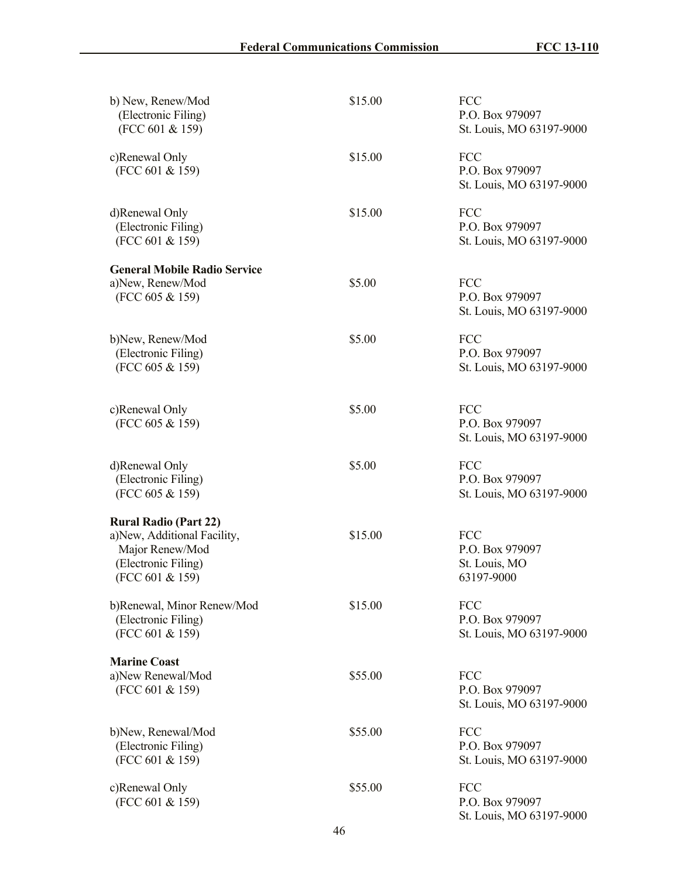| b) New, Renew/Mod<br>(Electronic Filing)<br>(FCC 601 & 159)                                                              | \$15.00 | <b>FCC</b><br>P.O. Box 979097<br>St. Louis, MO 63197-9000    |
|--------------------------------------------------------------------------------------------------------------------------|---------|--------------------------------------------------------------|
| c)Renewal Only<br>(FCC 601 & 159)                                                                                        | \$15.00 | <b>FCC</b><br>P.O. Box 979097<br>St. Louis, MO 63197-9000    |
| d)Renewal Only<br>(Electronic Filing)<br>(FCC 601 & 159)                                                                 | \$15.00 | FCC<br>P.O. Box 979097<br>St. Louis, MO 63197-9000           |
| <b>General Mobile Radio Service</b><br>a)New, Renew/Mod<br>(FCC 605 & 159)                                               | \$5.00  | <b>FCC</b><br>P.O. Box 979097<br>St. Louis, MO 63197-9000    |
| b)New, Renew/Mod<br>(Electronic Filing)<br>(FCC 605 & 159)                                                               | \$5.00  | <b>FCC</b><br>P.O. Box 979097<br>St. Louis, MO 63197-9000    |
| c)Renewal Only<br>(FCC 605 & 159)                                                                                        | \$5.00  | <b>FCC</b><br>P.O. Box 979097<br>St. Louis, MO 63197-9000    |
| d)Renewal Only<br>(Electronic Filing)<br>(FCC 605 & 159)                                                                 | \$5.00  | FCC<br>P.O. Box 979097<br>St. Louis, MO 63197-9000           |
| <b>Rural Radio (Part 22)</b><br>a)New, Additional Facility,<br>Major Renew/Mod<br>(Electronic Filing)<br>(FCC 601 & 159) | \$15.00 | <b>FCC</b><br>P.O. Box 979097<br>St. Louis, MO<br>63197-9000 |
| b)Renewal, Minor Renew/Mod<br>(Electronic Filing)<br>(FCC 601 & 159)                                                     | \$15.00 | FCC<br>P.O. Box 979097<br>St. Louis, MO 63197-9000           |
| <b>Marine Coast</b><br>a)New Renewal/Mod<br>(FCC 601 & 159)                                                              | \$55.00 | <b>FCC</b><br>P.O. Box 979097<br>St. Louis, MO 63197-9000    |
| b)New, Renewal/Mod<br>(Electronic Filing)<br>(FCC 601 & 159)                                                             | \$55.00 | <b>FCC</b><br>P.O. Box 979097<br>St. Louis, MO 63197-9000    |
| c)Renewal Only<br>(FCC 601 & 159)                                                                                        | \$55.00 | <b>FCC</b><br>P.O. Box 979097<br>St. Louis, MO 63197-9000    |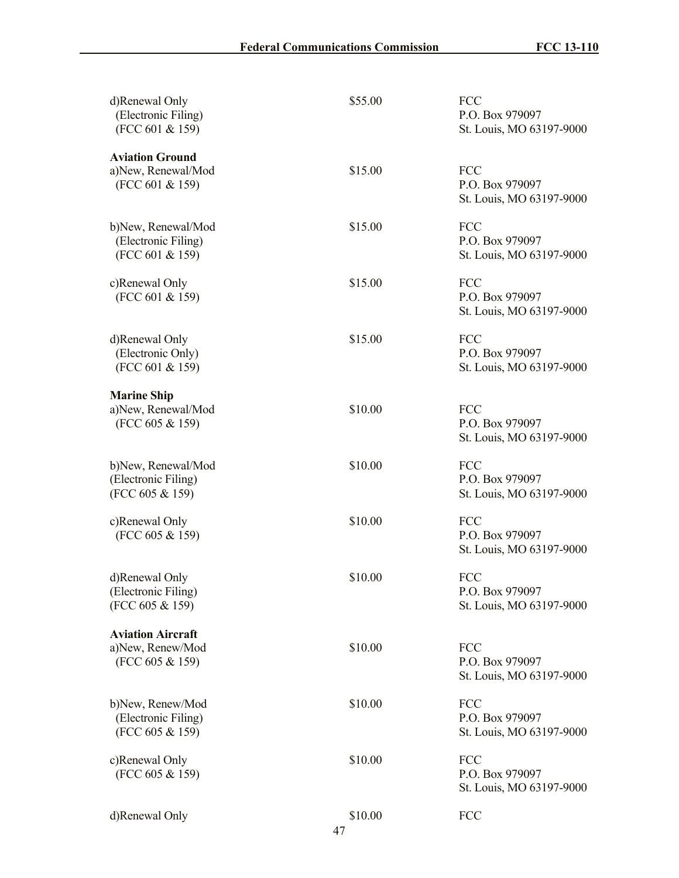| d)Renewal Only<br>(Electronic Filing)<br>(FCC 601 & 159)        | \$55.00       | <b>FCC</b><br>P.O. Box 979097<br>St. Louis, MO 63197-9000 |
|-----------------------------------------------------------------|---------------|-----------------------------------------------------------|
| <b>Aviation Ground</b><br>a)New, Renewal/Mod<br>(FCC 601 & 159) | \$15.00       | <b>FCC</b><br>P.O. Box 979097<br>St. Louis, MO 63197-9000 |
| b)New, Renewal/Mod<br>(Electronic Filing)<br>(FCC 601 & 159)    | \$15.00       | FCC<br>P.O. Box 979097<br>St. Louis, MO 63197-9000        |
| c)Renewal Only<br>(FCC 601 & 159)                               | \$15.00       | <b>FCC</b><br>P.O. Box 979097<br>St. Louis, MO 63197-9000 |
| d)Renewal Only<br>(Electronic Only)<br>(FCC 601 & 159)          | \$15.00       | <b>FCC</b><br>P.O. Box 979097<br>St. Louis, MO 63197-9000 |
| <b>Marine Ship</b><br>a)New, Renewal/Mod<br>(FCC 605 & 159)     | \$10.00       | <b>FCC</b><br>P.O. Box 979097<br>St. Louis, MO 63197-9000 |
| b)New, Renewal/Mod<br>(Electronic Filing)<br>(FCC 605 & 159)    | \$10.00       | FCC<br>P.O. Box 979097<br>St. Louis, MO 63197-9000        |
| c)Renewal Only<br>(FCC 605 & 159)                               | \$10.00       | FCC<br>P.O. Box 979097<br>St. Louis, MO 63197-9000        |
| d)Renewal Only<br>(Electronic Filing)<br>(FCC 605 & 159)        | \$10.00       | FCC<br>P.O. Box 979097<br>St. Louis, MO 63197-9000        |
| <b>Aviation Aircraft</b><br>a)New, Renew/Mod<br>(FCC 605 & 159) | \$10.00       | FCC<br>P.O. Box 979097<br>St. Louis, MO 63197-9000        |
| b)New, Renew/Mod<br>(Electronic Filing)<br>(FCC 605 & 159)      | \$10.00       | FCC<br>P.O. Box 979097<br>St. Louis, MO 63197-9000        |
| c)Renewal Only<br>(FCC 605 & 159)                               | \$10.00       | FCC<br>P.O. Box 979097<br>St. Louis, MO 63197-9000        |
| d)Renewal Only                                                  | \$10.00<br>47 | FCC                                                       |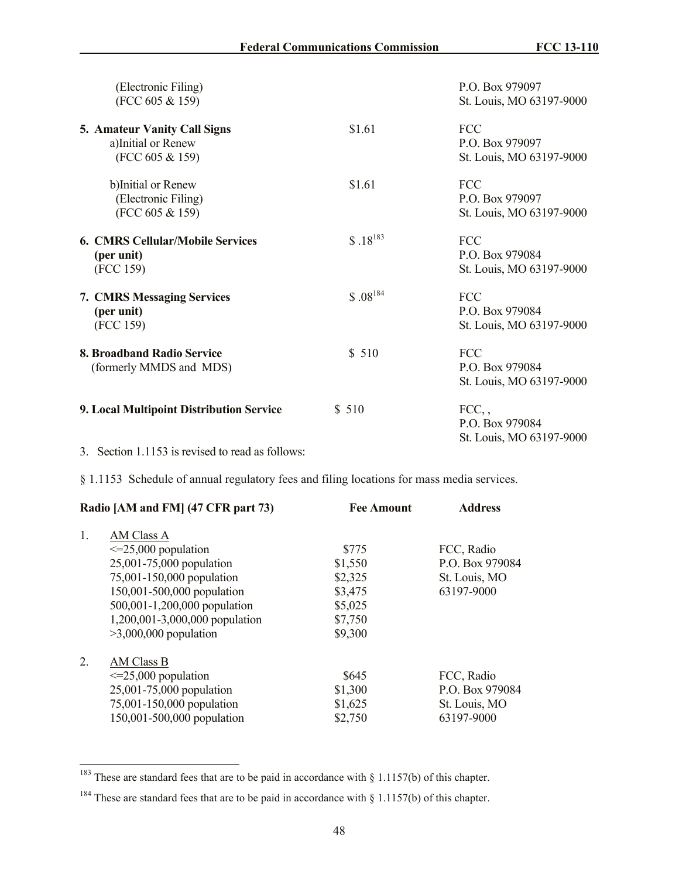| (Electronic Filing)<br>(FCC 605 & 159)                                |              | P.O. Box 979097<br>St. Louis, MO 63197-9000               |
|-----------------------------------------------------------------------|--------------|-----------------------------------------------------------|
| 5. Amateur Vanity Call Signs<br>a)Initial or Renew<br>(FCC 605 & 159) | \$1.61       | FCC<br>P.O. Box 979097<br>St. Louis, MO 63197-9000        |
| b)Initial or Renew<br>(Electronic Filing)<br>(FCC 605 & 159)          | \$1.61       | FCC<br>P.O. Box 979097<br>St. Louis, MO 63197-9000        |
| <b>6. CMRS Cellular/Mobile Services</b><br>(per unit)<br>(FCC 159)    | $$.18^{183}$ | <b>FCC</b><br>P.O. Box 979084<br>St. Louis, MO 63197-9000 |
| 7. CMRS Messaging Services<br>(per unit)<br>(FCC 159)                 | $$.08^{184}$ | <b>FCC</b><br>P.O. Box 979084<br>St. Louis, MO 63197-9000 |
| 8. Broadband Radio Service<br>(formerly MMDS and MDS)                 | \$510        | <b>FCC</b><br>P.O. Box 979084<br>St. Louis, MO 63197-9000 |
| 9. Local Multipoint Distribution Service                              | \$510        | FCC,<br>P.O. Box 979084<br>St. Louis, MO 63197-9000       |

3. Section 1.1153 is revised to read as follows:

 $\overline{a}$ 

§ 1.1153 Schedule of annual regulatory fees and filing locations for mass media services.

| Radio [AM and FM] (47 CFR part 73) | <b>Fee Amount</b> | <b>Address</b>  |
|------------------------------------|-------------------|-----------------|
| 1.<br>AM Class A                   |                   |                 |
| $\leq$ 25,000 population           | \$775             | FCC, Radio      |
| 25,001-75,000 population           | \$1,550           | P.O. Box 979084 |
| 75,001-150,000 population          | \$2,325           | St. Louis, MO   |
| 150,001-500,000 population         | \$3,475           | 63197-9000      |
| 500,001-1,200,000 population       | \$5,025           |                 |
| 1,200,001-3,000,000 population     | \$7,750           |                 |
| $>3,000,000$ population            | \$9,300           |                 |
| 2.<br>AM Class B                   |                   |                 |
| $\leq$ 25,000 population           | \$645             | FCC, Radio      |
| 25,001-75,000 population           | \$1,300           | P.O. Box 979084 |
| 75,001-150,000 population          | \$1,625           | St. Louis, MO   |
| 150,001-500,000 population         | \$2,750           | 63197-9000      |

<sup>&</sup>lt;sup>183</sup> These are standard fees that are to be paid in accordance with § 1.1157(b) of this chapter.

<sup>&</sup>lt;sup>184</sup> These are standard fees that are to be paid in accordance with § 1.1157(b) of this chapter.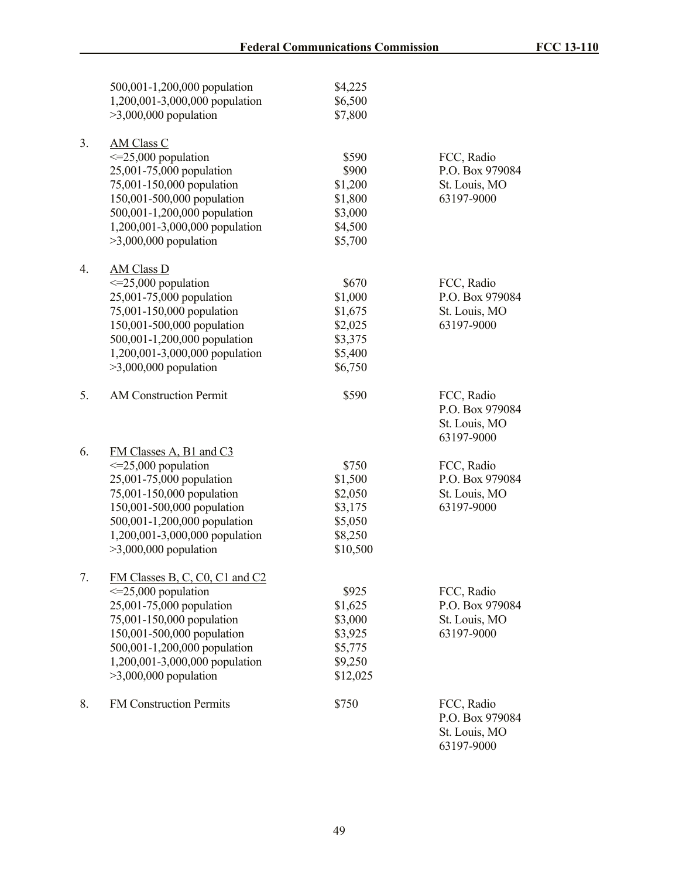|    | 500,001-1,200,000 population   | \$4,225  |                 |
|----|--------------------------------|----------|-----------------|
|    | 1,200,001-3,000,000 population | \$6,500  |                 |
|    | $>3,000,000$ population        | \$7,800  |                 |
| 3. | <b>AM Class C</b>              |          |                 |
|    | $\leq$ =25,000 population      | \$590    | FCC, Radio      |
|    | 25,001-75,000 population       | \$900    | P.O. Box 979084 |
|    | 75,001-150,000 population      | \$1,200  | St. Louis, MO   |
|    | 150,001-500,000 population     | \$1,800  | 63197-9000      |
|    | 500,001-1,200,000 population   | \$3,000  |                 |
|    | 1,200,001-3,000,000 population | \$4,500  |                 |
|    | $>3,000,000$ population        | \$5,700  |                 |
| 4. | <b>AM Class D</b>              |          |                 |
|    | $\leq$ =25,000 population      | \$670    | FCC, Radio      |
|    | 25,001-75,000 population       | \$1,000  | P.O. Box 979084 |
|    | 75,001-150,000 population      | \$1,675  | St. Louis, MO   |
|    | 150,001-500,000 population     | \$2,025  | 63197-9000      |
|    | 500,001-1,200,000 population   | \$3,375  |                 |
|    |                                |          |                 |
|    | 1,200,001-3,000,000 population | \$5,400  |                 |
|    | $>3,000,000$ population        | \$6,750  |                 |
| 5. | <b>AM Construction Permit</b>  | \$590    | FCC, Radio      |
|    |                                |          | P.O. Box 979084 |
|    |                                |          | St. Louis, MO   |
|    |                                |          | 63197-9000      |
| 6. | FM Classes A, B1 and C3        |          |                 |
|    | $\leq$ =25,000 population      | \$750    | FCC, Radio      |
|    | 25,001-75,000 population       | \$1,500  | P.O. Box 979084 |
|    | 75,001-150,000 population      | \$2,050  | St. Louis, MO   |
|    | 150,001-500,000 population     | \$3,175  | 63197-9000      |
|    | 500,001-1,200,000 population   | \$5,050  |                 |
|    | 1,200,001-3,000,000 population | \$8,250  |                 |
|    | $>3,000,000$ population        | \$10,500 |                 |
| 7. | FM Classes B, C, C0, C1 and C2 |          |                 |
|    | $\leq$ =25,000 population      | \$925    | FCC, Radio      |
|    | 25,001-75,000 population       | \$1,625  | P.O. Box 979084 |
|    | 75,001-150,000 population      | \$3,000  | St. Louis, MO   |
|    | 150,001-500,000 population     | \$3,925  | 63197-9000      |
|    | 500,001-1,200,000 population   | \$5,775  |                 |
|    | 1,200,001-3,000,000 population | \$9,250  |                 |
|    | $>3,000,000$ population        | \$12,025 |                 |
| 8. | <b>FM Construction Permits</b> | \$750    | FCC, Radio      |
|    |                                |          | P.O. Box 979084 |
|    |                                |          | St. Louis, MO   |
|    |                                |          | 63197-9000      |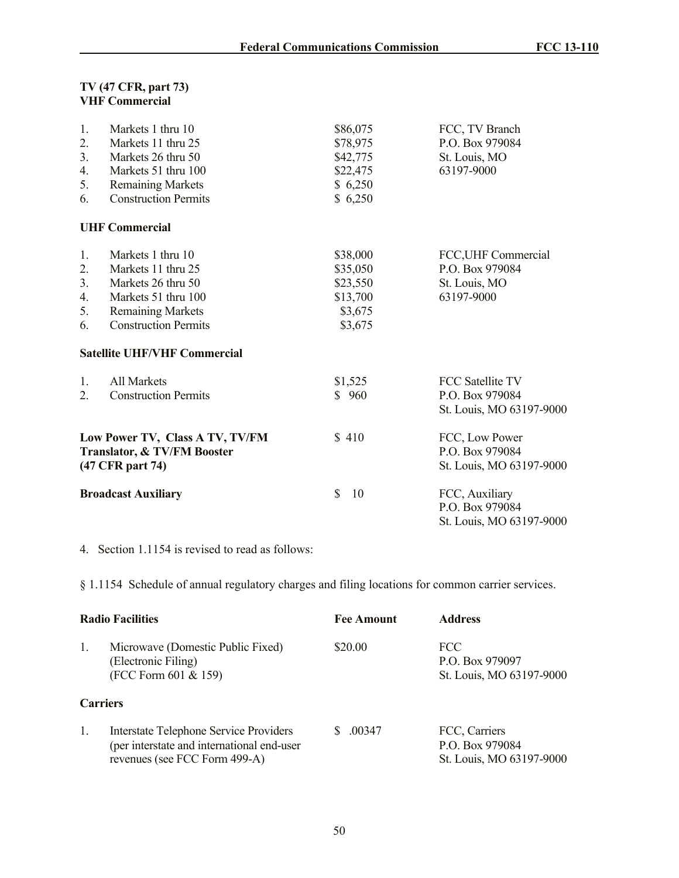### **TV (47 CFR, part 73) VHF Commercial**

| 1.<br>2.<br>3 <sub>1</sub><br>4.<br>5.<br>6.                                       | Markets 1 thru 10<br>Markets 11 thru 25<br>Markets 26 thru 50<br>Markets 51 thru 100<br><b>Remaining Markets</b><br><b>Construction Permits</b>                                        | \$86,075<br>\$78,975<br>\$42,775<br>\$22,475<br>\$6,250<br>\$6,250 | FCC, TV Branch<br>P.O. Box 979084<br>St. Louis, MO<br>63197-9000       |
|------------------------------------------------------------------------------------|----------------------------------------------------------------------------------------------------------------------------------------------------------------------------------------|--------------------------------------------------------------------|------------------------------------------------------------------------|
|                                                                                    | <b>UHF Commercial</b>                                                                                                                                                                  |                                                                    |                                                                        |
| 1.<br>2.<br>3.<br>4.<br>5.<br>6.                                                   | Markets 1 thru 10<br>Markets 11 thru 25<br>Markets 26 thru 50<br>Markets 51 thru 100<br><b>Remaining Markets</b><br><b>Construction Permits</b><br><b>Satellite UHF/VHF Commercial</b> | \$38,000<br>\$35,050<br>\$23,550<br>\$13,700<br>\$3,675<br>\$3,675 | FCC, UHF Commercial<br>P.O. Box 979084<br>St. Louis, MO<br>63197-9000  |
| 1.<br>2.                                                                           | All Markets<br><b>Construction Permits</b>                                                                                                                                             | \$1,525<br>\$960                                                   | <b>FCC Satellite TV</b><br>P.O. Box 979084<br>St. Louis, MO 63197-9000 |
| Low Power TV, Class A TV, TV/FM<br>Translator, & TV/FM Booster<br>(47 CFR part 74) |                                                                                                                                                                                        | \$410                                                              | FCC, Low Power<br>P.O. Box 979084<br>St. Louis, MO 63197-9000          |
| <b>Broadcast Auxiliary</b>                                                         |                                                                                                                                                                                        | \$<br>10                                                           | FCC, Auxiliary<br>P.O. Box 979084<br>St. Louis, MO 63197-9000          |

4. Section 1.1154 is revised to read as follows:

§ 1.1154 Schedule of annual regulatory charges and filing locations for common carrier services.

| <b>Radio Facilities</b> |                                                                                                                              | <b>Fee Amount</b> | <b>Address</b>                                               |
|-------------------------|------------------------------------------------------------------------------------------------------------------------------|-------------------|--------------------------------------------------------------|
| $\mathbf{1}$ .          | Microwave (Domestic Public Fixed)<br>(Electronic Filing)<br>(FCC Form 601 & 159)                                             | \$20.00           | FCC<br>P.O. Box 979097<br>St. Louis, MO 63197-9000           |
| <b>Carriers</b>         |                                                                                                                              |                   |                                                              |
| $\mathbf{1}$ .          | <b>Interstate Telephone Service Providers</b><br>(per interstate and international end-user<br>revenues (see FCC Form 499-A) | .00347<br>S.      | FCC, Carriers<br>P.O. Box 979084<br>St. Louis, MO 63197-9000 |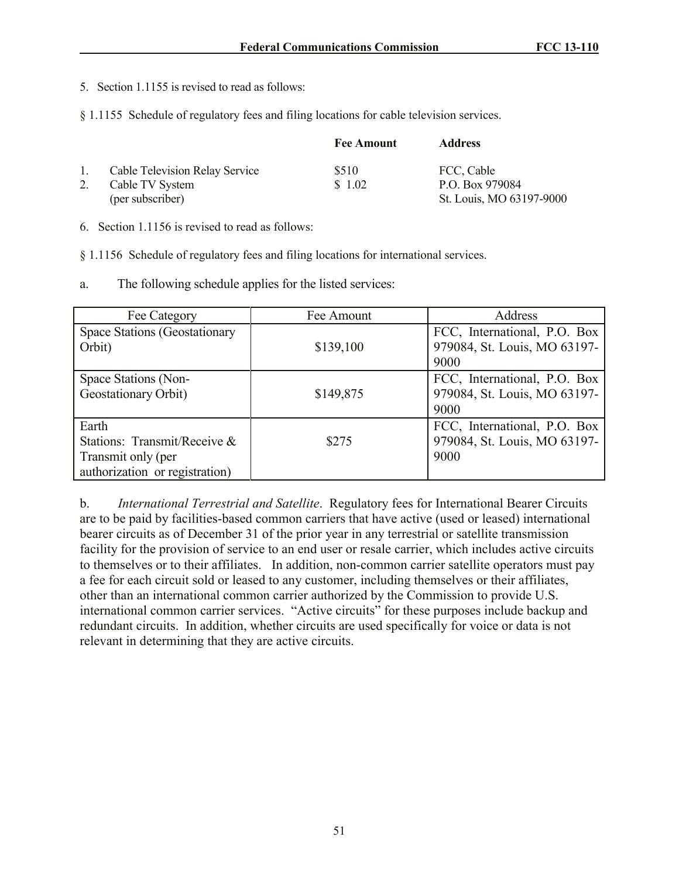- 5. Section 1.1155 is revised to read as follows:
- § 1.1155 Schedule of regulatory fees and filing locations for cable television services.

|             |                                       | <b>Fee Amount</b> | <b>Address</b>           |
|-------------|---------------------------------------|-------------------|--------------------------|
| $1_{\cdot}$ | <b>Cable Television Relay Service</b> | \$510             | FCC, Cable               |
|             | Cable TV System                       | \$1.02            | P.O. Box 979084          |
|             | (per subscriber)                      |                   | St. Louis, MO 63197-9000 |

6. Section 1.1156 is revised to read as follows:

§ 1.1156 Schedule of regulatory fees and filing locations for international services.

a. The following schedule applies for the listed services:

| Fee Category                                                                                  | Fee Amount | Address                                                              |
|-----------------------------------------------------------------------------------------------|------------|----------------------------------------------------------------------|
| Space Stations (Geostationary<br>Orbit)                                                       | \$139,100  | FCC, International, P.O. Box<br>979084, St. Louis, MO 63197-<br>9000 |
| Space Stations (Non-<br>Geostationary Orbit)                                                  | \$149,875  | FCC, International, P.O. Box<br>979084, St. Louis, MO 63197-<br>9000 |
| Earth<br>Stations: Transmit/Receive &<br>Transmit only (per<br>authorization or registration) | \$275      | FCC, International, P.O. Box<br>979084, St. Louis, MO 63197-<br>9000 |

b. *International Terrestrial and Satellite*. Regulatory fees for International Bearer Circuits are to be paid by facilities-based common carriers that have active (used or leased) international bearer circuits as of December 31 of the prior year in any terrestrial or satellite transmission facility for the provision of service to an end user or resale carrier, which includes active circuits to themselves or to their affiliates. In addition, non-common carrier satellite operators must pay a fee for each circuit sold or leased to any customer, including themselves or their affiliates, other than an international common carrier authorized by the Commission to provide U.S. international common carrier services. "Active circuits" for these purposes include backup and redundant circuits. In addition, whether circuits are used specifically for voice or data is not relevant in determining that they are active circuits.